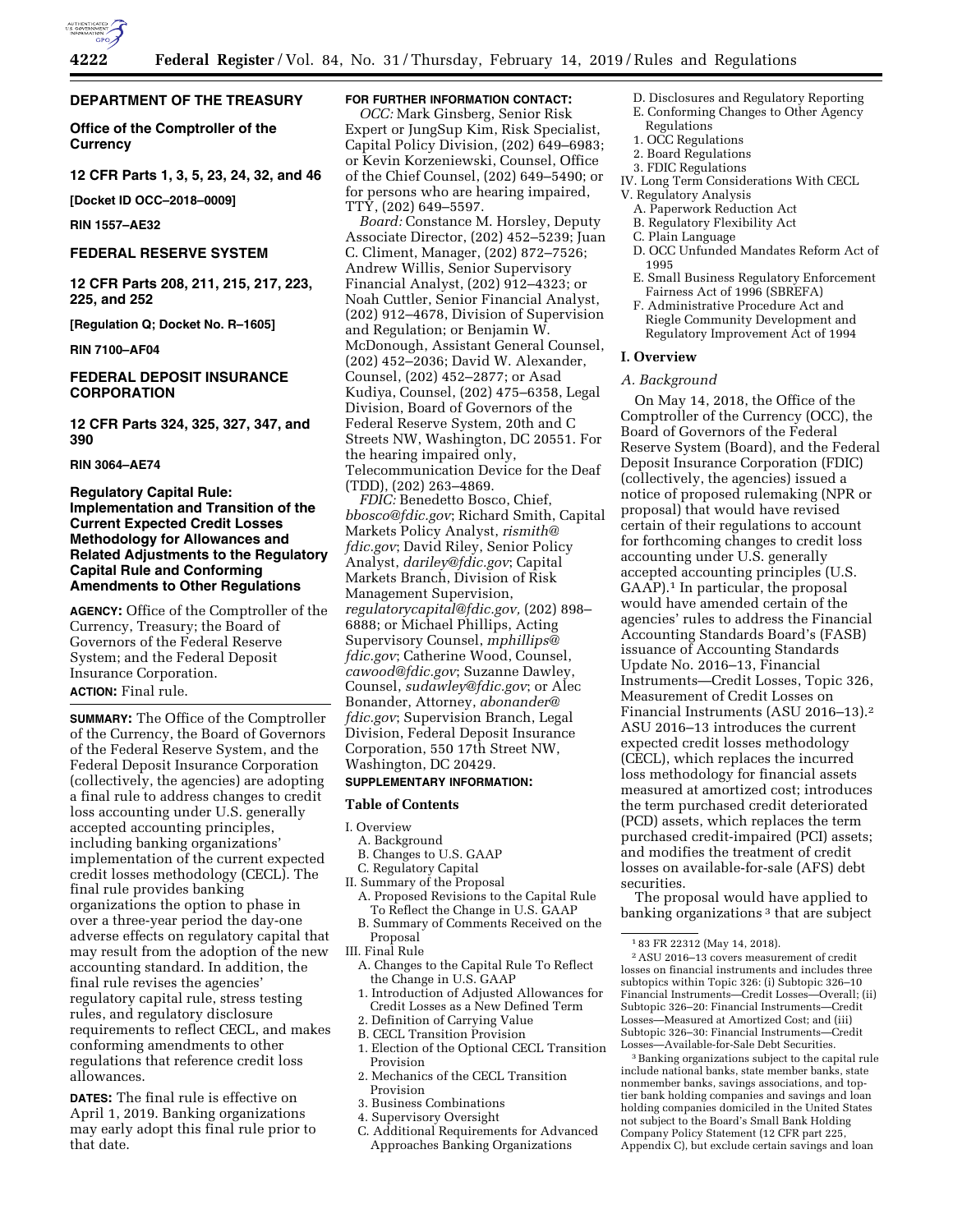

# **DEPARTMENT OF THE TREASURY**

**Office of the Comptroller of the Currency** 

**12 CFR Parts 1, 3, 5, 23, 24, 32, and 46** 

**[Docket ID OCC–2018–0009]** 

**RIN 1557–AE32** 

# **FEDERAL RESERVE SYSTEM**

**12 CFR Parts 208, 211, 215, 217, 223, 225, and 252** 

**[Regulation Q; Docket No. R–1605]** 

**RIN 7100–AF04** 

# **FEDERAL DEPOSIT INSURANCE CORPORATION**

**12 CFR Parts 324, 325, 327, 347, and 390** 

### **RIN 3064–AE74**

# **Regulatory Capital Rule: Implementation and Transition of the Current Expected Credit Losses Methodology for Allowances and Related Adjustments to the Regulatory Capital Rule and Conforming Amendments to Other Regulations**

**AGENCY:** Office of the Comptroller of the Currency, Treasury; the Board of Governors of the Federal Reserve System; and the Federal Deposit Insurance Corporation.

# **ACTION:** Final rule.

**SUMMARY:** The Office of the Comptroller of the Currency, the Board of Governors of the Federal Reserve System, and the Federal Deposit Insurance Corporation (collectively, the agencies) are adopting a final rule to address changes to credit loss accounting under U.S. generally accepted accounting principles, including banking organizations' implementation of the current expected credit losses methodology (CECL). The final rule provides banking organizations the option to phase in over a three-year period the day-one adverse effects on regulatory capital that may result from the adoption of the new accounting standard. In addition, the final rule revises the agencies' regulatory capital rule, stress testing rules, and regulatory disclosure requirements to reflect CECL, and makes conforming amendments to other regulations that reference credit loss allowances.

**DATES:** The final rule is effective on April 1, 2019. Banking organizations may early adopt this final rule prior to that date.

# **FOR FURTHER INFORMATION CONTACT:**

*OCC:* Mark Ginsberg, Senior Risk Expert or JungSup Kim, Risk Specialist, Capital Policy Division, (202) 649–6983; or Kevin Korzeniewski, Counsel, Office of the Chief Counsel, (202) 649–5490; or for persons who are hearing impaired, TTY, (202) 649–5597.

*Board:* Constance M. Horsley, Deputy Associate Director, (202) 452–5239; Juan C. Climent, Manager, (202) 872–7526; Andrew Willis, Senior Supervisory Financial Analyst, (202) 912–4323; or Noah Cuttler, Senior Financial Analyst, (202) 912–4678, Division of Supervision and Regulation; or Benjamin W. McDonough, Assistant General Counsel, (202) 452–2036; David W. Alexander, Counsel, (202) 452–2877; or Asad Kudiya, Counsel, (202) 475–6358, Legal Division, Board of Governors of the Federal Reserve System, 20th and C Streets NW, Washington, DC 20551. For the hearing impaired only, Telecommunication Device for the Deaf (TDD), (202) 263–4869.

*FDIC:* Benedetto Bosco, Chief, *[bbosco@fdic.gov](mailto:bbosco@fdic.gov)*; Richard Smith, Capital Markets Policy Analyst, *[rismith@](mailto:rismith@fdic.gov) [fdic.gov](mailto:rismith@fdic.gov)*; David Riley, Senior Policy Analyst, *[dariley@fdic.gov](mailto:dariley@fdic.gov)*; Capital Markets Branch, Division of Risk Management Supervision, *[regulatorycapital@fdic.gov,](mailto:regulatorycapital@fdic.gov)* (202) 898– 6888; or Michael Phillips, Acting Supervisory Counsel, *[mphillips@](mailto:mphillips@fdic.gov) [fdic.gov](mailto:mphillips@fdic.gov)*; Catherine Wood, Counsel, *[cawood@fdic.gov](mailto:cawood@fdic.gov)*; Suzanne Dawley, Counsel, *[sudawley@fdic.gov](mailto:sudawley@fdic.gov)*; or Alec Bonander, Attorney, *[abonander@](mailto:abonander@fdic.gov) [fdic.gov](mailto:abonander@fdic.gov)*; Supervision Branch, Legal Division, Federal Deposit Insurance Corporation, 550 17th Street NW, Washington, DC 20429.

### **SUPPLEMENTARY INFORMATION:**

### **Table of Contents**

I. Overview

- A. Background
- B. Changes to U.S. GAAP
- C. Regulatory Capital II. Summary of the Proposal
	- A. Proposed Revisions to the Capital Rule
	- To Reflect the Change in U.S. GAAP B. Summary of Comments Received on the Proposal
- III. Final Rule
	- A. Changes to the Capital Rule To Reflect the Change in U.S. GAAP
- 1. Introduction of Adjusted Allowances for Credit Losses as a New Defined Term
- 2. Definition of Carrying Value
- B. CECL Transition Provision
- 1. Election of the Optional CECL Transition Provision
- 2. Mechanics of the CECL Transition Provision
- 3. Business Combinations
- 4. Supervisory Oversight
- C. Additional Requirements for Advanced Approaches Banking Organizations
- D. Disclosures and Regulatory Reporting
- E. Conforming Changes to Other Agency Regulations
- 1. OCC Regulations
- 2. Board Regulations
- 3. FDIC Regulations
- IV. Long Term Considerations With CECL V. Regulatory Analysis
	- A. Paperwork Reduction Act
	- B. Regulatory Flexibility Act
	- C. Plain Language
	- D. OCC Unfunded Mandates Reform Act of 1995
	- E. Small Business Regulatory Enforcement Fairness Act of 1996 (SBREFA)
	- F. Administrative Procedure Act and Riegle Community Development and Regulatory Improvement Act of 1994

### **I. Overview**

#### *A. Background*

On May 14, 2018, the Office of the Comptroller of the Currency (OCC), the Board of Governors of the Federal Reserve System (Board), and the Federal Deposit Insurance Corporation (FDIC) (collectively, the agencies) issued a notice of proposed rulemaking (NPR or proposal) that would have revised certain of their regulations to account for forthcoming changes to credit loss accounting under U.S. generally accepted accounting principles (U.S. GAAP).1 In particular, the proposal would have amended certain of the agencies' rules to address the Financial Accounting Standards Board's (FASB) issuance of Accounting Standards Update No. 2016–13, Financial Instruments—Credit Losses, Topic 326, Measurement of Credit Losses on Financial Instruments (ASU 2016–13).2 ASU 2016–13 introduces the current expected credit losses methodology (CECL), which replaces the incurred loss methodology for financial assets measured at amortized cost; introduces the term purchased credit deteriorated (PCD) assets, which replaces the term purchased credit-impaired (PCI) assets; and modifies the treatment of credit losses on available-for-sale (AFS) debt securities.

The proposal would have applied to banking organizations<sup>3</sup> that are subject

2ASU 2016–13 covers measurement of credit losses on financial instruments and includes three subtopics within Topic 326: (i) Subtopic 326–10 Financial Instruments—Credit Losses—Overall; (ii) Subtopic 326–20: Financial Instruments—Credit Losses—Measured at Amortized Cost; and (iii) Subtopic 326–30: Financial Instruments—Credit Losses—Available-for-Sale Debt Securities.

3Banking organizations subject to the capital rule include national banks, state member banks, state nonmember banks, savings associations, and toptier bank holding companies and savings and loan holding companies domiciled in the United States not subject to the Board's Small Bank Holding Company Policy Statement (12 CFR part 225, Appendix C), but exclude certain savings and loan

<sup>1</sup> 83 FR 22312 (May 14, 2018).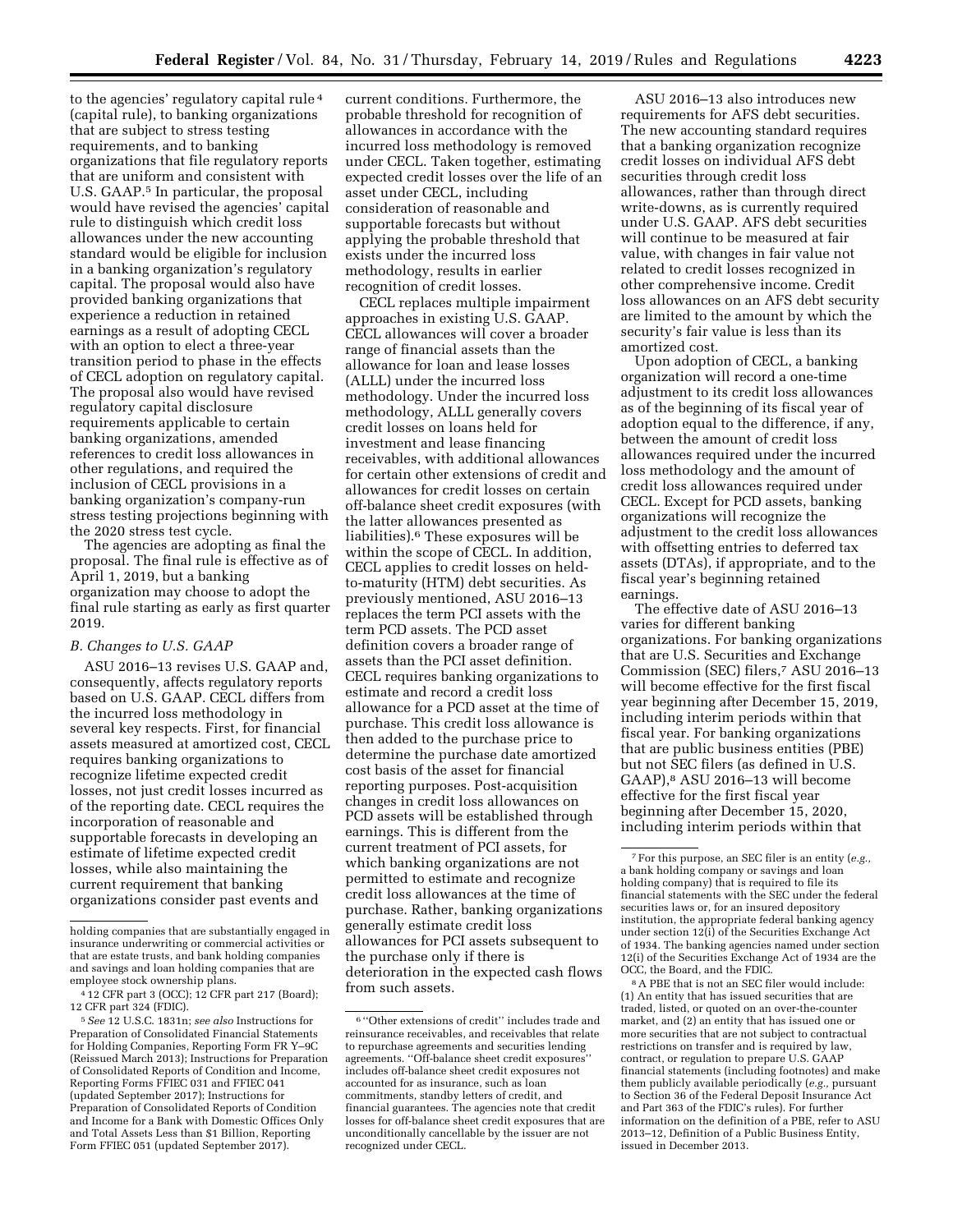to the agencies' regulatory capital rule 4 (capital rule), to banking organizations that are subject to stress testing requirements, and to banking organizations that file regulatory reports that are uniform and consistent with U.S. GAAP.5 In particular, the proposal would have revised the agencies' capital rule to distinguish which credit loss allowances under the new accounting standard would be eligible for inclusion in a banking organization's regulatory capital. The proposal would also have provided banking organizations that experience a reduction in retained earnings as a result of adopting CECL with an option to elect a three-year transition period to phase in the effects of CECL adoption on regulatory capital. The proposal also would have revised regulatory capital disclosure requirements applicable to certain banking organizations, amended references to credit loss allowances in other regulations, and required the inclusion of CECL provisions in a banking organization's company-run stress testing projections beginning with the 2020 stress test cycle.

The agencies are adopting as final the proposal. The final rule is effective as of April 1, 2019, but a banking organization may choose to adopt the final rule starting as early as first quarter 2019.

# *B. Changes to U.S. GAAP*

ASU 2016–13 revises U.S. GAAP and, consequently, affects regulatory reports based on U.S. GAAP. CECL differs from the incurred loss methodology in several key respects. First, for financial assets measured at amortized cost, CECL requires banking organizations to recognize lifetime expected credit losses, not just credit losses incurred as of the reporting date. CECL requires the incorporation of reasonable and supportable forecasts in developing an estimate of lifetime expected credit losses, while also maintaining the current requirement that banking organizations consider past events and

current conditions. Furthermore, the probable threshold for recognition of allowances in accordance with the incurred loss methodology is removed under CECL. Taken together, estimating expected credit losses over the life of an asset under CECL, including consideration of reasonable and supportable forecasts but without applying the probable threshold that exists under the incurred loss methodology, results in earlier recognition of credit losses.

CECL replaces multiple impairment approaches in existing U.S. GAAP. CECL allowances will cover a broader range of financial assets than the allowance for loan and lease losses (ALLL) under the incurred loss methodology. Under the incurred loss methodology, ALLL generally covers credit losses on loans held for investment and lease financing receivables, with additional allowances for certain other extensions of credit and allowances for credit losses on certain off-balance sheet credit exposures (with the latter allowances presented as liabilities).6 These exposures will be within the scope of CECL. In addition, CECL applies to credit losses on heldto-maturity (HTM) debt securities. As previously mentioned, ASU 2016–13 replaces the term PCI assets with the term PCD assets. The PCD asset definition covers a broader range of assets than the PCI asset definition. CECL requires banking organizations to estimate and record a credit loss allowance for a PCD asset at the time of purchase. This credit loss allowance is then added to the purchase price to determine the purchase date amortized cost basis of the asset for financial reporting purposes. Post-acquisition changes in credit loss allowances on PCD assets will be established through earnings. This is different from the current treatment of PCI assets, for which banking organizations are not permitted to estimate and recognize credit loss allowances at the time of purchase. Rather, banking organizations generally estimate credit loss allowances for PCI assets subsequent to the purchase only if there is deterioration in the expected cash flows from such assets.

ASU 2016–13 also introduces new requirements for AFS debt securities. The new accounting standard requires that a banking organization recognize credit losses on individual AFS debt securities through credit loss allowances, rather than through direct write-downs, as is currently required under U.S. GAAP. AFS debt securities will continue to be measured at fair value, with changes in fair value not related to credit losses recognized in other comprehensive income. Credit loss allowances on an AFS debt security are limited to the amount by which the security's fair value is less than its amortized cost.

Upon adoption of CECL, a banking organization will record a one-time adjustment to its credit loss allowances as of the beginning of its fiscal year of adoption equal to the difference, if any, between the amount of credit loss allowances required under the incurred loss methodology and the amount of credit loss allowances required under CECL. Except for PCD assets, banking organizations will recognize the adjustment to the credit loss allowances with offsetting entries to deferred tax assets (DTAs), if appropriate, and to the fiscal year's beginning retained earnings.

The effective date of ASU 2016–13 varies for different banking organizations. For banking organizations that are U.S. Securities and Exchange Commission (SEC) filers,7 ASU 2016–13 will become effective for the first fiscal year beginning after December 15, 2019, including interim periods within that fiscal year. For banking organizations that are public business entities (PBE) but not SEC filers (as defined in U.S. GAAP),8 ASU 2016–13 will become effective for the first fiscal year beginning after December 15, 2020, including interim periods within that

8A PBE that is not an SEC filer would include: (1) An entity that has issued securities that are traded, listed, or quoted on an over-the-counter market, and (2) an entity that has issued one or more securities that are not subject to contractual restrictions on transfer and is required by law, contract, or regulation to prepare U.S. GAAP financial statements (including footnotes) and make them publicly available periodically (*e.g.,* pursuant to Section 36 of the Federal Deposit Insurance Act and Part 363 of the FDIC's rules). For further information on the definition of a PBE, refer to ASU 2013–12, Definition of a Public Business Entity, issued in December 2013.

holding companies that are substantially engaged in insurance underwriting or commercial activities or that are estate trusts, and bank holding companies and savings and loan holding companies that are employee stock ownership plans.

<sup>4</sup> 12 CFR part 3 (OCC); 12 CFR part 217 (Board); 12 CFR part 324 (FDIC).

<sup>5</sup>*See* 12 U.S.C. 1831n; *see also* Instructions for Preparation of Consolidated Financial Statements for Holding Companies, Reporting Form FR Y–9C (Reissued March 2013); Instructions for Preparation of Consolidated Reports of Condition and Income, Reporting Forms FFIEC 031 and FFIEC 041 (updated September 2017); Instructions for Preparation of Consolidated Reports of Condition and Income for a Bank with Domestic Offices Only and Total Assets Less than \$1 Billion, Reporting Form FFIEC 051 (updated September 2017).

<sup>6</sup> ''Other extensions of credit'' includes trade and reinsurance receivables, and receivables that relate to repurchase agreements and securities lending agreements. "Off-balance sheet credit exposures includes off-balance sheet credit exposures not accounted for as insurance, such as loan commitments, standby letters of credit, and financial guarantees. The agencies note that credit losses for off-balance sheet credit exposures that are unconditionally cancellable by the issuer are not recognized under CECL.

<sup>7</sup>For this purpose, an SEC filer is an entity (*e.g.,*  a bank holding company or savings and loan holding company) that is required to file its financial statements with the SEC under the federal securities laws or, for an insured depository institution, the appropriate federal banking agency under section 12(i) of the Securities Exchange Act of 1934. The banking agencies named under section 12(i) of the Securities Exchange Act of 1934 are the OCC, the Board, and the FDIC.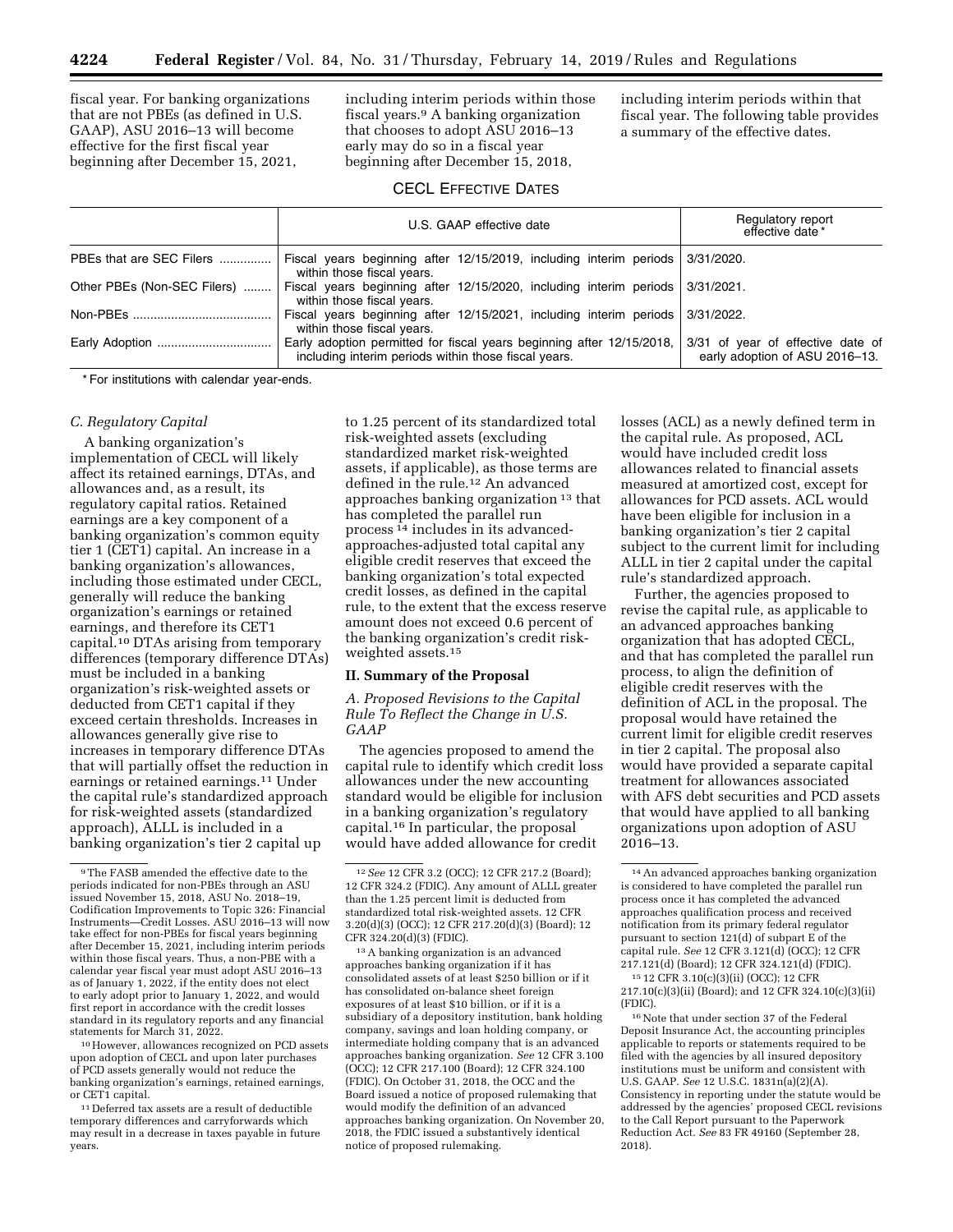fiscal year. For banking organizations that are not PBEs (as defined in U.S. GAAP), ASU 2016–13 will become effective for the first fiscal year beginning after December 15, 2021,

including interim periods within those fiscal years.9 A banking organization that chooses to adopt ASU 2016–13 early may do so in a fiscal year beginning after December 15, 2018,

including interim periods within that fiscal year. The following table provides a summary of the effective dates.

# CECL EFFECTIVE DATES

|                             | U.S. GAAP effective date                                                                                                      | Regulatory report<br>effective date *                               |  |
|-----------------------------|-------------------------------------------------------------------------------------------------------------------------------|---------------------------------------------------------------------|--|
| PBEs that are SEC Filers    | Fiscal years beginning after 12/15/2019, including interim periods 3/31/2020.<br>within those fiscal years.                   |                                                                     |  |
| Other PBEs (Non-SEC Filers) | Fiscal years beginning after 12/15/2020, including interim periods 3/31/2021.<br>within those fiscal years.                   |                                                                     |  |
| Non-PBEs                    | Fiscal years beginning after 12/15/2021, including interim periods 3/31/2022.<br>within those fiscal years.                   |                                                                     |  |
| Early Adoption              | Early adoption permitted for fiscal years beginning after 12/15/2018,<br>including interim periods within those fiscal years. | 3/31 of year of effective date of<br>early adoption of ASU 2016-13. |  |

\* For institutions with calendar year-ends.

### *C. Regulatory Capital*

A banking organization's implementation of CECL will likely affect its retained earnings, DTAs, and allowances and, as a result, its regulatory capital ratios. Retained earnings are a key component of a banking organization's common equity tier 1 (CET1) capital. An increase in a banking organization's allowances, including those estimated under CECL, generally will reduce the banking organization's earnings or retained earnings, and therefore its CET1 capital.10 DTAs arising from temporary differences (temporary difference DTAs) must be included in a banking organization's risk-weighted assets or deducted from CET1 capital if they exceed certain thresholds. Increases in allowances generally give rise to increases in temporary difference DTAs that will partially offset the reduction in earnings or retained earnings.11 Under the capital rule's standardized approach for risk-weighted assets (standardized approach), ALLL is included in a banking organization's tier 2 capital up

10However, allowances recognized on PCD assets upon adoption of CECL and upon later purchases of PCD assets generally would not reduce the banking organization's earnings, retained earnings, or CET1 capital.

11 Deferred tax assets are a result of deductible temporary differences and carryforwards which may result in a decrease in taxes payable in future years.

to 1.25 percent of its standardized total risk-weighted assets (excluding standardized market risk-weighted assets, if applicable), as those terms are defined in the rule.12 An advanced approaches banking organization 13 that has completed the parallel run process 14 includes in its advancedapproaches-adjusted total capital any eligible credit reserves that exceed the banking organization's total expected credit losses, as defined in the capital rule, to the extent that the excess reserve amount does not exceed 0.6 percent of the banking organization's credit riskweighted assets.15

### **II. Summary of the Proposal**

*A. Proposed Revisions to the Capital Rule To Reflect the Change in U.S. GAAP* 

The agencies proposed to amend the capital rule to identify which credit loss allowances under the new accounting standard would be eligible for inclusion in a banking organization's regulatory capital.16 In particular, the proposal would have added allowance for credit

13A banking organization is an advanced approaches banking organization if it has consolidated assets of at least \$250 billion or if it has consolidated on-balance sheet foreign exposures of at least \$10 billion, or if it is a subsidiary of a depository institution, bank holding company, savings and loan holding company, or intermediate holding company that is an advanced approaches banking organization. *See* 12 CFR 3.100 (OCC); 12 CFR 217.100 (Board); 12 CFR 324.100 (FDIC). On October 31, 2018, the OCC and the Board issued a notice of proposed rulemaking that would modify the definition of an advanced approaches banking organization. On November 20, 2018, the FDIC issued a substantively identical notice of proposed rulemaking.

losses (ACL) as a newly defined term in the capital rule. As proposed, ACL would have included credit loss allowances related to financial assets measured at amortized cost, except for allowances for PCD assets. ACL would have been eligible for inclusion in a banking organization's tier 2 capital subject to the current limit for including ALLL in tier 2 capital under the capital rule's standardized approach.

Further, the agencies proposed to revise the capital rule, as applicable to an advanced approaches banking organization that has adopted CECL, and that has completed the parallel run process, to align the definition of eligible credit reserves with the definition of ACL in the proposal. The proposal would have retained the current limit for eligible credit reserves in tier 2 capital. The proposal also would have provided a separate capital treatment for allowances associated with AFS debt securities and PCD assets that would have applied to all banking organizations upon adoption of ASU 2016–13.

16Note that under section 37 of the Federal Deposit Insurance Act, the accounting principles applicable to reports or statements required to be filed with the agencies by all insured depository institutions must be uniform and consistent with U.S. GAAP. *See* 12 U.S.C. 1831n(a)(2)(A). Consistency in reporting under the statute would be addressed by the agencies' proposed CECL revisions to the Call Report pursuant to the Paperwork Reduction Act. *See* 83 FR 49160 (September 28, 2018).

<sup>9</sup>The FASB amended the effective date to the periods indicated for non-PBEs through an ASU issued November 15, 2018, ASU No. 2018–19, Codification Improvements to Topic 326: Financial Instruments—Credit Losses. ASU 2016–13 will now take effect for non-PBEs for fiscal years beginning after December 15, 2021, including interim periods within those fiscal years. Thus, a non-PBE with a calendar year fiscal year must adopt ASU 2016–13 as of January 1, 2022, if the entity does not elect to early adopt prior to January 1, 2022, and would first report in accordance with the credit losses standard in its regulatory reports and any financial statements for March 31, 2022.

<sup>12</sup>*See* 12 CFR 3.2 (OCC); 12 CFR 217.2 (Board); 12 CFR 324.2 (FDIC). Any amount of ALLL greater than the 1.25 percent limit is deducted from standardized total risk-weighted assets. 12 CFR 3.20(d)(3) (OCC); 12 CFR 217.20(d)(3) (Board); 12 CFR 324.20(d)(3) (FDIC).

<sup>14</sup>An advanced approaches banking organization is considered to have completed the parallel run process once it has completed the advanced approaches qualification process and received notification from its primary federal regulator pursuant to section 121(d) of subpart E of the capital rule. *See* 12 CFR 3.121(d) (OCC); 12 CFR 217.121(d) (Board); 12 CFR 324.121(d) (FDIC).

<sup>15</sup> 12 CFR 3.10(c)(3)(ii) (OCC); 12 CFR 217.10(c)(3)(ii) (Board); and 12 CFR 324.10(c)(3)(ii) (FDIC).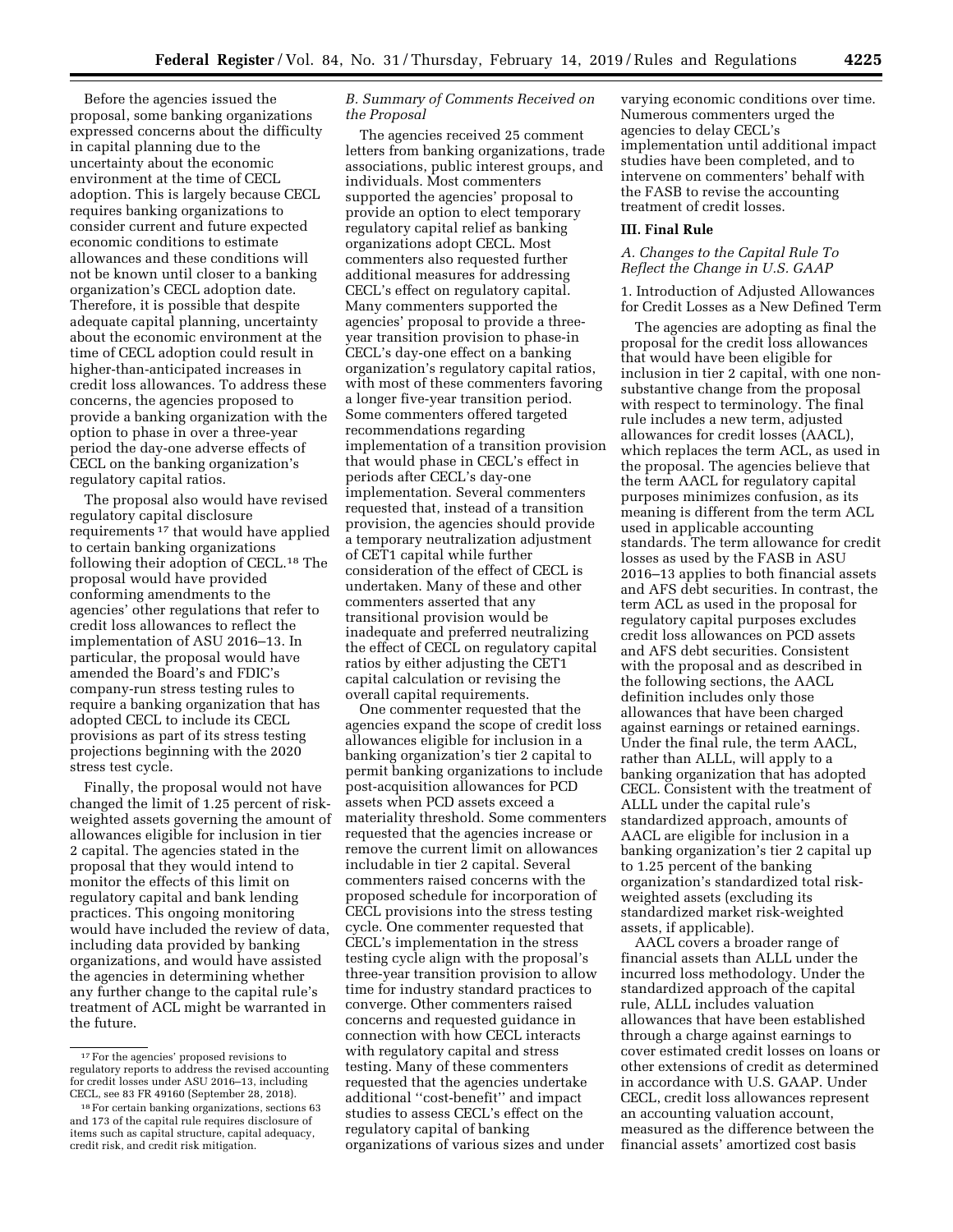Before the agencies issued the proposal, some banking organizations expressed concerns about the difficulty in capital planning due to the uncertainty about the economic environment at the time of CECL adoption. This is largely because CECL requires banking organizations to consider current and future expected economic conditions to estimate allowances and these conditions will not be known until closer to a banking organization's CECL adoption date. Therefore, it is possible that despite adequate capital planning, uncertainty about the economic environment at the time of CECL adoption could result in higher-than-anticipated increases in credit loss allowances. To address these concerns, the agencies proposed to provide a banking organization with the option to phase in over a three-year period the day-one adverse effects of CECL on the banking organization's regulatory capital ratios.

The proposal also would have revised regulatory capital disclosure requirements 17 that would have applied to certain banking organizations following their adoption of CECL.18 The proposal would have provided conforming amendments to the agencies' other regulations that refer to credit loss allowances to reflect the implementation of ASU 2016–13. In particular, the proposal would have amended the Board's and FDIC's company-run stress testing rules to require a banking organization that has adopted CECL to include its CECL provisions as part of its stress testing projections beginning with the 2020 stress test cycle.

Finally, the proposal would not have changed the limit of 1.25 percent of riskweighted assets governing the amount of allowances eligible for inclusion in tier 2 capital. The agencies stated in the proposal that they would intend to monitor the effects of this limit on regulatory capital and bank lending practices. This ongoing monitoring would have included the review of data, including data provided by banking organizations, and would have assisted the agencies in determining whether any further change to the capital rule's treatment of ACL might be warranted in the future.

# *B. Summary of Comments Received on the Proposal*

The agencies received 25 comment letters from banking organizations, trade associations, public interest groups, and individuals. Most commenters supported the agencies' proposal to provide an option to elect temporary regulatory capital relief as banking organizations adopt CECL. Most commenters also requested further additional measures for addressing CECL's effect on regulatory capital. Many commenters supported the agencies' proposal to provide a threeyear transition provision to phase-in CECL's day-one effect on a banking organization's regulatory capital ratios, with most of these commenters favoring a longer five-year transition period. Some commenters offered targeted recommendations regarding implementation of a transition provision that would phase in CECL's effect in periods after CECL's day-one implementation. Several commenters requested that, instead of a transition provision, the agencies should provide a temporary neutralization adjustment of CET1 capital while further consideration of the effect of CECL is undertaken. Many of these and other commenters asserted that any transitional provision would be inadequate and preferred neutralizing the effect of CECL on regulatory capital ratios by either adjusting the CET1 capital calculation or revising the overall capital requirements.

One commenter requested that the agencies expand the scope of credit loss allowances eligible for inclusion in a banking organization's tier 2 capital to permit banking organizations to include post-acquisition allowances for PCD assets when PCD assets exceed a materiality threshold. Some commenters requested that the agencies increase or remove the current limit on allowances includable in tier 2 capital. Several commenters raised concerns with the proposed schedule for incorporation of CECL provisions into the stress testing cycle. One commenter requested that CECL's implementation in the stress testing cycle align with the proposal's three-year transition provision to allow time for industry standard practices to converge. Other commenters raised concerns and requested guidance in connection with how CECL interacts with regulatory capital and stress testing. Many of these commenters requested that the agencies undertake additional ''cost-benefit'' and impact studies to assess CECL's effect on the regulatory capital of banking organizations of various sizes and under

varying economic conditions over time. Numerous commenters urged the agencies to delay CECL's implementation until additional impact studies have been completed, and to intervene on commenters' behalf with the FASB to revise the accounting treatment of credit losses.

### **III. Final Rule**

### *A. Changes to the Capital Rule To Reflect the Change in U.S. GAAP*

1. Introduction of Adjusted Allowances for Credit Losses as a New Defined Term

The agencies are adopting as final the proposal for the credit loss allowances that would have been eligible for inclusion in tier 2 capital, with one nonsubstantive change from the proposal with respect to terminology. The final rule includes a new term, adjusted allowances for credit losses (AACL), which replaces the term ACL, as used in the proposal. The agencies believe that the term AACL for regulatory capital purposes minimizes confusion, as its meaning is different from the term ACL used in applicable accounting standards. The term allowance for credit losses as used by the FASB in ASU 2016–13 applies to both financial assets and AFS debt securities. In contrast, the term ACL as used in the proposal for regulatory capital purposes excludes credit loss allowances on PCD assets and AFS debt securities. Consistent with the proposal and as described in the following sections, the AACL definition includes only those allowances that have been charged against earnings or retained earnings. Under the final rule, the term AACL, rather than ALLL, will apply to a banking organization that has adopted CECL. Consistent with the treatment of ALLL under the capital rule's standardized approach, amounts of AACL are eligible for inclusion in a banking organization's tier 2 capital up to 1.25 percent of the banking organization's standardized total riskweighted assets (excluding its standardized market risk-weighted assets, if applicable).

AACL covers a broader range of financial assets than ALLL under the incurred loss methodology. Under the standardized approach of the capital rule, ALLL includes valuation allowances that have been established through a charge against earnings to cover estimated credit losses on loans or other extensions of credit as determined in accordance with U.S. GAAP. Under CECL, credit loss allowances represent an accounting valuation account, measured as the difference between the financial assets' amortized cost basis

<sup>17</sup>For the agencies' proposed revisions to regulatory reports to address the revised accounting for credit losses under ASU 2016–13, including CECL, see 83 FR 49160 (September 28, 2018).

<sup>18</sup>For certain banking organizations, sections 63 and 173 of the capital rule requires disclosure of items such as capital structure, capital adequacy, credit risk, and credit risk mitigation.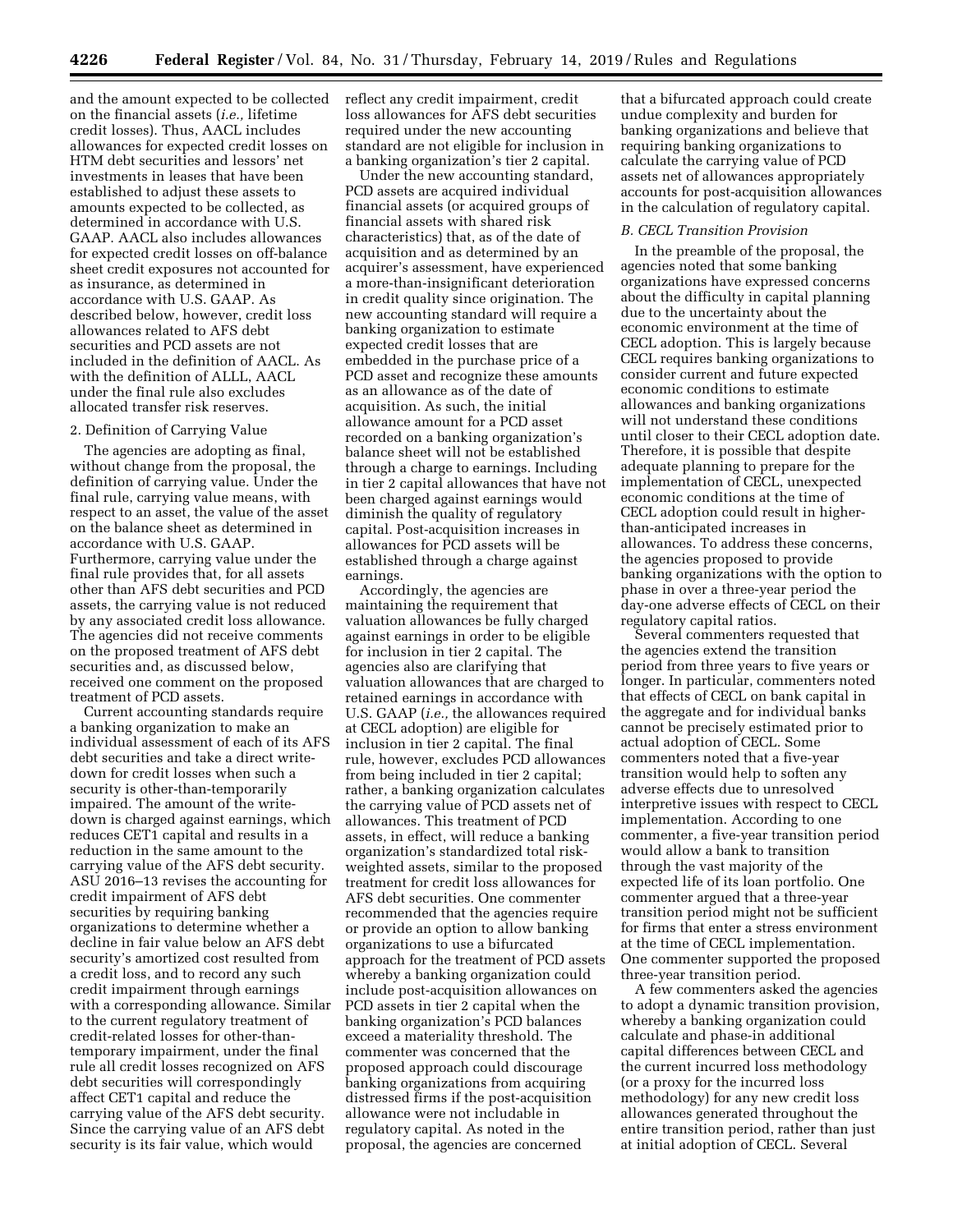and the amount expected to be collected on the financial assets (*i.e.,* lifetime credit losses). Thus, AACL includes allowances for expected credit losses on HTM debt securities and lessors' net investments in leases that have been established to adjust these assets to amounts expected to be collected, as determined in accordance with U.S. GAAP. AACL also includes allowances for expected credit losses on off-balance sheet credit exposures not accounted for as insurance, as determined in accordance with U.S. GAAP. As described below, however, credit loss allowances related to AFS debt securities and PCD assets are not included in the definition of AACL. As with the definition of ALLL, AACL under the final rule also excludes allocated transfer risk reserves.

### 2. Definition of Carrying Value

The agencies are adopting as final, without change from the proposal, the definition of carrying value. Under the final rule, carrying value means, with respect to an asset, the value of the asset on the balance sheet as determined in accordance with U.S. GAAP. Furthermore, carrying value under the final rule provides that, for all assets other than AFS debt securities and PCD assets, the carrying value is not reduced by any associated credit loss allowance. The agencies did not receive comments on the proposed treatment of AFS debt securities and, as discussed below, received one comment on the proposed treatment of PCD assets.

Current accounting standards require a banking organization to make an individual assessment of each of its AFS debt securities and take a direct writedown for credit losses when such a security is other-than-temporarily impaired. The amount of the writedown is charged against earnings, which reduces CET1 capital and results in a reduction in the same amount to the carrying value of the AFS debt security. ASU 2016–13 revises the accounting for credit impairment of AFS debt securities by requiring banking organizations to determine whether a decline in fair value below an AFS debt security's amortized cost resulted from a credit loss, and to record any such credit impairment through earnings with a corresponding allowance. Similar to the current regulatory treatment of credit-related losses for other-thantemporary impairment, under the final rule all credit losses recognized on AFS debt securities will correspondingly affect CET1 capital and reduce the carrying value of the AFS debt security. Since the carrying value of an AFS debt security is its fair value, which would

reflect any credit impairment, credit loss allowances for AFS debt securities required under the new accounting standard are not eligible for inclusion in a banking organization's tier 2 capital.

Under the new accounting standard, PCD assets are acquired individual financial assets (or acquired groups of financial assets with shared risk characteristics) that, as of the date of acquisition and as determined by an acquirer's assessment, have experienced a more-than-insignificant deterioration in credit quality since origination. The new accounting standard will require a banking organization to estimate expected credit losses that are embedded in the purchase price of a PCD asset and recognize these amounts as an allowance as of the date of acquisition. As such, the initial allowance amount for a PCD asset recorded on a banking organization's balance sheet will not be established through a charge to earnings. Including in tier 2 capital allowances that have not been charged against earnings would diminish the quality of regulatory capital. Post-acquisition increases in allowances for PCD assets will be established through a charge against earnings.

Accordingly, the agencies are maintaining the requirement that valuation allowances be fully charged against earnings in order to be eligible for inclusion in tier 2 capital. The agencies also are clarifying that valuation allowances that are charged to retained earnings in accordance with U.S. GAAP (*i.e.,* the allowances required at CECL adoption) are eligible for inclusion in tier 2 capital. The final rule, however, excludes PCD allowances from being included in tier 2 capital; rather, a banking organization calculates the carrying value of PCD assets net of allowances. This treatment of PCD assets, in effect, will reduce a banking organization's standardized total riskweighted assets, similar to the proposed treatment for credit loss allowances for AFS debt securities. One commenter recommended that the agencies require or provide an option to allow banking organizations to use a bifurcated approach for the treatment of PCD assets whereby a banking organization could include post-acquisition allowances on PCD assets in tier 2 capital when the banking organization's PCD balances exceed a materiality threshold. The commenter was concerned that the proposed approach could discourage banking organizations from acquiring distressed firms if the post-acquisition allowance were not includable in regulatory capital. As noted in the proposal, the agencies are concerned

that a bifurcated approach could create undue complexity and burden for banking organizations and believe that requiring banking organizations to calculate the carrying value of PCD assets net of allowances appropriately accounts for post-acquisition allowances in the calculation of regulatory capital.

### *B. CECL Transition Provision*

In the preamble of the proposal, the agencies noted that some banking organizations have expressed concerns about the difficulty in capital planning due to the uncertainty about the economic environment at the time of CECL adoption. This is largely because CECL requires banking organizations to consider current and future expected economic conditions to estimate allowances and banking organizations will not understand these conditions until closer to their CECL adoption date. Therefore, it is possible that despite adequate planning to prepare for the implementation of CECL, unexpected economic conditions at the time of CECL adoption could result in higherthan-anticipated increases in allowances. To address these concerns, the agencies proposed to provide banking organizations with the option to phase in over a three-year period the day-one adverse effects of CECL on their regulatory capital ratios.

Several commenters requested that the agencies extend the transition period from three years to five years or longer. In particular, commenters noted that effects of CECL on bank capital in the aggregate and for individual banks cannot be precisely estimated prior to actual adoption of CECL. Some commenters noted that a five-year transition would help to soften any adverse effects due to unresolved interpretive issues with respect to CECL implementation. According to one commenter, a five-year transition period would allow a bank to transition through the vast majority of the expected life of its loan portfolio. One commenter argued that a three-year transition period might not be sufficient for firms that enter a stress environment at the time of CECL implementation. One commenter supported the proposed three-year transition period.

A few commenters asked the agencies to adopt a dynamic transition provision, whereby a banking organization could calculate and phase-in additional capital differences between CECL and the current incurred loss methodology (or a proxy for the incurred loss methodology) for any new credit loss allowances generated throughout the entire transition period, rather than just at initial adoption of CECL. Several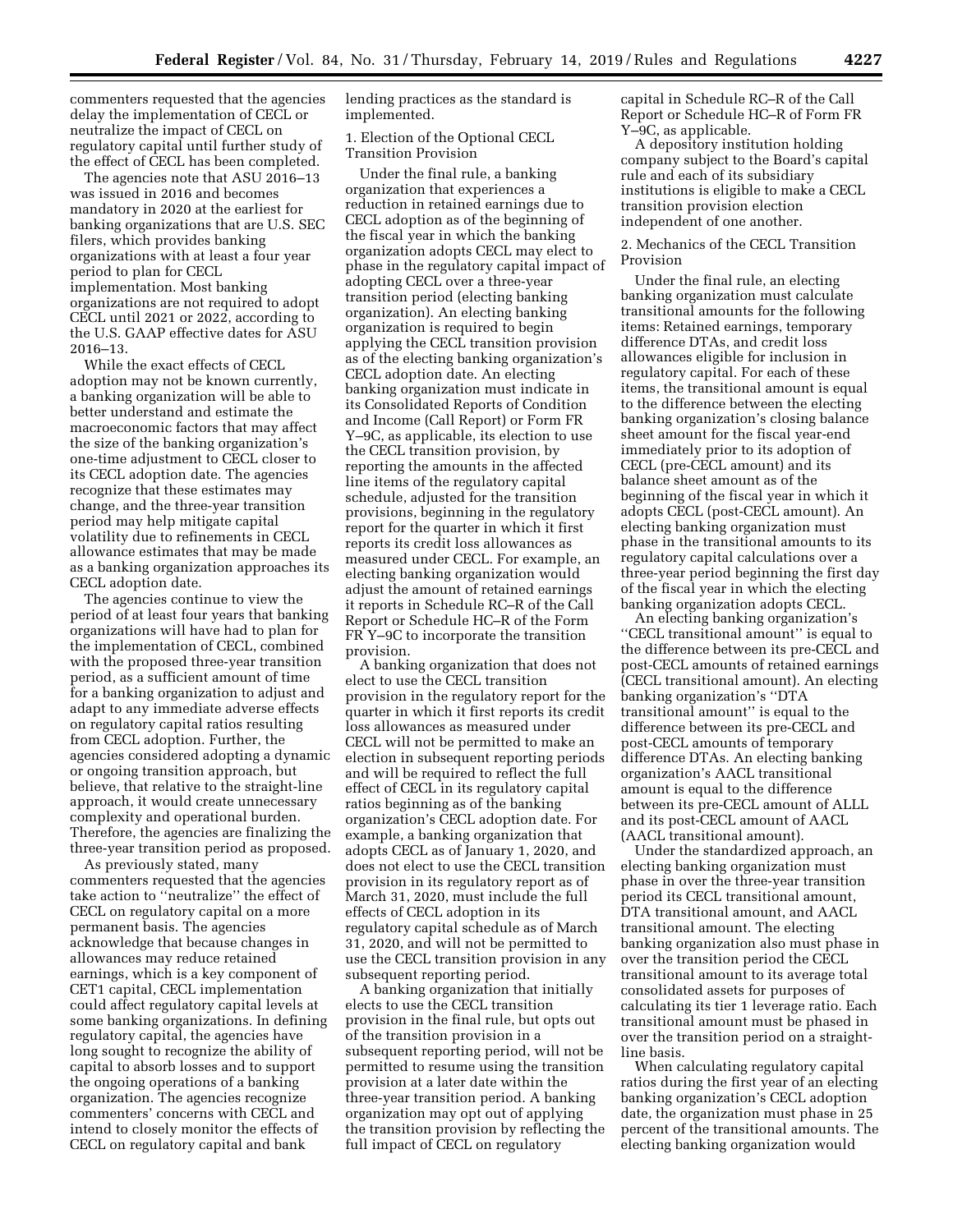commenters requested that the agencies delay the implementation of CECL or neutralize the impact of CECL on regulatory capital until further study of the effect of CECL has been completed.

The agencies note that ASU 2016–13 was issued in 2016 and becomes mandatory in 2020 at the earliest for banking organizations that are U.S. SEC filers, which provides banking organizations with at least a four year period to plan for CECL implementation. Most banking organizations are not required to adopt CECL until 2021 or 2022, according to the U.S. GAAP effective dates for ASU 2016–13.

While the exact effects of CECL adoption may not be known currently, a banking organization will be able to better understand and estimate the macroeconomic factors that may affect the size of the banking organization's one-time adjustment to CECL closer to its CECL adoption date. The agencies recognize that these estimates may change, and the three-year transition period may help mitigate capital volatility due to refinements in CECL allowance estimates that may be made as a banking organization approaches its CECL adoption date.

The agencies continue to view the period of at least four years that banking organizations will have had to plan for the implementation of CECL, combined with the proposed three-year transition period, as a sufficient amount of time for a banking organization to adjust and adapt to any immediate adverse effects on regulatory capital ratios resulting from CECL adoption. Further, the agencies considered adopting a dynamic or ongoing transition approach, but believe, that relative to the straight-line approach, it would create unnecessary complexity and operational burden. Therefore, the agencies are finalizing the three-year transition period as proposed.

As previously stated, many commenters requested that the agencies take action to ''neutralize'' the effect of CECL on regulatory capital on a more permanent basis. The agencies acknowledge that because changes in allowances may reduce retained earnings, which is a key component of CET1 capital, CECL implementation could affect regulatory capital levels at some banking organizations. In defining regulatory capital, the agencies have long sought to recognize the ability of capital to absorb losses and to support the ongoing operations of a banking organization. The agencies recognize commenters' concerns with CECL and intend to closely monitor the effects of CECL on regulatory capital and bank

lending practices as the standard is implemented.

1. Election of the Optional CECL Transition Provision

Under the final rule, a banking organization that experiences a reduction in retained earnings due to CECL adoption as of the beginning of the fiscal year in which the banking organization adopts CECL may elect to phase in the regulatory capital impact of adopting CECL over a three-year transition period (electing banking organization). An electing banking organization is required to begin applying the CECL transition provision as of the electing banking organization's CECL adoption date. An electing banking organization must indicate in its Consolidated Reports of Condition and Income (Call Report) or Form FR Y–9C, as applicable, its election to use the CECL transition provision, by reporting the amounts in the affected line items of the regulatory capital schedule, adjusted for the transition provisions, beginning in the regulatory report for the quarter in which it first reports its credit loss allowances as measured under CECL. For example, an electing banking organization would adjust the amount of retained earnings it reports in Schedule RC–R of the Call Report or Schedule HC–R of the Form FR Y–9C to incorporate the transition provision.

A banking organization that does not elect to use the CECL transition provision in the regulatory report for the quarter in which it first reports its credit loss allowances as measured under CECL will not be permitted to make an election in subsequent reporting periods and will be required to reflect the full effect of CECL in its regulatory capital ratios beginning as of the banking organization's CECL adoption date. For example, a banking organization that adopts CECL as of January 1, 2020, and does not elect to use the CECL transition provision in its regulatory report as of March 31, 2020, must include the full effects of CECL adoption in its regulatory capital schedule as of March 31, 2020, and will not be permitted to use the CECL transition provision in any subsequent reporting period.

A banking organization that initially elects to use the CECL transition provision in the final rule, but opts out of the transition provision in a subsequent reporting period, will not be permitted to resume using the transition provision at a later date within the three-year transition period. A banking organization may opt out of applying the transition provision by reflecting the full impact of CECL on regulatory

capital in Schedule RC–R of the Call Report or Schedule HC–R of Form FR Y–9C, as applicable.

A depository institution holding company subject to the Board's capital rule and each of its subsidiary institutions is eligible to make a CECL transition provision election independent of one another.

2. Mechanics of the CECL Transition Provision

Under the final rule, an electing banking organization must calculate transitional amounts for the following items: Retained earnings, temporary difference DTAs, and credit loss allowances eligible for inclusion in regulatory capital. For each of these items, the transitional amount is equal to the difference between the electing banking organization's closing balance sheet amount for the fiscal year-end immediately prior to its adoption of CECL (pre-CECL amount) and its balance sheet amount as of the beginning of the fiscal year in which it adopts CECL (post-CECL amount). An electing banking organization must phase in the transitional amounts to its regulatory capital calculations over a three-year period beginning the first day of the fiscal year in which the electing banking organization adopts CECL.

An electing banking organization's ''CECL transitional amount'' is equal to the difference between its pre-CECL and post-CECL amounts of retained earnings (CECL transitional amount). An electing banking organization's ''DTA transitional amount'' is equal to the difference between its pre-CECL and post-CECL amounts of temporary difference DTAs. An electing banking organization's AACL transitional amount is equal to the difference between its pre-CECL amount of ALLL and its post-CECL amount of AACL (AACL transitional amount).

Under the standardized approach, an electing banking organization must phase in over the three-year transition period its CECL transitional amount, DTA transitional amount, and AACL transitional amount. The electing banking organization also must phase in over the transition period the CECL transitional amount to its average total consolidated assets for purposes of calculating its tier 1 leverage ratio. Each transitional amount must be phased in over the transition period on a straightline basis.

When calculating regulatory capital ratios during the first year of an electing banking organization's CECL adoption date, the organization must phase in 25 percent of the transitional amounts. The electing banking organization would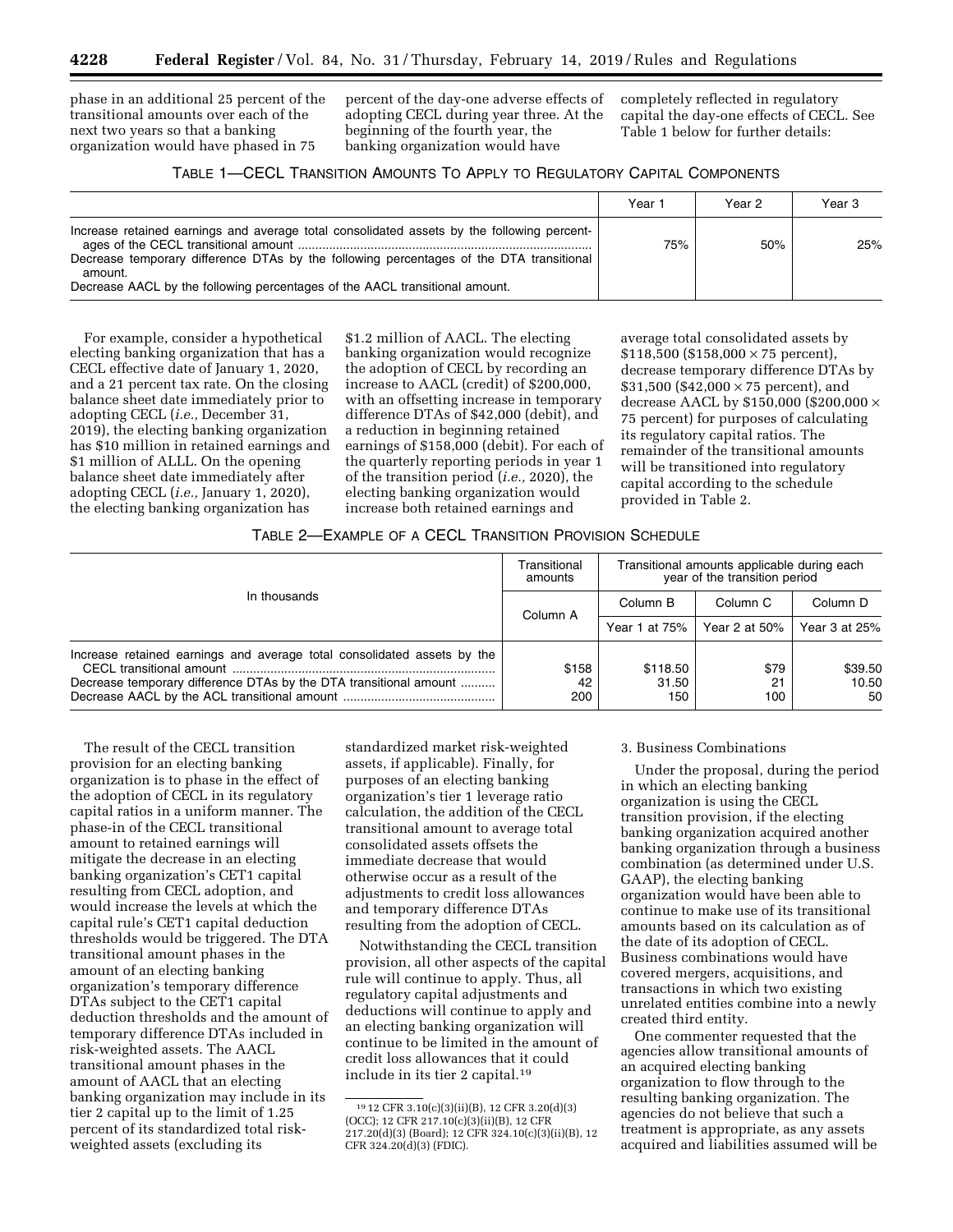phase in an additional 25 percent of the transitional amounts over each of the next two years so that a banking organization would have phased in 75

percent of the day-one adverse effects of adopting CECL during year three. At the beginning of the fourth year, the banking organization would have

completely reflected in regulatory capital the day-one effects of CECL. See Table 1 below for further details:

| TABLE 1-CECL TRANSITION AMOUNTS TO APPLY TO REGULATORY CAPITAL COMPONENTS |  |  |  |
|---------------------------------------------------------------------------|--|--|--|
|---------------------------------------------------------------------------|--|--|--|

|                                                                                                                                                                                                                                                                                 | Year 1 | Year 2 | Year 3 |
|---------------------------------------------------------------------------------------------------------------------------------------------------------------------------------------------------------------------------------------------------------------------------------|--------|--------|--------|
| Increase retained earnings and average total consolidated assets by the following percent-<br>Decrease temporary difference DTAs by the following percentages of the DTA transitional<br>amount.<br>Decrease AACL by the following percentages of the AACL transitional amount. | 75%    | 50%    | 25%    |

For example, consider a hypothetical electing banking organization that has a CECL effective date of January 1, 2020, and a 21 percent tax rate. On the closing balance sheet date immediately prior to adopting CECL (*i.e.,* December 31, 2019), the electing banking organization has \$10 million in retained earnings and \$1 million of ALLL. On the opening balance sheet date immediately after adopting CECL (*i.e.,* January 1, 2020), the electing banking organization has

\$1.2 million of AACL. The electing banking organization would recognize the adoption of CECL by recording an increase to AACL (credit) of \$200,000, with an offsetting increase in temporary difference DTAs of \$42,000 (debit), and a reduction in beginning retained earnings of \$158,000 (debit). For each of the quarterly reporting periods in year 1 of the transition period (*i.e.,* 2020), the electing banking organization would increase both retained earnings and

average total consolidated assets by  $$118,500$  (\$158,000  $\times$  75 percent), decrease temporary difference DTAs by \$31,500 (\$42,000  $\times$  75 percent), and decrease AACL by \$150,000 (\$200,000 × 75 percent) for purposes of calculating its regulatory capital ratios. The remainder of the transitional amounts will be transitioned into regulatory capital according to the schedule provided in Table 2.

# TABLE 2—EXAMPLE OF A CECL TRANSITION PROVISION SCHEDULE

|                                                                         | Transitional<br>amounts | Transitional amounts applicable during each<br>year of the transition period |                     |               |
|-------------------------------------------------------------------------|-------------------------|------------------------------------------------------------------------------|---------------------|---------------|
| In thousands                                                            | Column A                | Column B                                                                     | Column <sub>C</sub> | Column D      |
|                                                                         |                         | Year 1 at 75%                                                                | Year 2 at $50\%$    | Year 3 at 25% |
| Increase retained earnings and average total consolidated assets by the | \$158                   | \$118.50                                                                     | \$79                | \$39.50       |
| Decrease temporary difference DTAs by the DTA transitional amount       | 42<br>200               | 31.50<br>150                                                                 | 21<br>100           | 10.50<br>50   |

The result of the CECL transition provision for an electing banking organization is to phase in the effect of the adoption of CECL in its regulatory capital ratios in a uniform manner. The phase-in of the CECL transitional amount to retained earnings will mitigate the decrease in an electing banking organization's CET1 capital resulting from CECL adoption, and would increase the levels at which the capital rule's CET1 capital deduction thresholds would be triggered. The DTA transitional amount phases in the amount of an electing banking organization's temporary difference DTAs subject to the CET1 capital deduction thresholds and the amount of temporary difference DTAs included in risk-weighted assets. The AACL transitional amount phases in the amount of AACL that an electing banking organization may include in its tier 2 capital up to the limit of 1.25 percent of its standardized total riskweighted assets (excluding its

standardized market risk-weighted assets, if applicable). Finally, for purposes of an electing banking organization's tier 1 leverage ratio calculation, the addition of the CECL transitional amount to average total consolidated assets offsets the immediate decrease that would otherwise occur as a result of the adjustments to credit loss allowances and temporary difference DTAs resulting from the adoption of CECL.

Notwithstanding the CECL transition provision, all other aspects of the capital rule will continue to apply. Thus, all regulatory capital adjustments and deductions will continue to apply and an electing banking organization will continue to be limited in the amount of credit loss allowances that it could include in its tier 2 capital.19

### 3. Business Combinations

Under the proposal, during the period in which an electing banking organization is using the CECL transition provision, if the electing banking organization acquired another banking organization through a business combination (as determined under U.S. GAAP), the electing banking organization would have been able to continue to make use of its transitional amounts based on its calculation as of the date of its adoption of CECL. Business combinations would have covered mergers, acquisitions, and transactions in which two existing unrelated entities combine into a newly created third entity.

One commenter requested that the agencies allow transitional amounts of an acquired electing banking organization to flow through to the resulting banking organization. The agencies do not believe that such a treatment is appropriate, as any assets acquired and liabilities assumed will be

<sup>19</sup> 12 CFR 3.10(c)(3)(ii)(B), 12 CFR 3.20(d)(3) (OCC); 12 CFR 217.10(c)(3)(ii)(B), 12 CFR 217.20(d)(3) (Board); 12 CFR 324.10(c)(3)(ii)(B), 12 CFR 324.20(d)(3) (FDIC).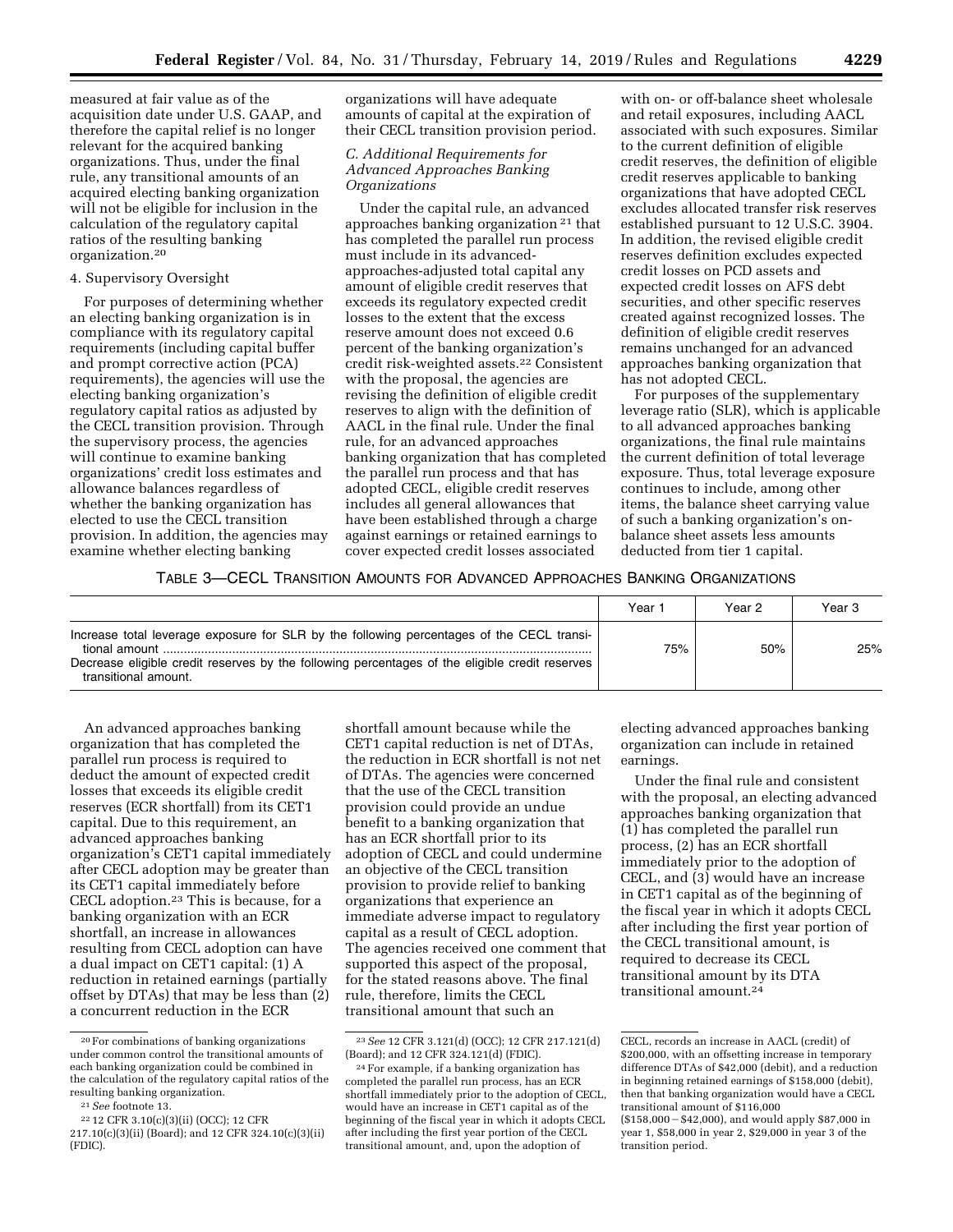measured at fair value as of the acquisition date under U.S. GAAP, and therefore the capital relief is no longer relevant for the acquired banking organizations. Thus, under the final rule, any transitional amounts of an acquired electing banking organization will not be eligible for inclusion in the calculation of the regulatory capital ratios of the resulting banking organization.20

### 4. Supervisory Oversight

For purposes of determining whether an electing banking organization is in compliance with its regulatory capital requirements (including capital buffer and prompt corrective action (PCA) requirements), the agencies will use the electing banking organization's regulatory capital ratios as adjusted by the CECL transition provision. Through the supervisory process, the agencies will continue to examine banking organizations' credit loss estimates and allowance balances regardless of whether the banking organization has elected to use the CECL transition provision. In addition, the agencies may examine whether electing banking

organizations will have adequate amounts of capital at the expiration of their CECL transition provision period.

# *C. Additional Requirements for Advanced Approaches Banking Organizations*

Under the capital rule, an advanced approaches banking organization 21 that has completed the parallel run process must include in its advancedapproaches-adjusted total capital any amount of eligible credit reserves that exceeds its regulatory expected credit losses to the extent that the excess reserve amount does not exceed 0.6 percent of the banking organization's credit risk-weighted assets.22 Consistent with the proposal, the agencies are revising the definition of eligible credit reserves to align with the definition of AACL in the final rule. Under the final rule, for an advanced approaches banking organization that has completed the parallel run process and that has adopted CECL, eligible credit reserves includes all general allowances that have been established through a charge against earnings or retained earnings to cover expected credit losses associated

with on- or off-balance sheet wholesale and retail exposures, including AACL associated with such exposures. Similar to the current definition of eligible credit reserves, the definition of eligible credit reserves applicable to banking organizations that have adopted CECL excludes allocated transfer risk reserves established pursuant to 12 U.S.C. 3904. In addition, the revised eligible credit reserves definition excludes expected credit losses on PCD assets and expected credit losses on AFS debt securities, and other specific reserves created against recognized losses. The definition of eligible credit reserves remains unchanged for an advanced approaches banking organization that has not adopted CECL.

For purposes of the supplementary leverage ratio (SLR), which is applicable to all advanced approaches banking organizations, the final rule maintains the current definition of total leverage exposure. Thus, total leverage exposure continues to include, among other items, the balance sheet carrying value of such a banking organization's onbalance sheet assets less amounts deducted from tier 1 capital.

### TABLE 3—CECL TRANSITION AMOUNTS FOR ADVANCED APPROACHES BANKING ORGANIZATIONS

|                                                                                                                                                                                                                                      | Year ' | Year 2 | Year 3 |
|--------------------------------------------------------------------------------------------------------------------------------------------------------------------------------------------------------------------------------------|--------|--------|--------|
| Increase total leverage exposure for SLR by the following percentages of the CECL transi-<br>tional amount<br>Decrease eligible credit reserves by the following percentages of the eligible credit reserves<br>transitional amount. | 75%    | 50%    | 25%    |

An advanced approaches banking organization that has completed the parallel run process is required to deduct the amount of expected credit losses that exceeds its eligible credit reserves (ECR shortfall) from its CET1 capital. Due to this requirement, an advanced approaches banking organization's CET1 capital immediately after CECL adoption may be greater than its CET1 capital immediately before CECL adoption.23 This is because, for a banking organization with an ECR shortfall, an increase in allowances resulting from CECL adoption can have a dual impact on CET1 capital: (1) A reduction in retained earnings (partially offset by DTAs) that may be less than (2) a concurrent reduction in the ECR

shortfall amount because while the CET1 capital reduction is net of DTAs, the reduction in ECR shortfall is not net of DTAs. The agencies were concerned that the use of the CECL transition provision could provide an undue benefit to a banking organization that has an ECR shortfall prior to its adoption of CECL and could undermine an objective of the CECL transition provision to provide relief to banking organizations that experience an immediate adverse impact to regulatory capital as a result of CECL adoption. The agencies received one comment that supported this aspect of the proposal, for the stated reasons above. The final rule, therefore, limits the CECL transitional amount that such an

electing advanced approaches banking organization can include in retained earnings.

Under the final rule and consistent with the proposal, an electing advanced approaches banking organization that (1) has completed the parallel run process, (2) has an ECR shortfall immediately prior to the adoption of CECL, and (3) would have an increase in CET1 capital as of the beginning of the fiscal year in which it adopts CECL after including the first year portion of the CECL transitional amount, is required to decrease its CECL transitional amount by its DTA transitional amount.24

<sup>20</sup>For combinations of banking organizations under common control the transitional amounts of each banking organization could be combined in the calculation of the regulatory capital ratios of the resulting banking organization.

<sup>21</sup>*See* footnote 13.

<sup>22</sup> 12 CFR 3.10(c)(3)(ii) (OCC); 12 CFR 217.10(c)(3)(ii) (Board); and 12 CFR 324.10(c)(3)(ii) (FDIC).

<sup>23</sup>*See* 12 CFR 3.121(d) (OCC); 12 CFR 217.121(d) (Board); and 12 CFR 324.121(d) (FDIC).

<sup>24</sup>For example, if a banking organization has completed the parallel run process, has an ECR shortfall immediately prior to the adoption of CECL, would have an increase in CET1 capital as of the beginning of the fiscal year in which it adopts CECL after including the first year portion of the CECL transitional amount, and, upon the adoption of

CECL, records an increase in AACL (credit) of \$200,000, with an offsetting increase in temporary difference DTAs of \$42,000 (debit), and a reduction in beginning retained earnings of \$158,000 (debit), then that banking organization would have a CECL transitional amount of \$116,000

<sup>(\$158,000 - \$42,000),</sup> and would apply \$87,000 in year 1, \$58,000 in year 2, \$29,000 in year 3 of the transition period.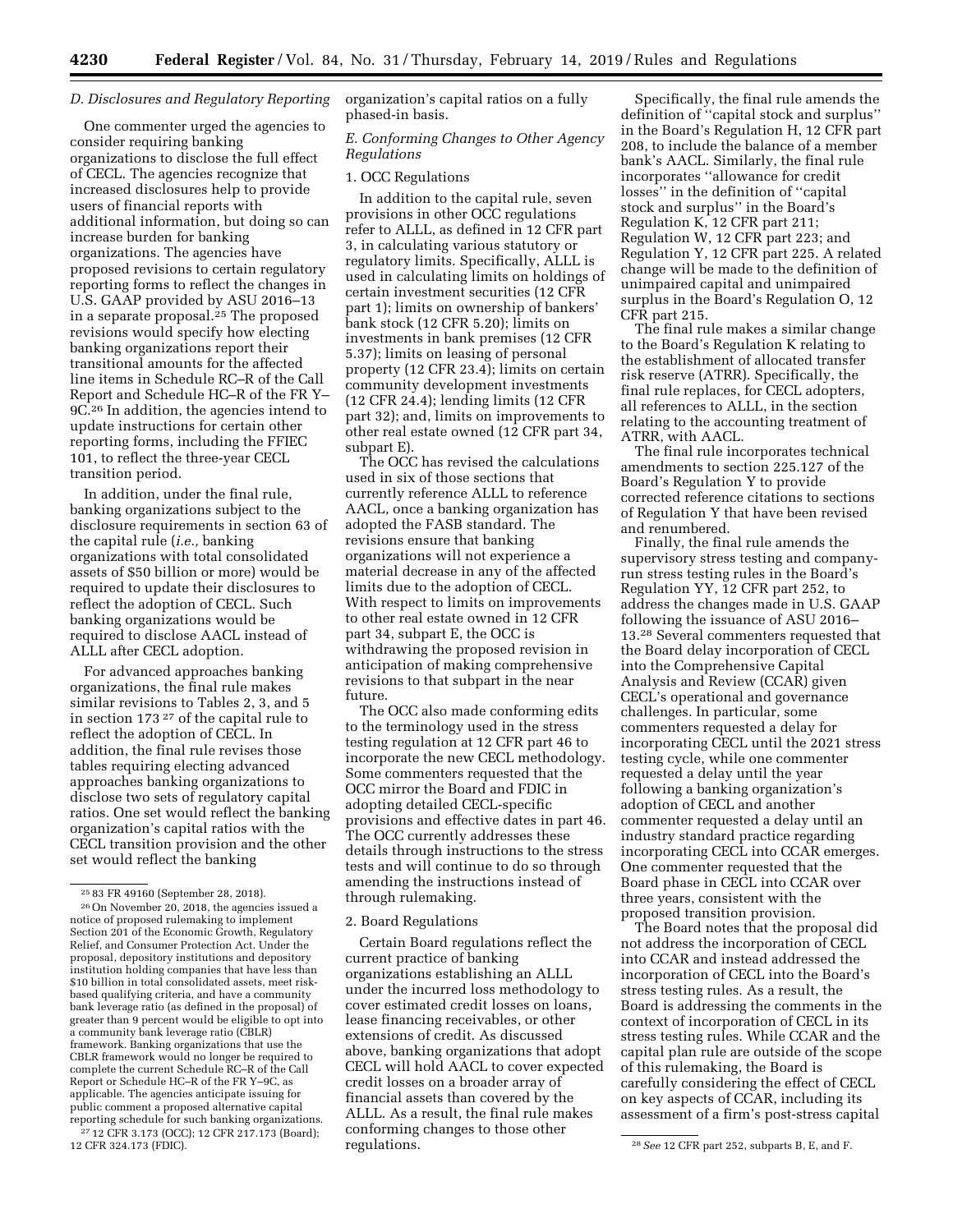# *D. Disclosures and Regulatory Reporting*

One commenter urged the agencies to consider requiring banking organizations to disclose the full effect of CECL. The agencies recognize that increased disclosures help to provide users of financial reports with additional information, but doing so can increase burden for banking organizations. The agencies have proposed revisions to certain regulatory reporting forms to reflect the changes in U.S. GAAP provided by ASU 2016–13 in a separate proposal.<sup>25</sup> The proposed revisions would specify how electing banking organizations report their transitional amounts for the affected line items in Schedule RC–R of the Call Report and Schedule HC–R of the FR Y– 9C.26 In addition, the agencies intend to update instructions for certain other reporting forms, including the FFIEC 101, to reflect the three-year CECL transition period.

In addition, under the final rule, banking organizations subject to the disclosure requirements in section 63 of the capital rule (*i.e.,* banking organizations with total consolidated assets of \$50 billion or more) would be required to update their disclosures to reflect the adoption of CECL. Such banking organizations would be required to disclose AACL instead of ALLL after CECL adoption.

For advanced approaches banking organizations, the final rule makes similar revisions to Tables 2, 3, and 5 in section 173 27 of the capital rule to reflect the adoption of CECL. In addition, the final rule revises those tables requiring electing advanced approaches banking organizations to disclose two sets of regulatory capital ratios. One set would reflect the banking organization's capital ratios with the CECL transition provision and the other set would reflect the banking

<sup>27</sup> 12 CFR 3.173 (OCC); 12 CFR 217.173 (Board); 12 CFR 324.173 (FDIC).

organization's capital ratios on a fully phased-in basis.

*E. Conforming Changes to Other Agency Regulations* 

# 1. OCC Regulations

In addition to the capital rule, seven provisions in other OCC regulations refer to ALLL, as defined in 12 CFR part 3, in calculating various statutory or regulatory limits. Specifically, ALLL is used in calculating limits on holdings of certain investment securities (12 CFR part 1); limits on ownership of bankers' bank stock (12 CFR 5.20); limits on investments in bank premises (12 CFR 5.37); limits on leasing of personal property (12 CFR 23.4); limits on certain community development investments (12 CFR 24.4); lending limits (12 CFR part 32); and, limits on improvements to other real estate owned (12 CFR part 34, subpart E).

The OCC has revised the calculations used in six of those sections that currently reference ALLL to reference AACL, once a banking organization has adopted the FASB standard. The revisions ensure that banking organizations will not experience a material decrease in any of the affected limits due to the adoption of CECL. With respect to limits on improvements to other real estate owned in 12 CFR part 34, subpart E, the OCC is withdrawing the proposed revision in anticipation of making comprehensive revisions to that subpart in the near future.

The OCC also made conforming edits to the terminology used in the stress testing regulation at 12 CFR part 46 to incorporate the new CECL methodology. Some commenters requested that the OCC mirror the Board and FDIC in adopting detailed CECL-specific provisions and effective dates in part 46. The OCC currently addresses these details through instructions to the stress tests and will continue to do so through amending the instructions instead of through rulemaking.

#### 2. Board Regulations

Certain Board regulations reflect the current practice of banking organizations establishing an ALLL under the incurred loss methodology to cover estimated credit losses on loans, lease financing receivables, or other extensions of credit. As discussed above, banking organizations that adopt CECL will hold AACL to cover expected credit losses on a broader array of financial assets than covered by the ALLL. As a result, the final rule makes conforming changes to those other regulations.

Specifically, the final rule amends the definition of ''capital stock and surplus'' in the Board's Regulation H, 12 CFR part 208, to include the balance of a member bank's AACL. Similarly, the final rule incorporates ''allowance for credit losses'' in the definition of ''capital stock and surplus'' in the Board's Regulation K, 12 CFR part 211; Regulation W, 12 CFR part 223; and Regulation Y, 12 CFR part 225. A related change will be made to the definition of unimpaired capital and unimpaired surplus in the Board's Regulation O, 12 CFR part 215.

The final rule makes a similar change to the Board's Regulation K relating to the establishment of allocated transfer risk reserve (ATRR). Specifically, the final rule replaces, for CECL adopters, all references to ALLL, in the section relating to the accounting treatment of ATRR, with AACL.

The final rule incorporates technical amendments to section 225.127 of the Board's Regulation Y to provide corrected reference citations to sections of Regulation Y that have been revised and renumbered.

Finally, the final rule amends the supervisory stress testing and companyrun stress testing rules in the Board's Regulation YY, 12 CFR part 252, to address the changes made in U.S. GAAP following the issuance of ASU 2016– 13.28 Several commenters requested that the Board delay incorporation of CECL into the Comprehensive Capital Analysis and Review (CCAR) given CECL's operational and governance challenges. In particular, some commenters requested a delay for incorporating CECL until the 2021 stress testing cycle, while one commenter requested a delay until the year following a banking organization's adoption of CECL and another commenter requested a delay until an industry standard practice regarding incorporating CECL into CCAR emerges. One commenter requested that the Board phase in CECL into CCAR over three years, consistent with the proposed transition provision.

The Board notes that the proposal did not address the incorporation of CECL into CCAR and instead addressed the incorporation of CECL into the Board's stress testing rules. As a result, the Board is addressing the comments in the context of incorporation of CECL in its stress testing rules. While CCAR and the capital plan rule are outside of the scope of this rulemaking, the Board is carefully considering the effect of CECL on key aspects of CCAR, including its assessment of a firm's post-stress capital

<sup>25</sup> 83 FR 49160 (September 28, 2018).

<sup>26</sup>On November 20, 2018, the agencies issued a notice of proposed rulemaking to implement Section 201 of the Economic Growth, Regulatory Relief, and Consumer Protection Act. Under the proposal, depository institutions and depository institution holding companies that have less than \$10 billion in total consolidated assets, meet riskbased qualifying criteria, and have a community bank leverage ratio (as defined in the proposal) of greater than 9 percent would be eligible to opt into a community bank leverage ratio (CBLR) framework. Banking organizations that use the CBLR framework would no longer be required to complete the current Schedule RC–R of the Call Report or Schedule HC–R of the FR Y–9C, as applicable. The agencies anticipate issuing for public comment a proposed alternative capital reporting schedule for such banking organizations.

<sup>&</sup>lt;sup>28</sup> See 12 CFR part 252, subparts B, E, and F.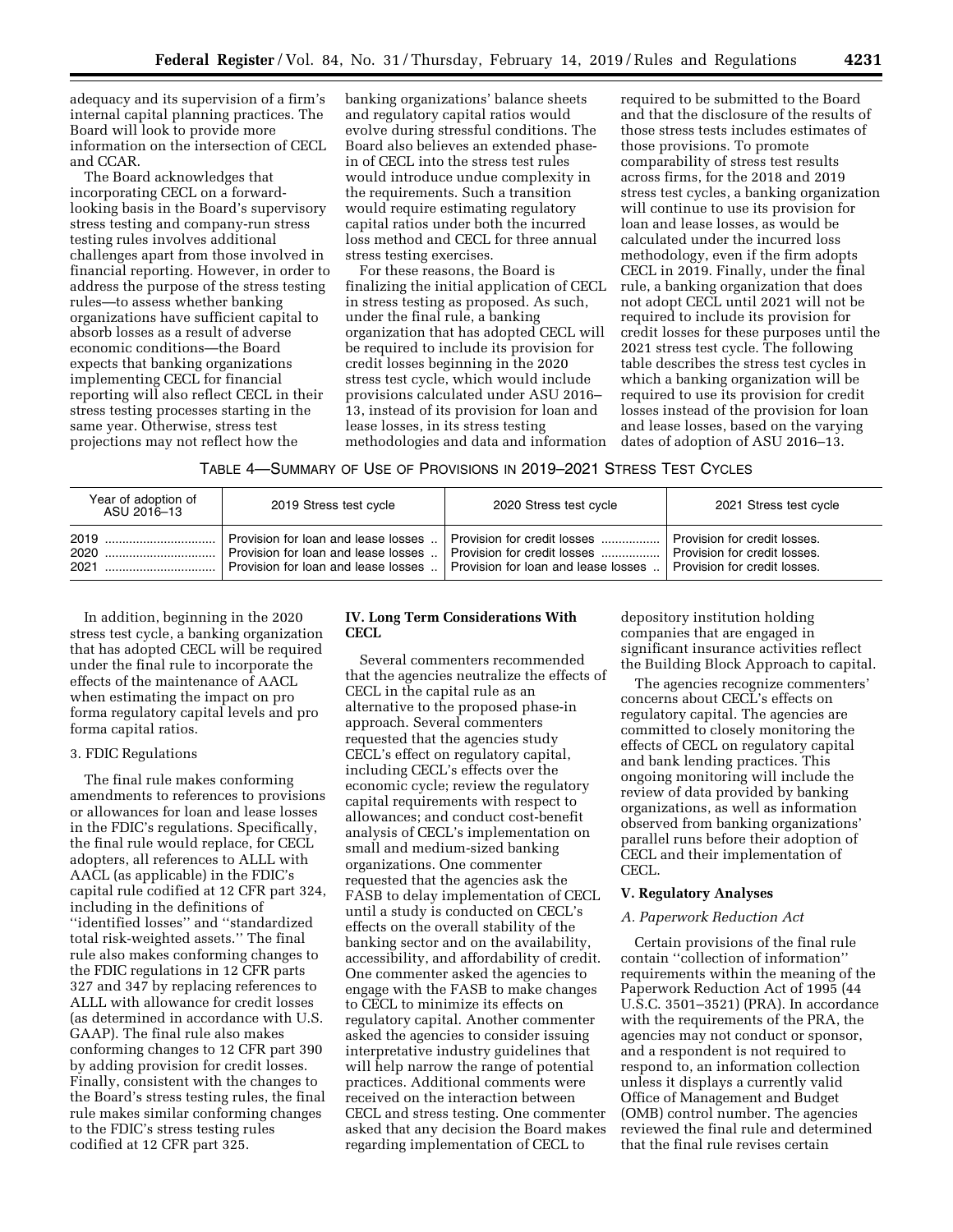adequacy and its supervision of a firm's internal capital planning practices. The Board will look to provide more information on the intersection of CECL and CCAR.

The Board acknowledges that incorporating CECL on a forwardlooking basis in the Board's supervisory stress testing and company-run stress testing rules involves additional challenges apart from those involved in financial reporting. However, in order to address the purpose of the stress testing rules—to assess whether banking organizations have sufficient capital to absorb losses as a result of adverse economic conditions—the Board expects that banking organizations implementing CECL for financial reporting will also reflect CECL in their stress testing processes starting in the same year. Otherwise, stress test projections may not reflect how the

banking organizations' balance sheets and regulatory capital ratios would evolve during stressful conditions. The Board also believes an extended phasein of CECL into the stress test rules would introduce undue complexity in the requirements. Such a transition would require estimating regulatory capital ratios under both the incurred loss method and CECL for three annual stress testing exercises.

For these reasons, the Board is finalizing the initial application of CECL in stress testing as proposed. As such, under the final rule, a banking organization that has adopted CECL will be required to include its provision for credit losses beginning in the 2020 stress test cycle, which would include provisions calculated under ASU 2016– 13, instead of its provision for loan and lease losses, in its stress testing methodologies and data and information

required to be submitted to the Board and that the disclosure of the results of those stress tests includes estimates of those provisions. To promote comparability of stress test results across firms, for the 2018 and 2019 stress test cycles, a banking organization will continue to use its provision for loan and lease losses, as would be calculated under the incurred loss methodology, even if the firm adopts CECL in 2019. Finally, under the final rule, a banking organization that does not adopt CECL until 2021 will not be required to include its provision for credit losses for these purposes until the 2021 stress test cycle. The following table describes the stress test cycles in which a banking organization will be required to use its provision for credit losses instead of the provision for loan and lease losses, based on the varying dates of adoption of ASU 2016–13.

TABLE 4—SUMMARY OF USE OF PROVISIONS IN 2019–2021 STRESS TEST CYCLES

| Year of adoption of<br>ASU 2016-13 | 2019 Stress test cycle                                                     | 2020 Stress test cycle                                                                                       | 2021 Stress test cycle                                                                       |
|------------------------------------|----------------------------------------------------------------------------|--------------------------------------------------------------------------------------------------------------|----------------------------------------------------------------------------------------------|
|                                    | Provision for loan and lease losses<br>Provision for loan and lease losses | Provision for credit losses   <br>Provision for loan and lease losses    Provision for loan and lease losses | Provision for credit losses.<br>Provision for credit losses.<br>Provision for credit losses. |

In addition, beginning in the 2020 stress test cycle, a banking organization that has adopted CECL will be required under the final rule to incorporate the effects of the maintenance of AACL when estimating the impact on pro forma regulatory capital levels and pro forma capital ratios.

#### 3. FDIC Regulations

The final rule makes conforming amendments to references to provisions or allowances for loan and lease losses in the FDIC's regulations. Specifically, the final rule would replace, for CECL adopters, all references to ALLL with AACL (as applicable) in the FDIC's capital rule codified at 12 CFR part 324, including in the definitions of ''identified losses'' and ''standardized total risk-weighted assets.'' The final rule also makes conforming changes to the FDIC regulations in 12 CFR parts 327 and 347 by replacing references to ALLL with allowance for credit losses (as determined in accordance with U.S. GAAP). The final rule also makes conforming changes to 12 CFR part 390 by adding provision for credit losses. Finally, consistent with the changes to the Board's stress testing rules, the final rule makes similar conforming changes to the FDIC's stress testing rules codified at 12 CFR part 325.

# **IV. Long Term Considerations With CECL**

Several commenters recommended that the agencies neutralize the effects of CECL in the capital rule as an alternative to the proposed phase-in approach. Several commenters requested that the agencies study CECL's effect on regulatory capital, including CECL's effects over the economic cycle; review the regulatory capital requirements with respect to allowances; and conduct cost-benefit analysis of CECL's implementation on small and medium-sized banking organizations. One commenter requested that the agencies ask the FASB to delay implementation of CECL until a study is conducted on CECL's effects on the overall stability of the banking sector and on the availability, accessibility, and affordability of credit. One commenter asked the agencies to engage with the FASB to make changes to CECL to minimize its effects on regulatory capital. Another commenter asked the agencies to consider issuing interpretative industry guidelines that will help narrow the range of potential practices. Additional comments were received on the interaction between CECL and stress testing. One commenter asked that any decision the Board makes regarding implementation of CECL to

depository institution holding companies that are engaged in significant insurance activities reflect the Building Block Approach to capital.

The agencies recognize commenters' concerns about CECL's effects on regulatory capital. The agencies are committed to closely monitoring the effects of CECL on regulatory capital and bank lending practices. This ongoing monitoring will include the review of data provided by banking organizations, as well as information observed from banking organizations' parallel runs before their adoption of CECL and their implementation of CECL.

### **V. Regulatory Analyses**

#### *A. Paperwork Reduction Act*

Certain provisions of the final rule contain ''collection of information'' requirements within the meaning of the Paperwork Reduction Act of 1995 (44 U.S.C. 3501–3521) (PRA). In accordance with the requirements of the PRA, the agencies may not conduct or sponsor, and a respondent is not required to respond to, an information collection unless it displays a currently valid Office of Management and Budget (OMB) control number. The agencies reviewed the final rule and determined that the final rule revises certain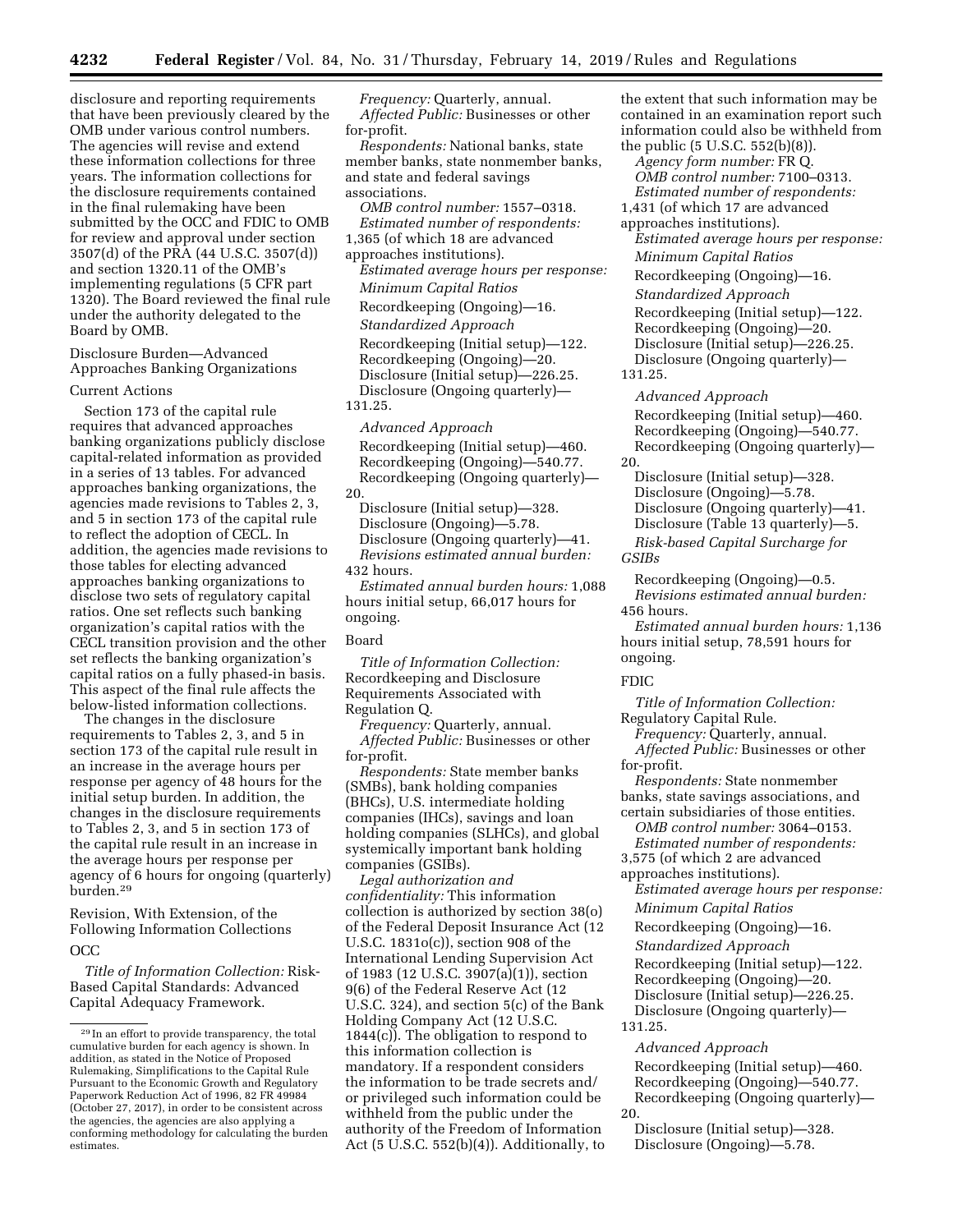disclosure and reporting requirements that have been previously cleared by the OMB under various control numbers. The agencies will revise and extend these information collections for three years. The information collections for the disclosure requirements contained in the final rulemaking have been submitted by the OCC and FDIC to OMB for review and approval under section 3507(d) of the PRA (44 U.S.C. 3507(d)) and section 1320.11 of the OMB's implementing regulations (5 CFR part 1320). The Board reviewed the final rule under the authority delegated to the Board by OMB.

Disclosure Burden—Advanced Approaches Banking Organizations

### Current Actions

Section 173 of the capital rule requires that advanced approaches banking organizations publicly disclose capital-related information as provided in a series of 13 tables. For advanced approaches banking organizations, the agencies made revisions to Tables 2, 3, and 5 in section 173 of the capital rule to reflect the adoption of CECL. In addition, the agencies made revisions to those tables for electing advanced approaches banking organizations to disclose two sets of regulatory capital ratios. One set reflects such banking organization's capital ratios with the CECL transition provision and the other set reflects the banking organization's capital ratios on a fully phased-in basis. This aspect of the final rule affects the below-listed information collections.

The changes in the disclosure requirements to Tables 2, 3, and 5 in section 173 of the capital rule result in an increase in the average hours per response per agency of 48 hours for the initial setup burden. In addition, the changes in the disclosure requirements to Tables 2, 3, and 5 in section 173 of the capital rule result in an increase in the average hours per response per agency of 6 hours for ongoing (quarterly) burden.29

Revision, With Extension, of the Following Information Collections OCC

*Title of Information Collection:* Risk-Based Capital Standards: Advanced Capital Adequacy Framework.

*Frequency:* Quarterly, annual. *Affected Public:* Businesses or other for-profit.

*Respondents:* National banks, state member banks, state nonmember banks, and state and federal savings associations.

*OMB control number:* 1557–0318. *Estimated number of respondents:* 

1,365 (of which 18 are advanced

approaches institutions).

*Estimated average hours per response: Minimum Capital Ratios*  Recordkeeping (Ongoing)—16. *Standardized Approach*  Recordkeeping (Initial setup)—122. Recordkeeping (Ongoing)—20. Disclosure (Initial setup)—226.25. Disclosure (Ongoing quarterly)—

131.25.

*Advanced Approach*  Recordkeeping (Initial setup)—460. Recordkeeping (Ongoing)—540.77. Recordkeeping (Ongoing quarterly)— 20.

Disclosure (Initial setup)—328. Disclosure (Ongoing)—5.78. Disclosure (Ongoing quarterly)—41. *Revisions estimated annual burden:*  432 hours.

*Estimated annual burden hours:* 1,088 hours initial setup, 66,017 hours for ongoing.

# Board

*Title of Information Collection:*  Recordkeeping and Disclosure Requirements Associated with Regulation Q.

*Frequency:* Quarterly, annual. *Affected Public:* Businesses or other for-profit.

*Respondents:* State member banks (SMBs), bank holding companies (BHCs), U.S. intermediate holding companies (IHCs), savings and loan holding companies (SLHCs), and global systemically important bank holding companies (GSIBs).

*Legal authorization and confidentiality:* This information collection is authorized by section 38(o) of the Federal Deposit Insurance Act (12 U.S.C. 1831o(c)), section 908 of the International Lending Supervision Act of 1983 (12 U.S.C. 3907(a)(1)), section 9(6) of the Federal Reserve Act (12 U.S.C. 324), and section 5(c) of the Bank Holding Company Act (12 U.S.C. 1844(c)). The obligation to respond to this information collection is mandatory. If a respondent considers the information to be trade secrets and/ or privileged such information could be withheld from the public under the authority of the Freedom of Information Act (5 U.S.C. 552(b)(4)). Additionally, to the extent that such information may be contained in an examination report such information could also be withheld from the public (5 U.S.C. 552(b)(8)). *Agency form number:* FR Q. *OMB control number:* 7100–0313. *Estimated number of respondents:*  1,431 (of which 17 are advanced approaches institutions). *Estimated average hours per response: Minimum Capital Ratios*  Recordkeeping (Ongoing)—16. *Standardized Approach*  Recordkeeping (Initial setup)—122. Recordkeeping (Ongoing)—20. Disclosure (Initial setup)—226.25. Disclosure (Ongoing quarterly)— 131.25. *Advanced Approach*  Recordkeeping (Initial setup)—460. Recordkeeping (Ongoing)—540.77. Recordkeeping (Ongoing quarterly)— 20. Disclosure (Initial setup)—328. Disclosure (Ongoing)—5.78. Disclosure (Ongoing quarterly)—41.

Disclosure (Table 13 quarterly)—5. *Risk-based Capital Surcharge for GSIBs* 

Recordkeeping (Ongoing)—0.5. *Revisions estimated annual burden:*  456 hours.

*Estimated annual burden hours:* 1,136 hours initial setup, 78,591 hours for ongoing.

### FDIC

*Title of Information Collection:*  Regulatory Capital Rule.

*Frequency:* Quarterly, annual. *Affected Public:* Businesses or other for-profit.

*Respondents:* State nonmember banks, state savings associations, and certain subsidiaries of those entities.

*OMB control number:* 3064–0153.

*Estimated number of respondents:*  3,575 (of which 2 are advanced

approaches institutions).

*Estimated average hours per response:* 

*Minimum Capital Ratios* 

Recordkeeping (Ongoing)—16.

*Standardized Approach* 

Recordkeeping (Initial setup)—122.

Recordkeeping (Ongoing)—20. Disclosure (Initial setup)—226.25.

Disclosure (Ongoing quarterly)— 131.25.

*Advanced Approach*  Recordkeeping (Initial setup)—460. Recordkeeping (Ongoing)—540.77. Recordkeeping (Ongoing quarterly)—

20.

Disclosure (Initial setup)—328. Disclosure (Ongoing)—5.78.

<sup>29</sup> In an effort to provide transparency, the total cumulative burden for each agency is shown. In addition, as stated in the Notice of Proposed Rulemaking, Simplifications to the Capital Rule Pursuant to the Economic Growth and Regulatory Paperwork Reduction Act of 1996, 82 FR 49984 (October 27, 2017), in order to be consistent across the agencies, the agencies are also applying a conforming methodology for calculating the burden estimates.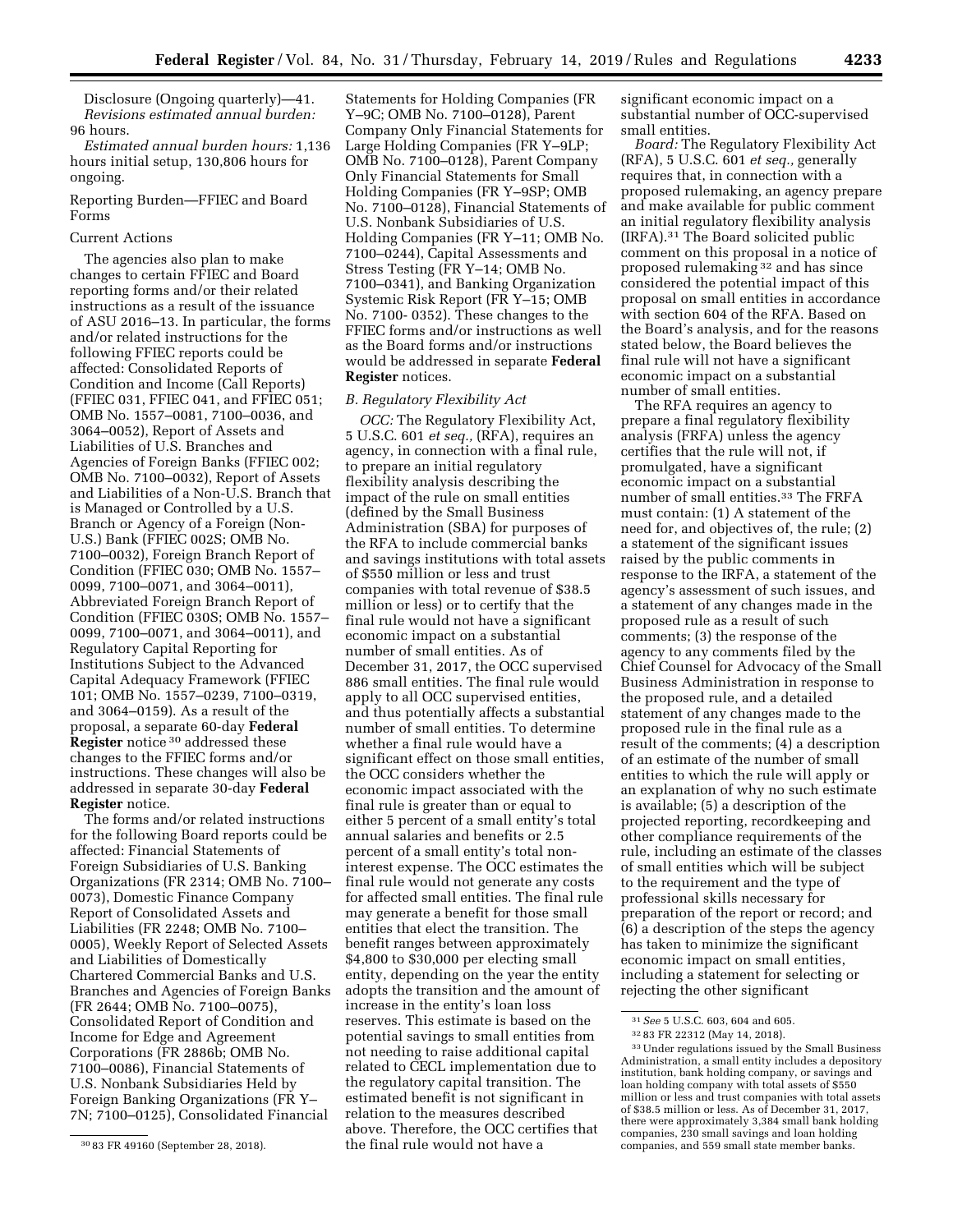Disclosure (Ongoing quarterly)—41. *Revisions estimated annual burden:*  96 hours.

*Estimated annual burden hours:* 1,136 hours initial setup, 130,806 hours for ongoing.

# Reporting Burden—FFIEC and Board Forms

# Current Actions

The agencies also plan to make changes to certain FFIEC and Board reporting forms and/or their related instructions as a result of the issuance of ASU 2016–13. In particular, the forms and/or related instructions for the following FFIEC reports could be affected: Consolidated Reports of Condition and Income (Call Reports) (FFIEC 031, FFIEC 041, and FFIEC 051; OMB No. 1557–0081, 7100–0036, and 3064–0052), Report of Assets and Liabilities of U.S. Branches and Agencies of Foreign Banks (FFIEC 002; OMB No. 7100–0032), Report of Assets and Liabilities of a Non-U.S. Branch that is Managed or Controlled by a U.S. Branch or Agency of a Foreign (Non-U.S.) Bank (FFIEC 002S; OMB No. 7100–0032), Foreign Branch Report of Condition (FFIEC 030; OMB No. 1557– 0099, 7100–0071, and 3064–0011), Abbreviated Foreign Branch Report of Condition (FFIEC 030S; OMB No. 1557– 0099, 7100–0071, and 3064–0011), and Regulatory Capital Reporting for Institutions Subject to the Advanced Capital Adequacy Framework (FFIEC 101; OMB No. 1557–0239, 7100–0319, and 3064–0159). As a result of the proposal, a separate 60-day **Federal Register** notice 30 addressed these changes to the FFIEC forms and/or instructions. These changes will also be addressed in separate 30-day **Federal Register** notice.

The forms and/or related instructions for the following Board reports could be affected: Financial Statements of Foreign Subsidiaries of U.S. Banking Organizations (FR 2314; OMB No. 7100– 0073), Domestic Finance Company Report of Consolidated Assets and Liabilities (FR 2248; OMB No. 7100– 0005), Weekly Report of Selected Assets and Liabilities of Domestically Chartered Commercial Banks and U.S. Branches and Agencies of Foreign Banks (FR 2644; OMB No. 7100–0075), Consolidated Report of Condition and Income for Edge and Agreement Corporations (FR 2886b; OMB No. 7100–0086), Financial Statements of U.S. Nonbank Subsidiaries Held by Foreign Banking Organizations (FR Y– 7N; 7100–0125), Consolidated Financial

Statements for Holding Companies (FR Y–9C; OMB No. 7100–0128), Parent Company Only Financial Statements for Large Holding Companies (FR Y–9LP; OMB No. 7100–0128), Parent Company Only Financial Statements for Small Holding Companies (FR Y–9SP; OMB No. 7100–0128), Financial Statements of U.S. Nonbank Subsidiaries of U.S. Holding Companies (FR Y–11; OMB No. 7100–0244), Capital Assessments and Stress Testing (FR Y–14; OMB No. 7100–0341), and Banking Organization Systemic Risk Report (FR Y–15; OMB No. 7100- 0352). These changes to the FFIEC forms and/or instructions as well as the Board forms and/or instructions would be addressed in separate **Federal Register** notices.

### *B. Regulatory Flexibility Act*

*OCC:* The Regulatory Flexibility Act, 5 U.S.C. 601 *et seq.,* (RFA), requires an agency, in connection with a final rule, to prepare an initial regulatory flexibility analysis describing the impact of the rule on small entities (defined by the Small Business Administration (SBA) for purposes of the RFA to include commercial banks and savings institutions with total assets of \$550 million or less and trust companies with total revenue of \$38.5 million or less) or to certify that the final rule would not have a significant economic impact on a substantial number of small entities. As of December 31, 2017, the OCC supervised 886 small entities. The final rule would apply to all OCC supervised entities, and thus potentially affects a substantial number of small entities. To determine whether a final rule would have a significant effect on those small entities, the OCC considers whether the economic impact associated with the final rule is greater than or equal to either 5 percent of a small entity's total annual salaries and benefits or 2.5 percent of a small entity's total noninterest expense. The OCC estimates the final rule would not generate any costs for affected small entities. The final rule may generate a benefit for those small entities that elect the transition. The benefit ranges between approximately \$4,800 to \$30,000 per electing small entity, depending on the year the entity adopts the transition and the amount of increase in the entity's loan loss reserves. This estimate is based on the potential savings to small entities from not needing to raise additional capital related to CECL implementation due to the regulatory capital transition. The estimated benefit is not significant in relation to the measures described above. Therefore, the OCC certifies that the final rule would not have a

significant economic impact on a substantial number of OCC-supervised small entities.

*Board:* The Regulatory Flexibility Act (RFA), 5 U.S.C. 601 *et seq.,* generally requires that, in connection with a proposed rulemaking, an agency prepare and make available for public comment an initial regulatory flexibility analysis (IRFA).31 The Board solicited public comment on this proposal in a notice of proposed rulemaking 32 and has since considered the potential impact of this proposal on small entities in accordance with section 604 of the RFA. Based on the Board's analysis, and for the reasons stated below, the Board believes the final rule will not have a significant economic impact on a substantial number of small entities.

The RFA requires an agency to prepare a final regulatory flexibility analysis (FRFA) unless the agency certifies that the rule will not, if promulgated, have a significant economic impact on a substantial number of small entities.33 The FRFA must contain: (1) A statement of the need for, and objectives of, the rule; (2) a statement of the significant issues raised by the public comments in response to the IRFA, a statement of the agency's assessment of such issues, and a statement of any changes made in the proposed rule as a result of such comments; (3) the response of the agency to any comments filed by the Chief Counsel for Advocacy of the Small Business Administration in response to the proposed rule, and a detailed statement of any changes made to the proposed rule in the final rule as a result of the comments; (4) a description of an estimate of the number of small entities to which the rule will apply or an explanation of why no such estimate is available; (5) a description of the projected reporting, recordkeeping and other compliance requirements of the rule, including an estimate of the classes of small entities which will be subject to the requirement and the type of professional skills necessary for preparation of the report or record; and (6) a description of the steps the agency has taken to minimize the significant economic impact on small entities, including a statement for selecting or rejecting the other significant

<sup>30</sup> 83 FR 49160 (September 28, 2018).

<sup>31</sup>*See* 5 U.S.C. 603, 604 and 605. 32 83 FR 22312 (May 14, 2018). 33Under regulations issued by the Small Business Administration, a small entity includes a depository institution, bank holding company, or savings and loan holding company with total assets of \$550 million or less and trust companies with total assets of \$38.5 million or less. As of December 31, 2017, there were approximately 3,384 small bank holding companies, 230 small savings and loan holding companies, and 559 small state member banks.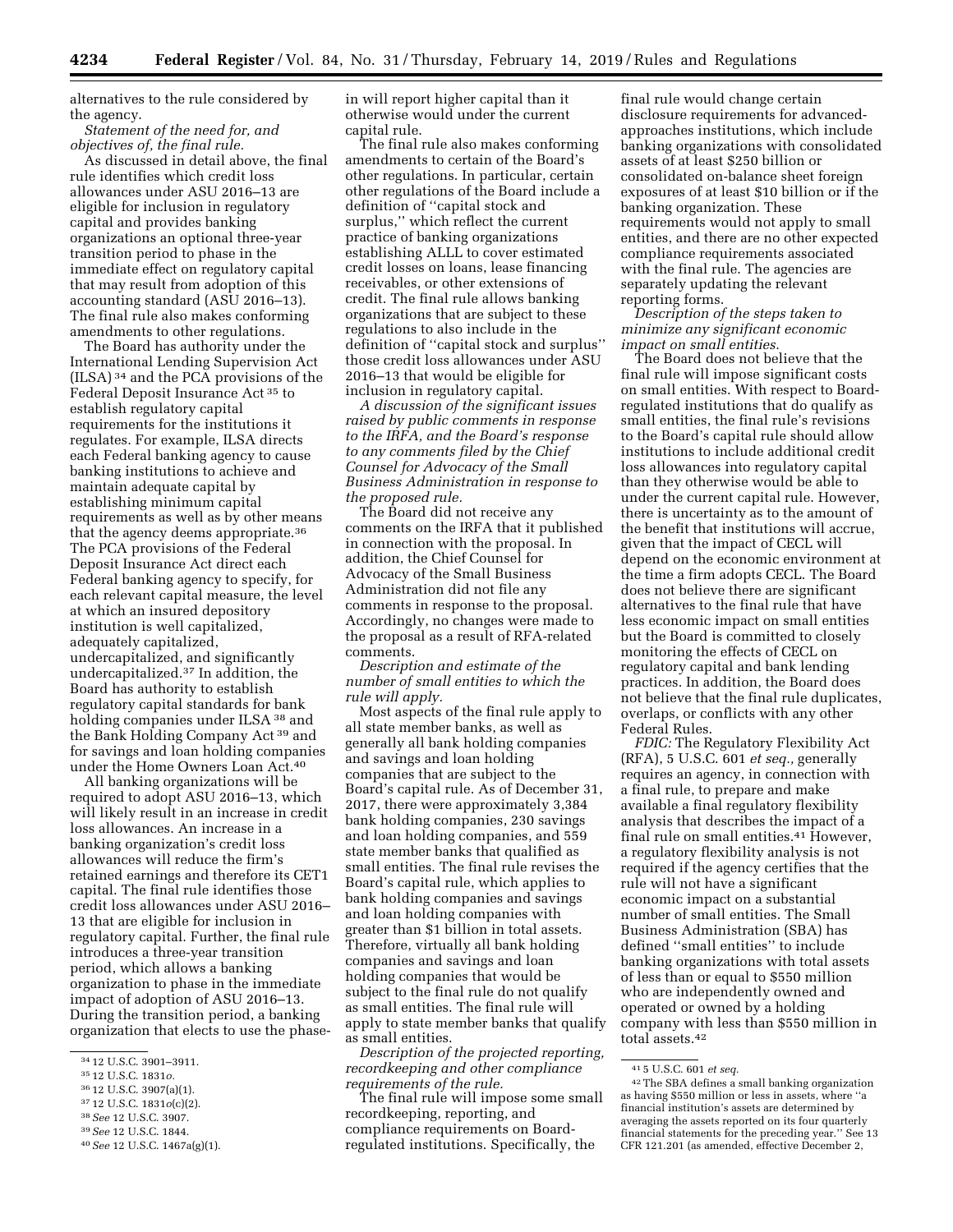alternatives to the rule considered by the agency.

*Statement of the need for, and objectives of, the final rule.* 

As discussed in detail above, the final rule identifies which credit loss allowances under ASU 2016–13 are eligible for inclusion in regulatory capital and provides banking organizations an optional three-year transition period to phase in the immediate effect on regulatory capital that may result from adoption of this accounting standard (ASU 2016–13). The final rule also makes conforming amendments to other regulations.

The Board has authority under the International Lending Supervision Act (ILSA) 34 and the PCA provisions of the Federal Deposit Insurance Act 35 to establish regulatory capital requirements for the institutions it regulates. For example, ILSA directs each Federal banking agency to cause banking institutions to achieve and maintain adequate capital by establishing minimum capital requirements as well as by other means that the agency deems appropriate.36 The PCA provisions of the Federal Deposit Insurance Act direct each Federal banking agency to specify, for each relevant capital measure, the level at which an insured depository institution is well capitalized, adequately capitalized, undercapitalized, and significantly undercapitalized.37 In addition, the Board has authority to establish regulatory capital standards for bank holding companies under ILSA 38 and the Bank Holding Company Act 39 and for savings and loan holding companies under the Home Owners Loan Act.40

All banking organizations will be required to adopt ASU 2016–13, which will likely result in an increase in credit loss allowances. An increase in a banking organization's credit loss allowances will reduce the firm's retained earnings and therefore its CET1 capital. The final rule identifies those credit loss allowances under ASU 2016– 13 that are eligible for inclusion in regulatory capital. Further, the final rule introduces a three-year transition period, which allows a banking organization to phase in the immediate impact of adoption of ASU 2016–13. During the transition period, a banking organization that elects to use the phase-

- 37 12 U.S.C. 1831*o*(c)(2).
- 38*See* 12 U.S.C. 3907.

in will report higher capital than it otherwise would under the current capital rule.

The final rule also makes conforming amendments to certain of the Board's other regulations. In particular, certain other regulations of the Board include a definition of ''capital stock and surplus,'' which reflect the current practice of banking organizations establishing ALLL to cover estimated credit losses on loans, lease financing receivables, or other extensions of credit. The final rule allows banking organizations that are subject to these regulations to also include in the definition of ''capital stock and surplus'' those credit loss allowances under ASU 2016–13 that would be eligible for inclusion in regulatory capital.

*A discussion of the significant issues raised by public comments in response to the IRFA, and the Board's response to any comments filed by the Chief Counsel for Advocacy of the Small Business Administration in response to the proposed rule.* 

The Board did not receive any comments on the IRFA that it published in connection with the proposal. In addition, the Chief Counsel for Advocacy of the Small Business Administration did not file any comments in response to the proposal. Accordingly, no changes were made to the proposal as a result of RFA-related comments.

*Description and estimate of the number of small entities to which the rule will apply.* 

Most aspects of the final rule apply to all state member banks, as well as generally all bank holding companies and savings and loan holding companies that are subject to the Board's capital rule. As of December 31, 2017, there were approximately 3,384 bank holding companies, 230 savings and loan holding companies, and 559 state member banks that qualified as small entities. The final rule revises the Board's capital rule, which applies to bank holding companies and savings and loan holding companies with greater than \$1 billion in total assets. Therefore, virtually all bank holding companies and savings and loan holding companies that would be subject to the final rule do not qualify as small entities. The final rule will apply to state member banks that qualify as small entities.

*Description of the projected reporting, recordkeeping and other compliance requirements of the rule.* 

The final rule will impose some small recordkeeping, reporting, and compliance requirements on Boardregulated institutions. Specifically, the

final rule would change certain disclosure requirements for advancedapproaches institutions, which include banking organizations with consolidated assets of at least \$250 billion or consolidated on-balance sheet foreign exposures of at least \$10 billion or if the banking organization. These requirements would not apply to small entities, and there are no other expected compliance requirements associated with the final rule. The agencies are separately updating the relevant reporting forms.

*Description of the steps taken to minimize any significant economic impact on small entities.* 

The Board does not believe that the final rule will impose significant costs on small entities. With respect to Boardregulated institutions that do qualify as small entities, the final rule's revisions to the Board's capital rule should allow institutions to include additional credit loss allowances into regulatory capital than they otherwise would be able to under the current capital rule. However, there is uncertainty as to the amount of the benefit that institutions will accrue, given that the impact of CECL will depend on the economic environment at the time a firm adopts CECL. The Board does not believe there are significant alternatives to the final rule that have less economic impact on small entities but the Board is committed to closely monitoring the effects of CECL on regulatory capital and bank lending practices. In addition, the Board does not believe that the final rule duplicates, overlaps, or conflicts with any other Federal Rules.

*FDIC:* The Regulatory Flexibility Act (RFA), 5 U.S.C. 601 *et seq.,* generally requires an agency, in connection with a final rule, to prepare and make available a final regulatory flexibility analysis that describes the impact of a final rule on small entities.41 However, a regulatory flexibility analysis is not required if the agency certifies that the rule will not have a significant economic impact on a substantial number of small entities. The Small Business Administration (SBA) has defined ''small entities'' to include banking organizations with total assets of less than or equal to \$550 million who are independently owned and operated or owned by a holding company with less than \$550 million in total assets.42

<sup>34</sup> 12 U.S.C. 3901–3911.

<sup>35</sup> 12 U.S.C. 1831*o.* 

<sup>36</sup> 12 U.S.C. 3907(a)(1).

<sup>39</sup>*See* 12 U.S.C. 1844.

<sup>40</sup>*See* 12 U.S.C. 1467a(g)(1).

<sup>41</sup> 5 U.S.C. 601 *et seq.* 

<sup>42</sup>The SBA defines a small banking organization as having \$550 million or less in assets, where ''a financial institution's assets are determined by averaging the assets reported on its four quarterly financial statements for the preceding year.'' See 13 CFR 121.201 (as amended, effective December 2,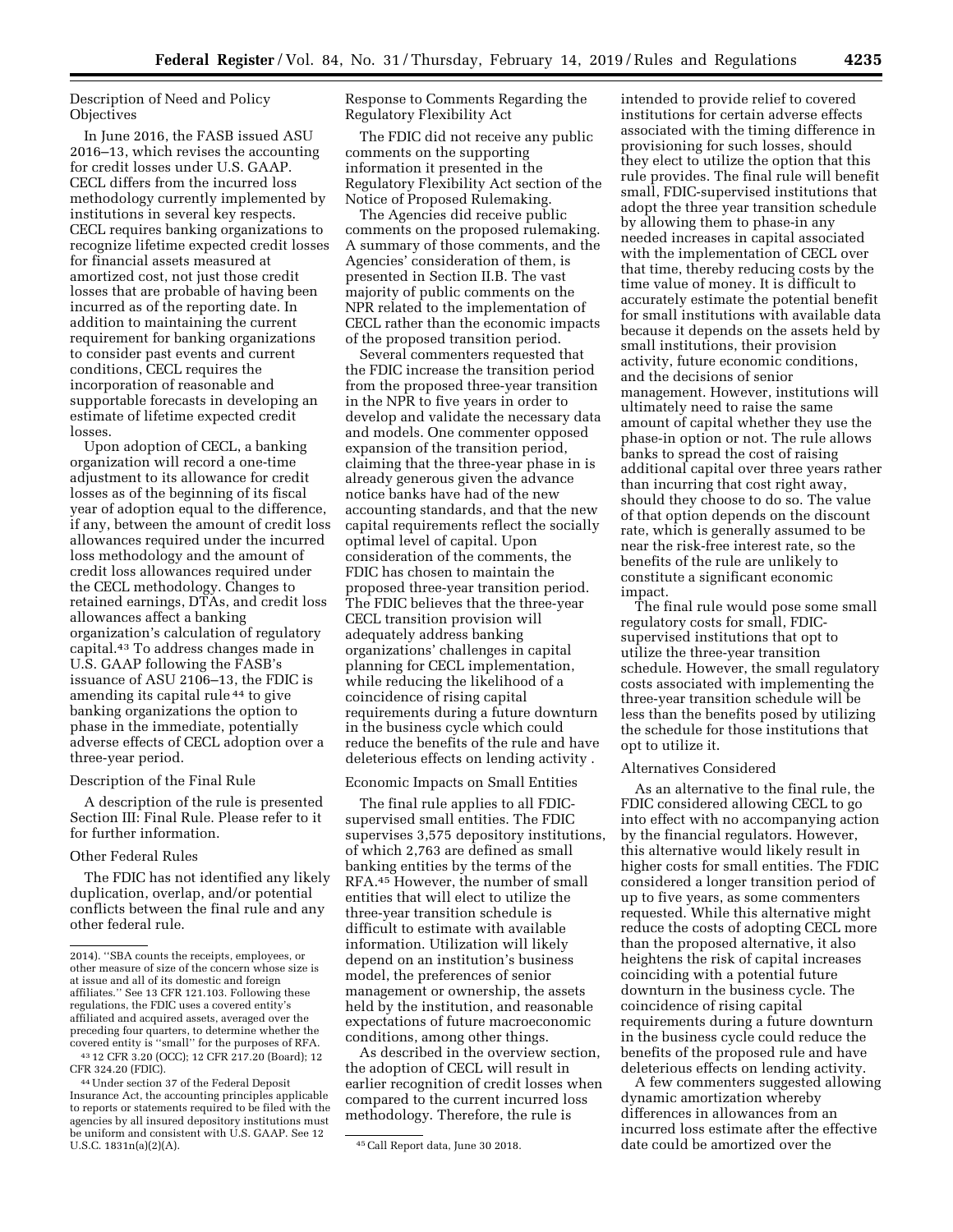Description of Need and Policy **Objectives** 

In June 2016, the FASB issued ASU 2016–13, which revises the accounting for credit losses under U.S. GAAP. CECL differs from the incurred loss methodology currently implemented by institutions in several key respects. CECL requires banking organizations to recognize lifetime expected credit losses for financial assets measured at amortized cost, not just those credit losses that are probable of having been incurred as of the reporting date. In addition to maintaining the current requirement for banking organizations to consider past events and current conditions, CECL requires the incorporation of reasonable and supportable forecasts in developing an estimate of lifetime expected credit losses.

Upon adoption of CECL, a banking organization will record a one-time adjustment to its allowance for credit losses as of the beginning of its fiscal year of adoption equal to the difference, if any, between the amount of credit loss allowances required under the incurred loss methodology and the amount of credit loss allowances required under the CECL methodology. Changes to retained earnings, DTAs, and credit loss allowances affect a banking organization's calculation of regulatory capital.43 To address changes made in U.S. GAAP following the FASB's issuance of ASU 2106–13, the FDIC is amending its capital rule 44 to give banking organizations the option to phase in the immediate, potentially adverse effects of CECL adoption over a three-year period.

### Description of the Final Rule

A description of the rule is presented Section III: Final Rule. Please refer to it for further information.

#### Other Federal Rules

The FDIC has not identified any likely duplication, overlap, and/or potential conflicts between the final rule and any other federal rule.

Response to Comments Regarding the Regulatory Flexibility Act

The FDIC did not receive any public comments on the supporting information it presented in the Regulatory Flexibility Act section of the Notice of Proposed Rulemaking.

The Agencies did receive public comments on the proposed rulemaking. A summary of those comments, and the Agencies' consideration of them, is presented in Section II.B. The vast majority of public comments on the NPR related to the implementation of CECL rather than the economic impacts of the proposed transition period.

Several commenters requested that the FDIC increase the transition period from the proposed three-year transition in the NPR to five years in order to develop and validate the necessary data and models. One commenter opposed expansion of the transition period, claiming that the three-year phase in is already generous given the advance notice banks have had of the new accounting standards, and that the new capital requirements reflect the socially optimal level of capital. Upon consideration of the comments, the FDIC has chosen to maintain the proposed three-year transition period. The FDIC believes that the three-year CECL transition provision will adequately address banking organizations' challenges in capital planning for CECL implementation, while reducing the likelihood of a coincidence of rising capital requirements during a future downturn in the business cycle which could reduce the benefits of the rule and have deleterious effects on lending activity .

#### Economic Impacts on Small Entities

The final rule applies to all FDICsupervised small entities. The FDIC supervises 3,575 depository institutions, of which 2,763 are defined as small banking entities by the terms of the RFA.45 However, the number of small entities that will elect to utilize the three-year transition schedule is difficult to estimate with available information. Utilization will likely depend on an institution's business model, the preferences of senior management or ownership, the assets held by the institution, and reasonable expectations of future macroeconomic conditions, among other things.

As described in the overview section, the adoption of CECL will result in earlier recognition of credit losses when compared to the current incurred loss methodology. Therefore, the rule is

intended to provide relief to covered institutions for certain adverse effects associated with the timing difference in provisioning for such losses, should they elect to utilize the option that this rule provides. The final rule will benefit small, FDIC-supervised institutions that adopt the three year transition schedule by allowing them to phase-in any needed increases in capital associated with the implementation of CECL over that time, thereby reducing costs by the time value of money. It is difficult to accurately estimate the potential benefit for small institutions with available data because it depends on the assets held by small institutions, their provision activity, future economic conditions, and the decisions of senior management. However, institutions will ultimately need to raise the same amount of capital whether they use the phase-in option or not. The rule allows banks to spread the cost of raising additional capital over three years rather than incurring that cost right away, should they choose to do so. The value of that option depends on the discount rate, which is generally assumed to be near the risk-free interest rate, so the benefits of the rule are unlikely to constitute a significant economic impact.

The final rule would pose some small regulatory costs for small, FDICsupervised institutions that opt to utilize the three-year transition schedule. However, the small regulatory costs associated with implementing the three-year transition schedule will be less than the benefits posed by utilizing the schedule for those institutions that opt to utilize it.

### Alternatives Considered

As an alternative to the final rule, the FDIC considered allowing CECL to go into effect with no accompanying action by the financial regulators. However, this alternative would likely result in higher costs for small entities. The FDIC considered a longer transition period of up to five years, as some commenters requested. While this alternative might reduce the costs of adopting CECL more than the proposed alternative, it also heightens the risk of capital increases coinciding with a potential future downturn in the business cycle. The coincidence of rising capital requirements during a future downturn in the business cycle could reduce the benefits of the proposed rule and have deleterious effects on lending activity.

A few commenters suggested allowing dynamic amortization whereby differences in allowances from an incurred loss estimate after the effective date could be amortized over the

<sup>2014). &#</sup>x27;'SBA counts the receipts, employees, or other measure of size of the concern whose size is at issue and all of its domestic and foreign affiliates.'' See 13 CFR 121.103. Following these regulations, the FDIC uses a covered entity's affiliated and acquired assets, averaged over the preceding four quarters, to determine whether the covered entity is ''small'' for the purposes of RFA. 43 12 CFR 3.20 (OCC); 12 CFR 217.20 (Board); 12

CFR 324.20 (FDIC).

<sup>44</sup>Under section 37 of the Federal Deposit Insurance Act, the accounting principles applicable to reports or statements required to be filed with the agencies by all insured depository institutions must be uniform and consistent with U.S. GAAP. See 12<br>U.S.C. 1831n(a)(2)(A).

<sup>45</sup> Call Report data, June 30 2018.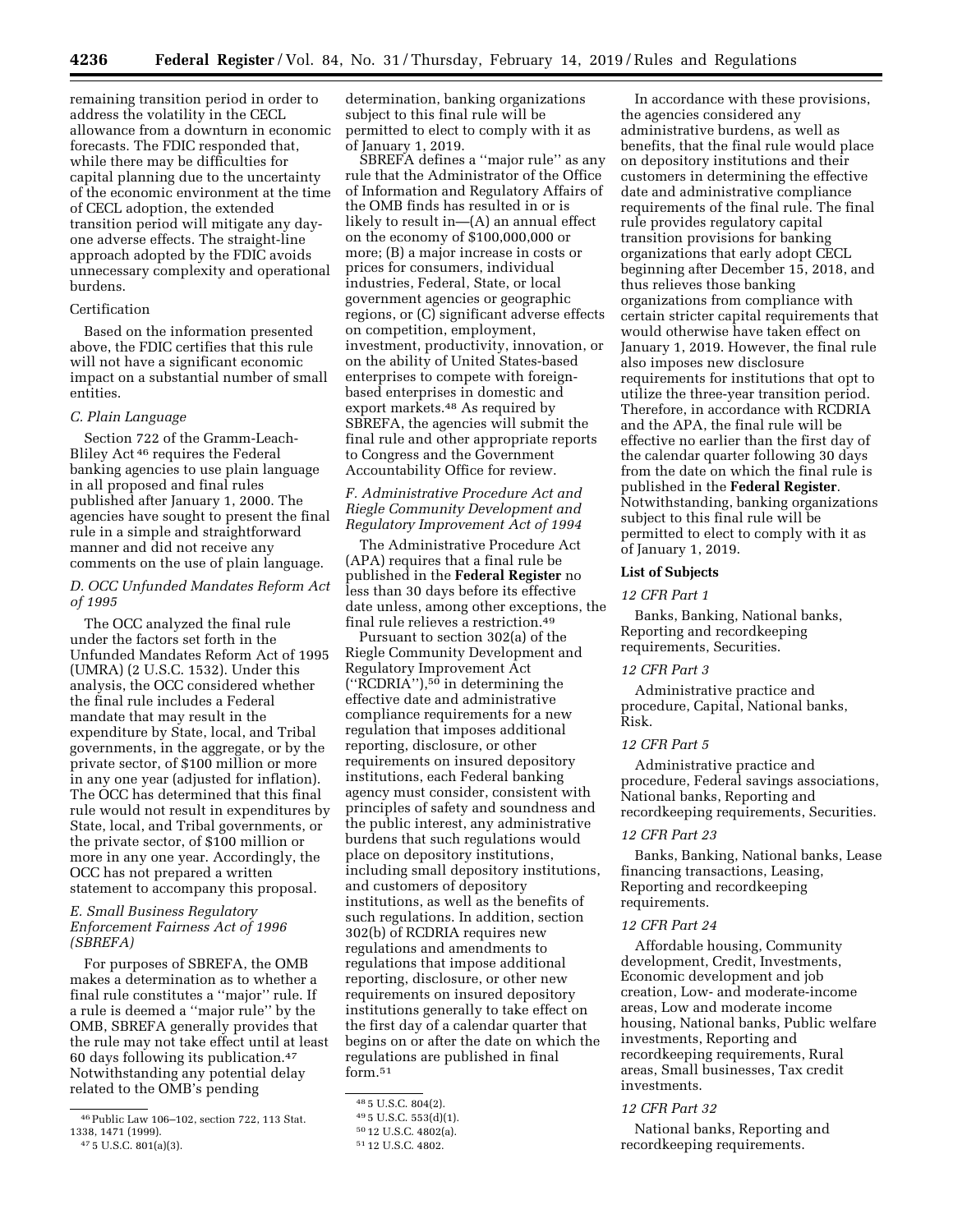remaining transition period in order to address the volatility in the CECL allowance from a downturn in economic forecasts. The FDIC responded that, while there may be difficulties for capital planning due to the uncertainty of the economic environment at the time of CECL adoption, the extended transition period will mitigate any dayone adverse effects. The straight-line approach adopted by the FDIC avoids unnecessary complexity and operational burdens.

# Certification

Based on the information presented above, the FDIC certifies that this rule will not have a significant economic impact on a substantial number of small entities.

### *C. Plain Language*

Section 722 of the Gramm-Leach-Bliley Act 46 requires the Federal banking agencies to use plain language in all proposed and final rules published after January 1, 2000. The agencies have sought to present the final rule in a simple and straightforward manner and did not receive any comments on the use of plain language.

### *D. OCC Unfunded Mandates Reform Act of 1995*

The OCC analyzed the final rule under the factors set forth in the Unfunded Mandates Reform Act of 1995 (UMRA) (2 U.S.C. 1532). Under this analysis, the OCC considered whether the final rule includes a Federal mandate that may result in the expenditure by State, local, and Tribal governments, in the aggregate, or by the private sector, of \$100 million or more in any one year (adjusted for inflation). The OCC has determined that this final rule would not result in expenditures by State, local, and Tribal governments, or the private sector, of \$100 million or more in any one year. Accordingly, the OCC has not prepared a written statement to accompany this proposal.

# *E. Small Business Regulatory Enforcement Fairness Act of 1996 (SBREFA)*

For purposes of SBREFA, the OMB makes a determination as to whether a final rule constitutes a ''major'' rule. If a rule is deemed a ''major rule'' by the OMB, SBREFA generally provides that the rule may not take effect until at least 60 days following its publication.47 Notwithstanding any potential delay related to the OMB's pending

47 5 U.S.C. 801(a)(3).

determination, banking organizations subject to this final rule will be permitted to elect to comply with it as of January 1, 2019.

SBREFA defines a ''major rule'' as any rule that the Administrator of the Office of Information and Regulatory Affairs of the OMB finds has resulted in or is likely to result in—(A) an annual effect on the economy of \$100,000,000 or more; (B) a major increase in costs or prices for consumers, individual industries, Federal, State, or local government agencies or geographic regions, or (C) significant adverse effects on competition, employment, investment, productivity, innovation, or on the ability of United States-based enterprises to compete with foreignbased enterprises in domestic and export markets.48 As required by SBREFA, the agencies will submit the final rule and other appropriate reports to Congress and the Government Accountability Office for review.

### *F. Administrative Procedure Act and Riegle Community Development and Regulatory Improvement Act of 1994*

The Administrative Procedure Act (APA) requires that a final rule be published in the **Federal Register** no less than 30 days before its effective date unless, among other exceptions, the final rule relieves a restriction.49

Pursuant to section 302(a) of the Riegle Community Development and Regulatory Improvement Act (''RCDRIA''),50 in determining the effective date and administrative compliance requirements for a new regulation that imposes additional reporting, disclosure, or other requirements on insured depository institutions, each Federal banking agency must consider, consistent with principles of safety and soundness and the public interest, any administrative burdens that such regulations would place on depository institutions, including small depository institutions, and customers of depository institutions, as well as the benefits of such regulations. In addition, section 302(b) of RCDRIA requires new regulations and amendments to regulations that impose additional reporting, disclosure, or other new requirements on insured depository institutions generally to take effect on the first day of a calendar quarter that begins on or after the date on which the regulations are published in final form.51

In accordance with these provisions, the agencies considered any administrative burdens, as well as benefits, that the final rule would place on depository institutions and their customers in determining the effective date and administrative compliance requirements of the final rule. The final rule provides regulatory capital transition provisions for banking organizations that early adopt CECL beginning after December 15, 2018, and thus relieves those banking organizations from compliance with certain stricter capital requirements that would otherwise have taken effect on January 1, 2019. However, the final rule also imposes new disclosure requirements for institutions that opt to utilize the three-year transition period. Therefore, in accordance with RCDRIA and the APA, the final rule will be effective no earlier than the first day of the calendar quarter following 30 days from the date on which the final rule is published in the **Federal Register**. Notwithstanding, banking organizations subject to this final rule will be permitted to elect to comply with it as of January 1, 2019.

### **List of Subjects**

# *12 CFR Part 1*

Banks, Banking, National banks, Reporting and recordkeeping requirements, Securities.

### *12 CFR Part 3*

Administrative practice and procedure, Capital, National banks, Risk.

# *12 CFR Part 5*

Administrative practice and procedure, Federal savings associations, National banks, Reporting and recordkeeping requirements, Securities.

### *12 CFR Part 23*

Banks, Banking, National banks, Lease financing transactions, Leasing, Reporting and recordkeeping requirements.

# *12 CFR Part 24*

Affordable housing, Community development, Credit, Investments, Economic development and job creation, Low- and moderate-income areas, Low and moderate income housing, National banks, Public welfare investments, Reporting and recordkeeping requirements, Rural areas, Small businesses, Tax credit investments.

### *12 CFR Part 32*

National banks, Reporting and recordkeeping requirements.

<sup>46</sup>Public Law 106–102, section 722, 113 Stat. 1338, 1471 (1999).

<sup>48</sup> 5 U.S.C. 804(2).

<sup>49</sup> 5 U.S.C. 553(d)(1).

<sup>50</sup> 12 U.S.C. 4802(a).

<sup>51</sup> 12 U.S.C. 4802.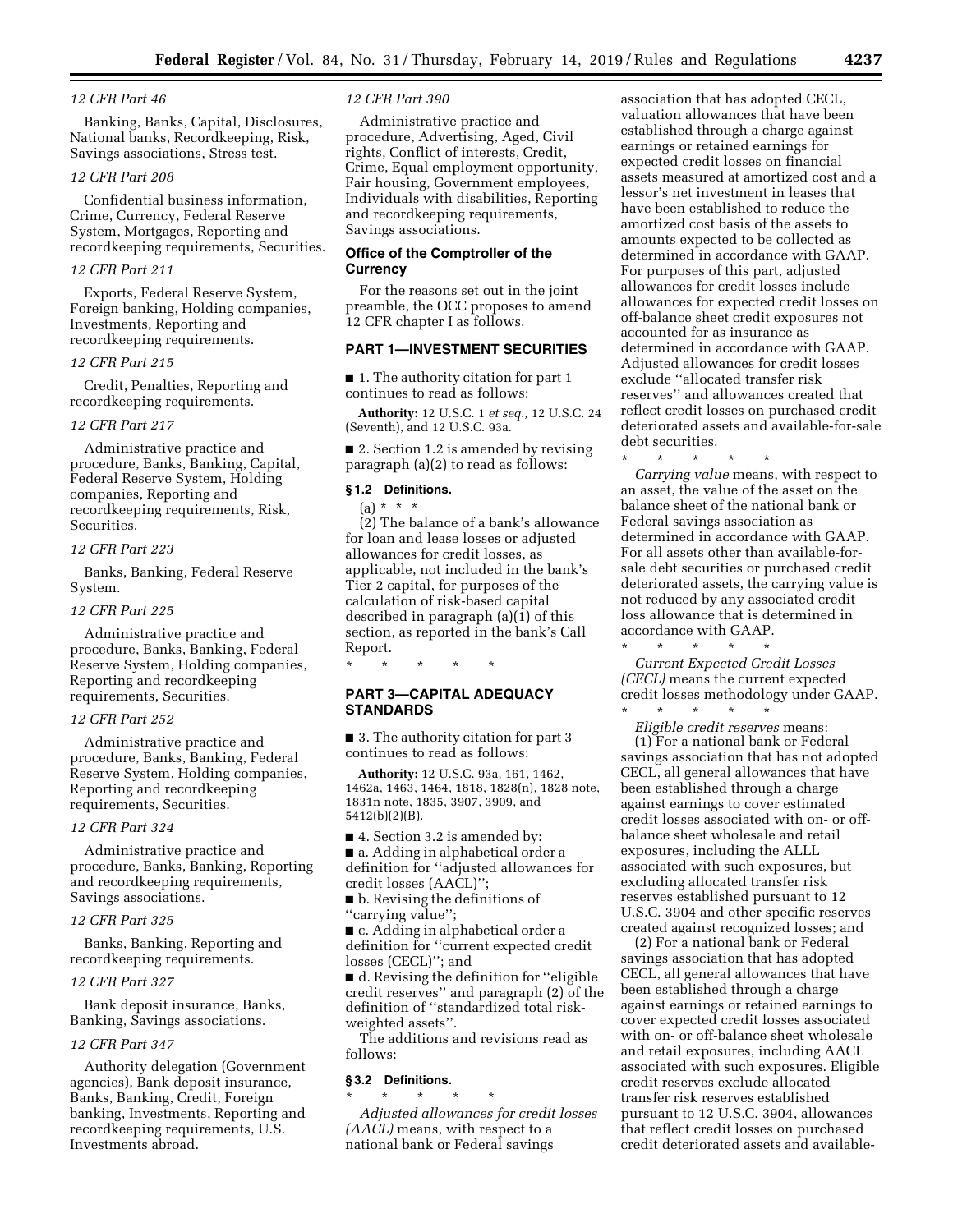### *12 CFR Part 46*

Banking, Banks, Capital, Disclosures, National banks, Recordkeeping, Risk, Savings associations, Stress test.

# *12 CFR Part 208*

Confidential business information, Crime, Currency, Federal Reserve System, Mortgages, Reporting and recordkeeping requirements, Securities.

#### *12 CFR Part 211*

Exports, Federal Reserve System, Foreign banking, Holding companies, Investments, Reporting and recordkeeping requirements.

### *12 CFR Part 215*

Credit, Penalties, Reporting and recordkeeping requirements.

### *12 CFR Part 217*

Administrative practice and procedure, Banks, Banking, Capital, Federal Reserve System, Holding companies, Reporting and recordkeeping requirements, Risk, Securities.

### *12 CFR Part 223*

Banks, Banking, Federal Reserve System.

#### *12 CFR Part 225*

Administrative practice and procedure, Banks, Banking, Federal Reserve System, Holding companies, Reporting and recordkeeping requirements, Securities.

# *12 CFR Part 252*

Administrative practice and procedure, Banks, Banking, Federal Reserve System, Holding companies, Reporting and recordkeeping requirements, Securities.

#### *12 CFR Part 324*

Administrative practice and procedure, Banks, Banking, Reporting and recordkeeping requirements, Savings associations.

### *12 CFR Part 325*

Banks, Banking, Reporting and recordkeeping requirements.

### *12 CFR Part 327*

Bank deposit insurance, Banks, Banking, Savings associations.

#### *12 CFR Part 347*

Authority delegation (Government agencies), Bank deposit insurance, Banks, Banking, Credit, Foreign banking, Investments, Reporting and recordkeeping requirements, U.S. Investments abroad.

### *12 CFR Part 390*

Administrative practice and procedure, Advertising, Aged, Civil rights, Conflict of interests, Credit, Crime, Equal employment opportunity, Fair housing, Government employees, Individuals with disabilities, Reporting and recordkeeping requirements, Savings associations.

### **Office of the Comptroller of the Currency**

For the reasons set out in the joint preamble, the OCC proposes to amend 12 CFR chapter I as follows.

# **PART 1—INVESTMENT SECURITIES**

■ 1. The authority citation for part 1 continues to read as follows:

**Authority:** 12 U.S.C. 1 *et seq.,* 12 U.S.C. 24 (Seventh), and 12 U.S.C. 93a.

■ 2. Section 1.2 is amended by revising paragraph (a)(2) to read as follows:

# **§ 1.2 Definitions.**

 $(a) * * * *$ 

(2) The balance of a bank's allowance for loan and lease losses or adjusted allowances for credit losses, as applicable, not included in the bank's Tier 2 capital, for purposes of the calculation of risk-based capital described in paragraph (a)(1) of this section, as reported in the bank's Call Report.

\* \* \* \* \*

# **PART 3—CAPITAL ADEQUACY STANDARDS**

■ 3. The authority citation for part 3 continues to read as follows:

**Authority:** 12 U.S.C. 93a, 161, 1462, 1462a, 1463, 1464, 1818, 1828(n), 1828 note, 1831n note, 1835, 3907, 3909, and 5412(b)(2)(B).

■ 4. Section 3.2 is amended by:

■ a. Adding in alphabetical order a definition for ''adjusted allowances for credit losses (AACL)'';

■ b. Revising the definitions of ''carrying value'';

■ c. Adding in alphabetical order a definition for ''current expected credit losses (CECL)''; and

■ d. Revising the definition for "eligible credit reserves'' and paragraph (2) of the definition of ''standardized total riskweighted assets''.

The additions and revisions read as follows:

### **§ 3.2 Definitions.**

\* \* \* \* \* *Adjusted allowances for credit losses (AACL)* means, with respect to a national bank or Federal savings

association that has adopted CECL, valuation allowances that have been established through a charge against earnings or retained earnings for expected credit losses on financial assets measured at amortized cost and a lessor's net investment in leases that have been established to reduce the amortized cost basis of the assets to amounts expected to be collected as determined in accordance with GAAP. For purposes of this part, adjusted allowances for credit losses include allowances for expected credit losses on off-balance sheet credit exposures not accounted for as insurance as determined in accordance with GAAP. Adjusted allowances for credit losses exclude ''allocated transfer risk reserves'' and allowances created that reflect credit losses on purchased credit deteriorated assets and available-for-sale debt securities.

\* \* \* \* \* *Carrying value* means, with respect to an asset, the value of the asset on the balance sheet of the national bank or Federal savings association as determined in accordance with GAAP. For all assets other than available-forsale debt securities or purchased credit deteriorated assets, the carrying value is not reduced by any associated credit loss allowance that is determined in accordance with GAAP. \* \* \* \* \*

*Current Expected Credit Losses (CECL)* means the current expected credit losses methodology under GAAP.

\* \* \* \* \* *Eligible credit reserves* means: (1) For a national bank or Federal savings association that has not adopted CECL, all general allowances that have been established through a charge against earnings to cover estimated credit losses associated with on- or offbalance sheet wholesale and retail exposures, including the ALLL associated with such exposures, but excluding allocated transfer risk reserves established pursuant to 12 U.S.C. 3904 and other specific reserves created against recognized losses; and

(2) For a national bank or Federal savings association that has adopted CECL, all general allowances that have been established through a charge against earnings or retained earnings to cover expected credit losses associated with on- or off-balance sheet wholesale and retail exposures, including AACL associated with such exposures. Eligible credit reserves exclude allocated transfer risk reserves established pursuant to 12 U.S.C. 3904, allowances that reflect credit losses on purchased credit deteriorated assets and available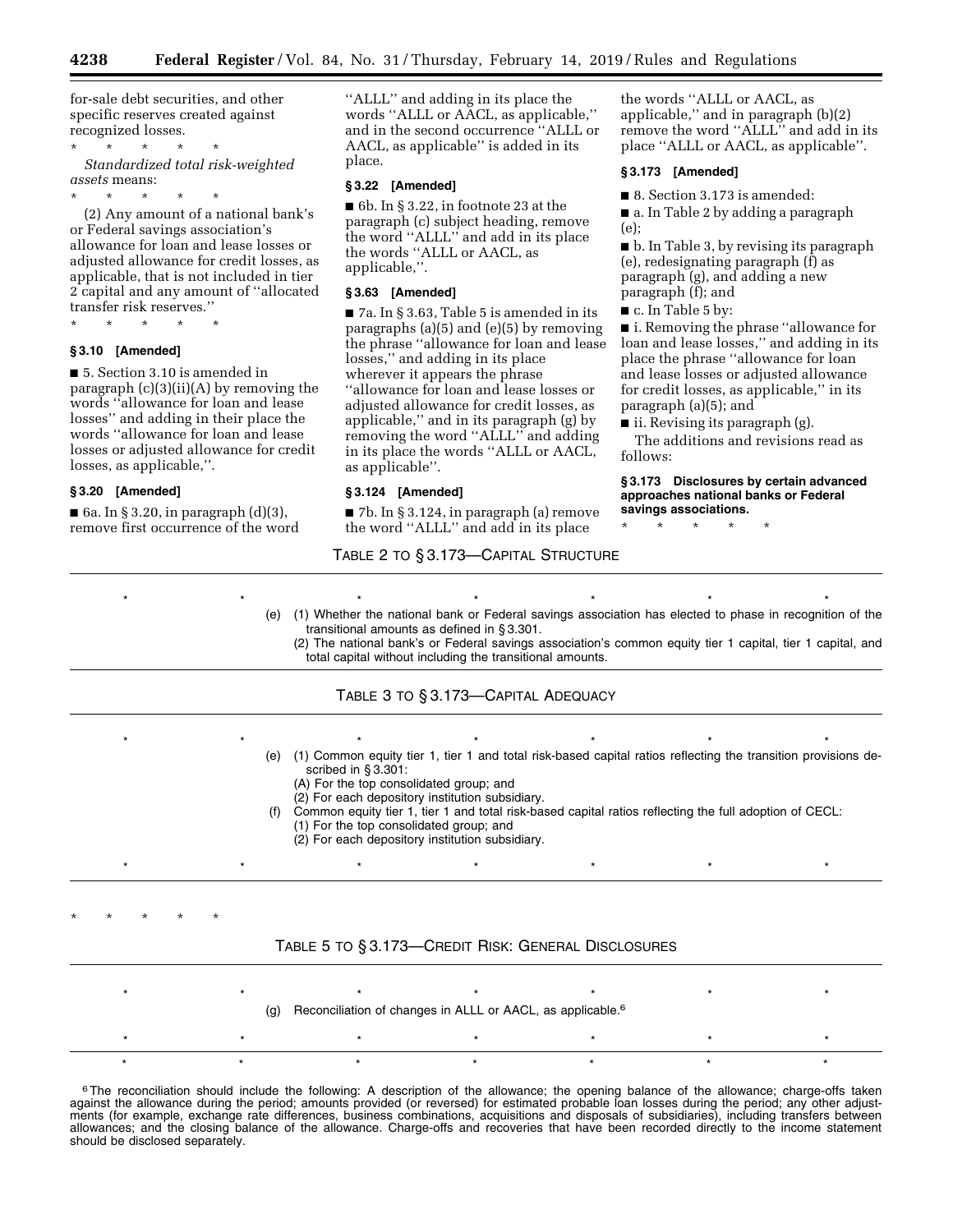for-sale debt securities, and other specific reserves created against recognized losses.

\* \* \* \* \* *Standardized total risk-weighted assets* means:

\* \* \* \* \* (2) Any amount of a national bank's or Federal savings association's allowance for loan and lease losses or adjusted allowance for credit losses, as applicable, that is not included in tier 2 capital and any amount of ''allocated transfer risk reserves.''

\* \* \* \* \*

# **§ 3.10 [Amended]**

■ 5. Section 3.10 is amended in paragraph (c)(3)(ii)(A) by removing the words ''allowance for loan and lease losses'' and adding in their place the words ''allowance for loan and lease losses or adjusted allowance for credit losses, as applicable,''.

### **§ 3.20 [Amended]**

■ 6a. In § 3.20, in paragraph  $(d)(3)$ , remove first occurrence of the word ''ALLL'' and adding in its place the words ''ALLL or AACL, as applicable,'' and in the second occurrence ''ALLL or AACL, as applicable'' is added in its place.

### **§ 3.22 [Amended]**

■ 6b. In § 3.22, in footnote 23 at the paragraph (c) subject heading, remove the word ''ALLL'' and add in its place the words ''ALLL or AACL, as applicable,''.

#### **§ 3.63 [Amended]**

■ 7a. In § 3.63, Table 5 is amended in its paragraphs (a)(5) and (e)(5) by removing the phrase ''allowance for loan and lease losses,'' and adding in its place wherever it appears the phrase ''allowance for loan and lease losses or adjusted allowance for credit losses, as applicable,'' and in its paragraph (g) by removing the word ''ALLL'' and adding in its place the words ''ALLL or AACL, as applicable''.

#### **§ 3.124 [Amended]**

■ 7b. In § 3.124, in paragraph (a) remove

the words ''ALLL or AACL, as applicable,'' and in paragraph (b)(2) remove the word ''ALLL'' and add in its place ''ALLL or AACL, as applicable''.

### **§ 3.173 [Amended]**

■ 8. Section 3.173 is amended:

■ a. In Table 2 by adding a paragraph (e);

■ b. In Table 3, by revising its paragraph (e), redesignating paragraph (f) as paragraph (g), and adding a new paragraph (f); and

■ c. In Table 5 by:

■ i. Removing the phrase "allowance for loan and lease losses,'' and adding in its place the phrase ''allowance for loan and lease losses or adjusted allowance for credit losses, as applicable,'' in its paragraph (a)(5); and

■ ii. Revising its paragraph (g).

The additions and revisions read as follows:

**§ 3.173 Disclosures by certain advanced approaches national banks or Federal savings associations.** 

\* \* \* \* \*

# TABLE 2 TO § 3.173—CAPITAL STRUCTURE

the word ''ALLL'' and add in its place

\*\*\*\*\*\*\* (e) (1) Whether the national bank or Federal savings association has elected to phase in recognition of the transitional amounts as defined in § 3.301. (2) The national bank's or Federal savings association's common equity tier 1 capital, tier 1 capital, and total capital without including the transitional amounts. TABLE 3 TO § 3.173—CAPITAL ADEQUACY \*\*\*\*\*\*\* (e) (1) Common equity tier 1, tier 1 and total risk-based capital ratios reflecting the transition provisions described in § 3.301: (A) For the top consolidated group; and (2) For each depository institution subsidiary. Common equity tier 1, tier 1 and total risk-based capital ratios reflecting the full adoption of CECL: (1) For the top consolidated group; and (2) For each depository institution subsidiary. \*\*\*\*\*\*\* \* \* \* \* \*

# TABLE 5 TO § 3.173—CREDIT RISK: GENERAL DISCLOSURES

| (g) Reconciliation of changes in ALLL or AACL, as applicable. <sup>6</sup> |  |  |  |  |  |  |  |
|----------------------------------------------------------------------------|--|--|--|--|--|--|--|
|                                                                            |  |  |  |  |  |  |  |
|                                                                            |  |  |  |  |  |  |  |

<sup>6</sup>The reconciliation should include the following: A description of the allowance; the opening balance of the allowance; charge-offs taken against the allowance during the period; amounts provided (or reversed) for estimated probable loan losses during the period; any other adjustments (for example, exchange rate differences, business combinations, acquisitions and disposals of subsidiaries), including transfers between allowances; and the closing balance of the allowance. Charge-offs and recoveries that have been recorded directly to the income statement should be disclosed separately.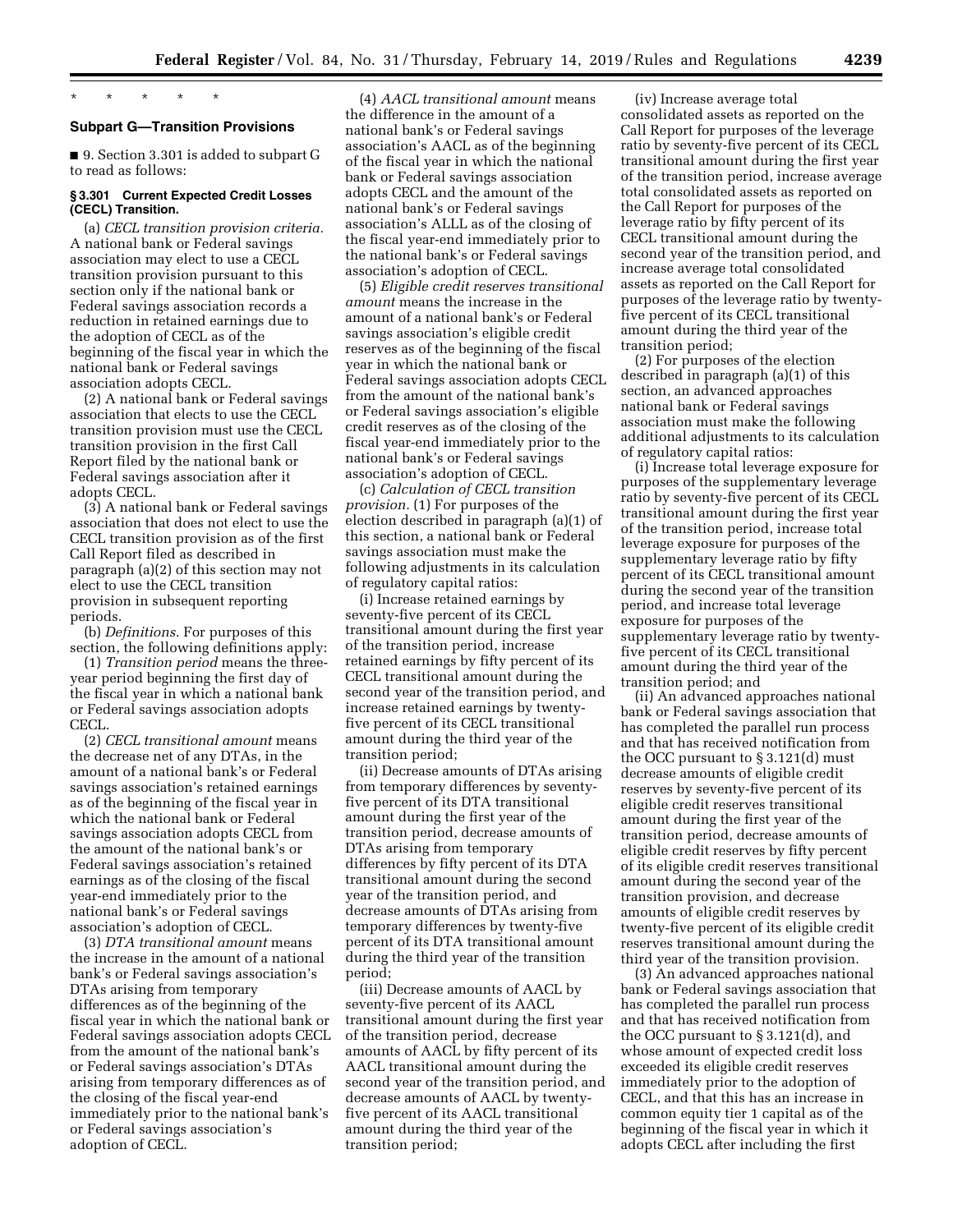# \* \* \* \* \*

# **Subpart G—Transition Provisions**

■ 9. Section 3.301 is added to subpart G to read as follows:

# **§ 3.301 Current Expected Credit Losses (CECL) Transition.**

(a) *CECL transition provision criteria.*  A national bank or Federal savings association may elect to use a CECL transition provision pursuant to this section only if the national bank or Federal savings association records a reduction in retained earnings due to the adoption of CECL as of the beginning of the fiscal year in which the national bank or Federal savings association adopts CECL.

(2) A national bank or Federal savings association that elects to use the CECL transition provision must use the CECL transition provision in the first Call Report filed by the national bank or Federal savings association after it adopts CECL.

(3) A national bank or Federal savings association that does not elect to use the CECL transition provision as of the first Call Report filed as described in paragraph (a)(2) of this section may not elect to use the CECL transition provision in subsequent reporting periods.

(b) *Definitions.* For purposes of this section, the following definitions apply:

(1) *Transition period* means the threeyear period beginning the first day of the fiscal year in which a national bank or Federal savings association adopts CECL.

(2) *CECL transitional amount* means the decrease net of any DTAs, in the amount of a national bank's or Federal savings association's retained earnings as of the beginning of the fiscal year in which the national bank or Federal savings association adopts CECL from the amount of the national bank's or Federal savings association's retained earnings as of the closing of the fiscal year-end immediately prior to the national bank's or Federal savings association's adoption of CECL.

(3) *DTA transitional amount* means the increase in the amount of a national bank's or Federal savings association's DTAs arising from temporary differences as of the beginning of the fiscal year in which the national bank or Federal savings association adopts CECL from the amount of the national bank's or Federal savings association's DTAs arising from temporary differences as of the closing of the fiscal year-end immediately prior to the national bank's or Federal savings association's adoption of CECL.

(4) *AACL transitional amount* means the difference in the amount of a national bank's or Federal savings association's AACL as of the beginning of the fiscal year in which the national bank or Federal savings association adopts CECL and the amount of the national bank's or Federal savings association's ALLL as of the closing of the fiscal year-end immediately prior to the national bank's or Federal savings association's adoption of CECL.

(5) *Eligible credit reserves transitional amount* means the increase in the amount of a national bank's or Federal savings association's eligible credit reserves as of the beginning of the fiscal year in which the national bank or Federal savings association adopts CECL from the amount of the national bank's or Federal savings association's eligible credit reserves as of the closing of the fiscal year-end immediately prior to the national bank's or Federal savings association's adoption of CECL.

(c) *Calculation of CECL transition provision.* (1) For purposes of the election described in paragraph (a)(1) of this section, a national bank or Federal savings association must make the following adjustments in its calculation of regulatory capital ratios:

(i) Increase retained earnings by seventy-five percent of its CECL transitional amount during the first year of the transition period, increase retained earnings by fifty percent of its CECL transitional amount during the second year of the transition period, and increase retained earnings by twentyfive percent of its CECL transitional amount during the third year of the transition period;

(ii) Decrease amounts of DTAs arising from temporary differences by seventyfive percent of its DTA transitional amount during the first year of the transition period, decrease amounts of DTAs arising from temporary differences by fifty percent of its DTA transitional amount during the second year of the transition period, and decrease amounts of DTAs arising from temporary differences by twenty-five percent of its DTA transitional amount during the third year of the transition period;

(iii) Decrease amounts of AACL by seventy-five percent of its AACL transitional amount during the first year of the transition period, decrease amounts of AACL by fifty percent of its AACL transitional amount during the second year of the transition period, and decrease amounts of AACL by twentyfive percent of its AACL transitional amount during the third year of the transition period;

(iv) Increase average total consolidated assets as reported on the Call Report for purposes of the leverage ratio by seventy-five percent of its CECL transitional amount during the first year of the transition period, increase average total consolidated assets as reported on the Call Report for purposes of the leverage ratio by fifty percent of its CECL transitional amount during the second year of the transition period, and increase average total consolidated assets as reported on the Call Report for purposes of the leverage ratio by twentyfive percent of its CECL transitional amount during the third year of the transition period;

(2) For purposes of the election described in paragraph (a)(1) of this section, an advanced approaches national bank or Federal savings association must make the following additional adjustments to its calculation of regulatory capital ratios:

(i) Increase total leverage exposure for purposes of the supplementary leverage ratio by seventy-five percent of its CECL transitional amount during the first year of the transition period, increase total leverage exposure for purposes of the supplementary leverage ratio by fifty percent of its CECL transitional amount during the second year of the transition period, and increase total leverage exposure for purposes of the supplementary leverage ratio by twentyfive percent of its CECL transitional amount during the third year of the transition period; and

(ii) An advanced approaches national bank or Federal savings association that has completed the parallel run process and that has received notification from the OCC pursuant to § 3.121(d) must decrease amounts of eligible credit reserves by seventy-five percent of its eligible credit reserves transitional amount during the first year of the transition period, decrease amounts of eligible credit reserves by fifty percent of its eligible credit reserves transitional amount during the second year of the transition provision, and decrease amounts of eligible credit reserves by twenty-five percent of its eligible credit reserves transitional amount during the third year of the transition provision.

(3) An advanced approaches national bank or Federal savings association that has completed the parallel run process and that has received notification from the OCC pursuant to § 3.121(d), and whose amount of expected credit loss exceeded its eligible credit reserves immediately prior to the adoption of CECL, and that this has an increase in common equity tier 1 capital as of the beginning of the fiscal year in which it adopts CECL after including the first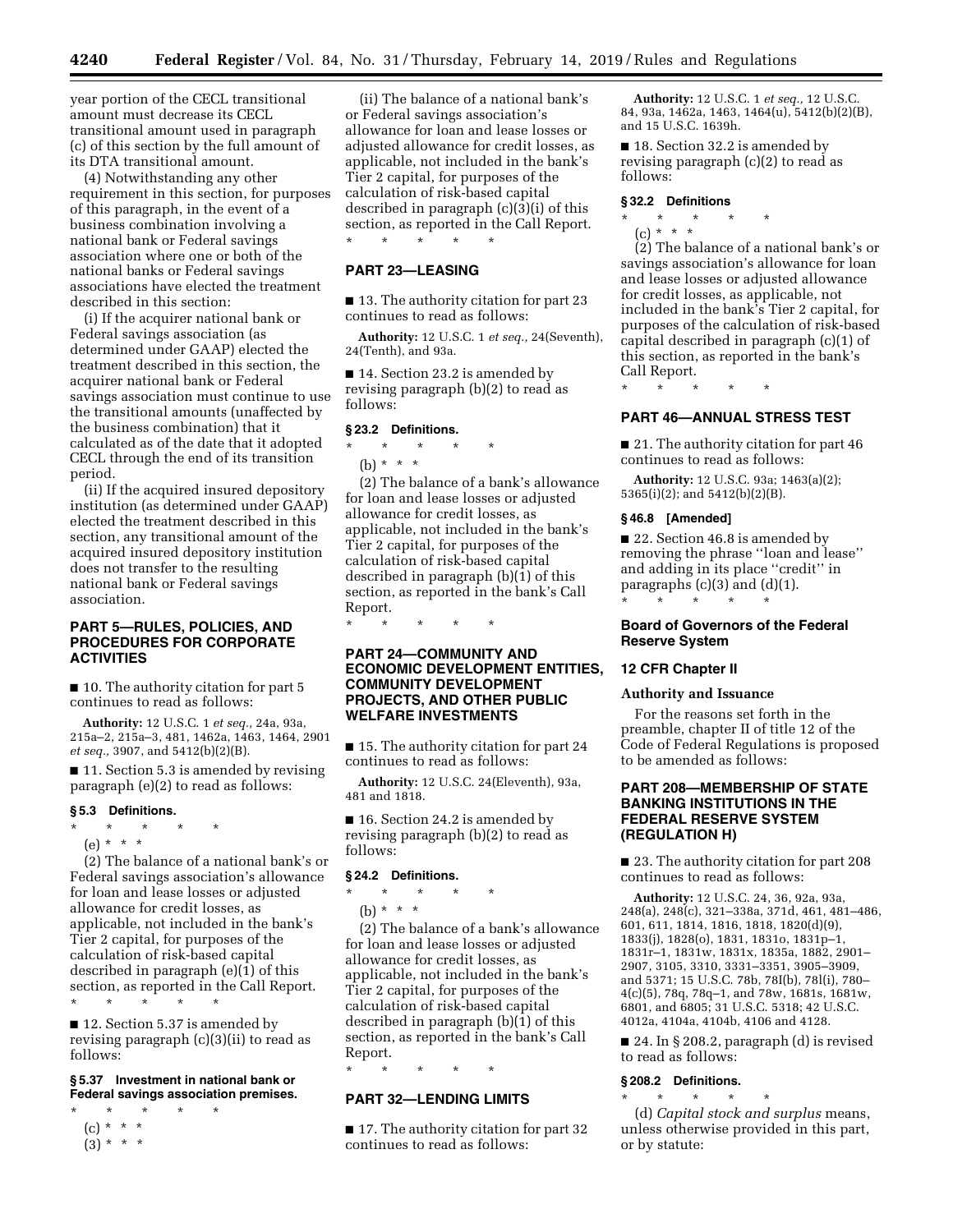year portion of the CECL transitional amount must decrease its CECL transitional amount used in paragraph (c) of this section by the full amount of its DTA transitional amount.

(4) Notwithstanding any other requirement in this section, for purposes of this paragraph, in the event of a business combination involving a national bank or Federal savings association where one or both of the national banks or Federal savings associations have elected the treatment described in this section:

(i) If the acquirer national bank or Federal savings association (as determined under GAAP) elected the treatment described in this section, the acquirer national bank or Federal savings association must continue to use the transitional amounts (unaffected by the business combination) that it calculated as of the date that it adopted CECL through the end of its transition period.

(ii) If the acquired insured depository institution (as determined under GAAP) elected the treatment described in this section, any transitional amount of the acquired insured depository institution does not transfer to the resulting national bank or Federal savings association.

# **PART 5—RULES, POLICIES, AND PROCEDURES FOR CORPORATE ACTIVITIES**

■ 10. The authority citation for part 5 continues to read as follows:

**Authority:** 12 U.S.C. 1 *et seq.,* 24a, 93a, 215a–2, 215a–3, 481, 1462a, 1463, 1464, 2901 *et seq.,* 3907, and 5412(b)(2)(B).

■ 11. Section 5.3 is amended by revising paragraph (e)(2) to read as follows:

### **§ 5.3 Definitions.**

\* \* \* \* \*

(e) \* \* \*

(2) The balance of a national bank's or Federal savings association's allowance for loan and lease losses or adjusted allowance for credit losses, as applicable, not included in the bank's Tier 2 capital, for purposes of the calculation of risk-based capital described in paragraph (e)(1) of this section, as reported in the Call Report. \* \* \* \* \*

■ 12. Section 5.37 is amended by revising paragraph (c)(3)(ii) to read as follows:

# **§ 5.37 Investment in national bank or Federal savings association premises.**

- \* \* \* \* \* (c) \* \* \*
- $(3) * * * *$

(ii) The balance of a national bank's or Federal savings association's allowance for loan and lease losses or adjusted allowance for credit losses, as applicable, not included in the bank's Tier 2 capital, for purposes of the calculation of risk-based capital described in paragraph (c)(3)(i) of this section, as reported in the Call Report. \* \* \* \* \*

### **PART 23—LEASING**

■ 13. The authority citation for part 23 continues to read as follows:

**Authority:** 12 U.S.C. 1 *et seq.,* 24(Seventh), 24(Tenth), and 93a.

■ 14. Section 23.2 is amended by revising paragraph (b)(2) to read as follows:

### **§ 23.2 Definitions.**

# $\star$   $\star$

(b) \* \* \*

(2) The balance of a bank's allowance for loan and lease losses or adjusted allowance for credit losses, as applicable, not included in the bank's Tier 2 capital, for purposes of the calculation of risk-based capital described in paragraph (b)(1) of this section, as reported in the bank's Call Report.

\* \* \* \* \*

# **PART 24—COMMUNITY AND ECONOMIC DEVELOPMENT ENTITIES, COMMUNITY DEVELOPMENT PROJECTS, AND OTHER PUBLIC WELFARE INVESTMENTS**

■ 15. The authority citation for part 24 continues to read as follows:

**Authority:** 12 U.S.C. 24(Eleventh), 93a, 481 and 1818.

■ 16. Section 24.2 is amended by revising paragraph (b)(2) to read as follows:

# **§ 24.2 Definitions.**

\* \* \* \* \*

(b) \* \* \*

(2) The balance of a bank's allowance for loan and lease losses or adjusted allowance for credit losses, as applicable, not included in the bank's Tier 2 capital, for purposes of the calculation of risk-based capital described in paragraph (b)(1) of this section, as reported in the bank's Call Report.

\* \* \* \* \*

# **PART 32—LENDING LIMITS**

■ 17. The authority citation for part 32 continues to read as follows:

**Authority:** 12 U.S.C. 1 *et seq.,* 12 U.S.C. 84, 93a, 1462a, 1463, 1464(u), 5412(b)(2)(B), and 15 U.S.C. 1639h.

■ 18. Section 32.2 is amended by revising paragraph (c)(2) to read as follows:

### **§ 32.2 Definitions**

- \* \* \* \* \*
- (c) \* \* \*

(2) The balance of a national bank's or savings association's allowance for loan and lease losses or adjusted allowance for credit losses, as applicable, not included in the bank's Tier 2 capital, for purposes of the calculation of risk-based capital described in paragraph (c)(1) of this section, as reported in the bank's Call Report.

\* \* \* \* \*

#### **PART 46—ANNUAL STRESS TEST**

■ 21. The authority citation for part 46 continues to read as follows:

**Authority:** 12 U.S.C. 93a; 1463(a)(2); 5365(i)(2); and 5412(b)(2)(B).

### **§ 46.8 [Amended]**

■ 22. Section 46.8 is amended by removing the phrase ''loan and lease'' and adding in its place ''credit'' in paragraphs (c)(3) and (d)(1). \* \* \* \* \*

# **Board of Governors of the Federal Reserve System**

### **12 CFR Chapter II**

### **Authority and Issuance**

For the reasons set forth in the preamble, chapter II of title 12 of the Code of Federal Regulations is proposed to be amended as follows:

# **PART 208—MEMBERSHIP OF STATE BANKING INSTITUTIONS IN THE FEDERAL RESERVE SYSTEM (REGULATION H)**

■ 23. The authority citation for part 208 continues to read as follows:

**Authority:** 12 U.S.C. 24, 36, 92a, 93a, 248(a), 248(c), 321–338a, 371d, 461, 481–486, 601, 611, 1814, 1816, 1818, 1820(d)(9), 1833(j), 1828(o), 1831, 1831o, 1831p–1, 1831r–1, 1831w, 1831x, 1835a, 1882, 2901– 2907, 3105, 3310, 3331–3351, 3905–3909, and 5371; 15 U.S.C. 78b, 78I(b), 78l(i), 780– 4(c)(5), 78q, 78q–1, and 78w, 1681s, 1681w, 6801, and 6805; 31 U.S.C. 5318; 42 U.S.C. 4012a, 4104a, 4104b, 4106 and 4128.

■ 24. In § 208.2, paragraph (d) is revised to read as follows:

#### **§ 208.2 Definitions.**

\* \* \* \* \* (d) *Capital stock and surplus* means, unless otherwise provided in this part, or by statute: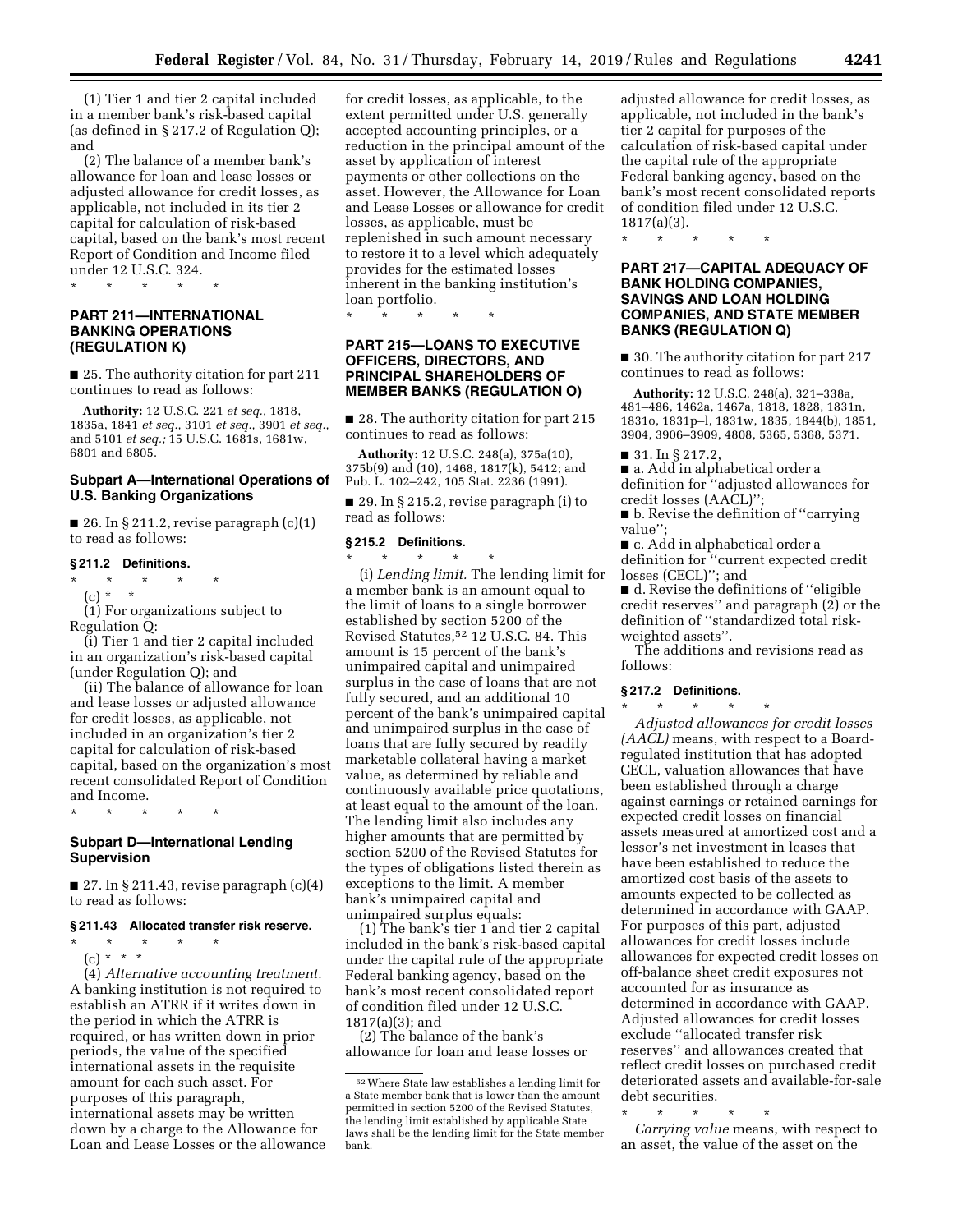(1) Tier 1 and tier 2 capital included in a member bank's risk-based capital (as defined in § 217.2 of Regulation Q); and

(2) The balance of a member bank's allowance for loan and lease losses or adjusted allowance for credit losses, as applicable, not included in its tier 2 capital for calculation of risk-based capital, based on the bank's most recent Report of Condition and Income filed under 12 U.S.C. 324.

\* \* \* \* \*

# **PART 211—INTERNATIONAL BANKING OPERATIONS (REGULATION K)**

■ 25. The authority citation for part 211 continues to read as follows:

**Authority:** 12 U.S.C. 221 *et seq.,* 1818, 1835a, 1841 *et seq.,* 3101 *et seq.,* 3901 *et seq.,*  and 5101 *et seq.;* 15 U.S.C. 1681s, 1681w, 6801 and 6805.

### **Subpart A—International Operations of U.S. Banking Organizations**

■ 26. In § 211.2, revise paragraph  $(c)(1)$ to read as follows:

# **§ 211.2 Definitions.**

\* \* \* \* \*  $(c) * * *$ 

(1) For organizations subject to Regulation Q:

(i) Tier 1 and tier 2 capital included in an organization's risk-based capital (under Regulation Q); and

(ii) The balance of allowance for loan and lease losses or adjusted allowance for credit losses, as applicable, not included in an organization's tier 2 capital for calculation of risk-based capital, based on the organization's most recent consolidated Report of Condition and Income.

**Subpart D—International Lending Supervision** 

\* \* \* \* \*

 $\blacksquare$  27. In § 211.43, revise paragraph (c)(4) to read as follows:

#### **§ 211.43 Allocated transfer risk reserve.**

\* \* \* \* \*

(c) \* \* \* (4) *Alternative accounting treatment.*  A banking institution is not required to establish an ATRR if it writes down in the period in which the ATRR is required, or has written down in prior periods, the value of the specified international assets in the requisite amount for each such asset. For purposes of this paragraph, international assets may be written down by a charge to the Allowance for

Loan and Lease Losses or the allowance

for credit losses, as applicable, to the extent permitted under U.S. generally accepted accounting principles, or a reduction in the principal amount of the asset by application of interest payments or other collections on the asset. However, the Allowance for Loan and Lease Losses or allowance for credit losses, as applicable, must be replenished in such amount necessary to restore it to a level which adequately provides for the estimated losses inherent in the banking institution's loan portfolio.

\* \* \* \* \*

# **PART 215—LOANS TO EXECUTIVE OFFICERS, DIRECTORS, AND PRINCIPAL SHAREHOLDERS OF MEMBER BANKS (REGULATION O)**

■ 28. The authority citation for part 215 continues to read as follows:

**Authority:** 12 U.S.C. 248(a), 375a(10), 375b(9) and (10), 1468, 1817(k), 5412; and Pub. L. 102–242, 105 Stat. 2236 (1991).

■ 29. In § 215.2, revise paragraph (i) to read as follows:

#### **§ 215.2 Definitions.**

\* \* \* \* \* (i) *Lending limit.* The lending limit for a member bank is an amount equal to the limit of loans to a single borrower established by section 5200 of the Revised Statutes,52 12 U.S.C. 84. This amount is 15 percent of the bank's unimpaired capital and unimpaired surplus in the case of loans that are not fully secured, and an additional 10 percent of the bank's unimpaired capital and unimpaired surplus in the case of loans that are fully secured by readily marketable collateral having a market value, as determined by reliable and continuously available price quotations, at least equal to the amount of the loan. The lending limit also includes any higher amounts that are permitted by section 5200 of the Revised Statutes for the types of obligations listed therein as exceptions to the limit. A member bank's unimpaired capital and unimpaired surplus equals:

(1) The bank's tier 1 and tier 2 capital included in the bank's risk-based capital under the capital rule of the appropriate Federal banking agency, based on the bank's most recent consolidated report of condition filed under 12 U.S.C. 1817(a)(3); and

(2) The balance of the bank's allowance for loan and lease losses or adjusted allowance for credit losses, as applicable, not included in the bank's tier 2 capital for purposes of the calculation of risk-based capital under the capital rule of the appropriate Federal banking agency, based on the bank's most recent consolidated reports of condition filed under 12 U.S.C. 1817(a)(3).

\* \* \* \* \*

# **PART 217—CAPITAL ADEQUACY OF BANK HOLDING COMPANIES, SAVINGS AND LOAN HOLDING COMPANIES, AND STATE MEMBER BANKS (REGULATION Q)**

■ 30. The authority citation for part 217 continues to read as follows:

**Authority:** 12 U.S.C. 248(a), 321–338a, 481–486, 1462a, 1467a, 1818, 1828, 1831n, 1831o, 1831p–l, 1831w, 1835, 1844(b), 1851, 3904, 3906–3909, 4808, 5365, 5368, 5371.

■ 31. In § 217.2,

■ a. Add in alphabetical order a definition for ''adjusted allowances for credit losses (AACL)'';

■ b. Revise the definition of "carrying value'';

■ c. Add in alphabetical order a definition for ''current expected credit losses (CECL)''; and

■ d. Revise the definitions of "eligible credit reserves'' and paragraph (2) or the definition of ''standardized total riskweighted assets''.

The additions and revisions read as follows:

# **§ 217.2 Definitions.**

\* \* \* \* \* *Adjusted allowances for credit losses (AACL)* means, with respect to a Boardregulated institution that has adopted CECL, valuation allowances that have been established through a charge against earnings or retained earnings for expected credit losses on financial assets measured at amortized cost and a lessor's net investment in leases that have been established to reduce the amortized cost basis of the assets to amounts expected to be collected as determined in accordance with GAAP. For purposes of this part, adjusted allowances for credit losses include allowances for expected credit losses on off-balance sheet credit exposures not accounted for as insurance as determined in accordance with GAAP. Adjusted allowances for credit losses exclude ''allocated transfer risk reserves'' and allowances created that reflect credit losses on purchased credit deteriorated assets and available-for-sale debt securities.

\* \* \* \* \*

*Carrying value* means, with respect to an asset, the value of the asset on the

<sup>52</sup>Where State law establishes a lending limit for a State member bank that is lower than the amount permitted in section 5200 of the Revised Statutes, the lending limit established by applicable State laws shall be the lending limit for the State member bank.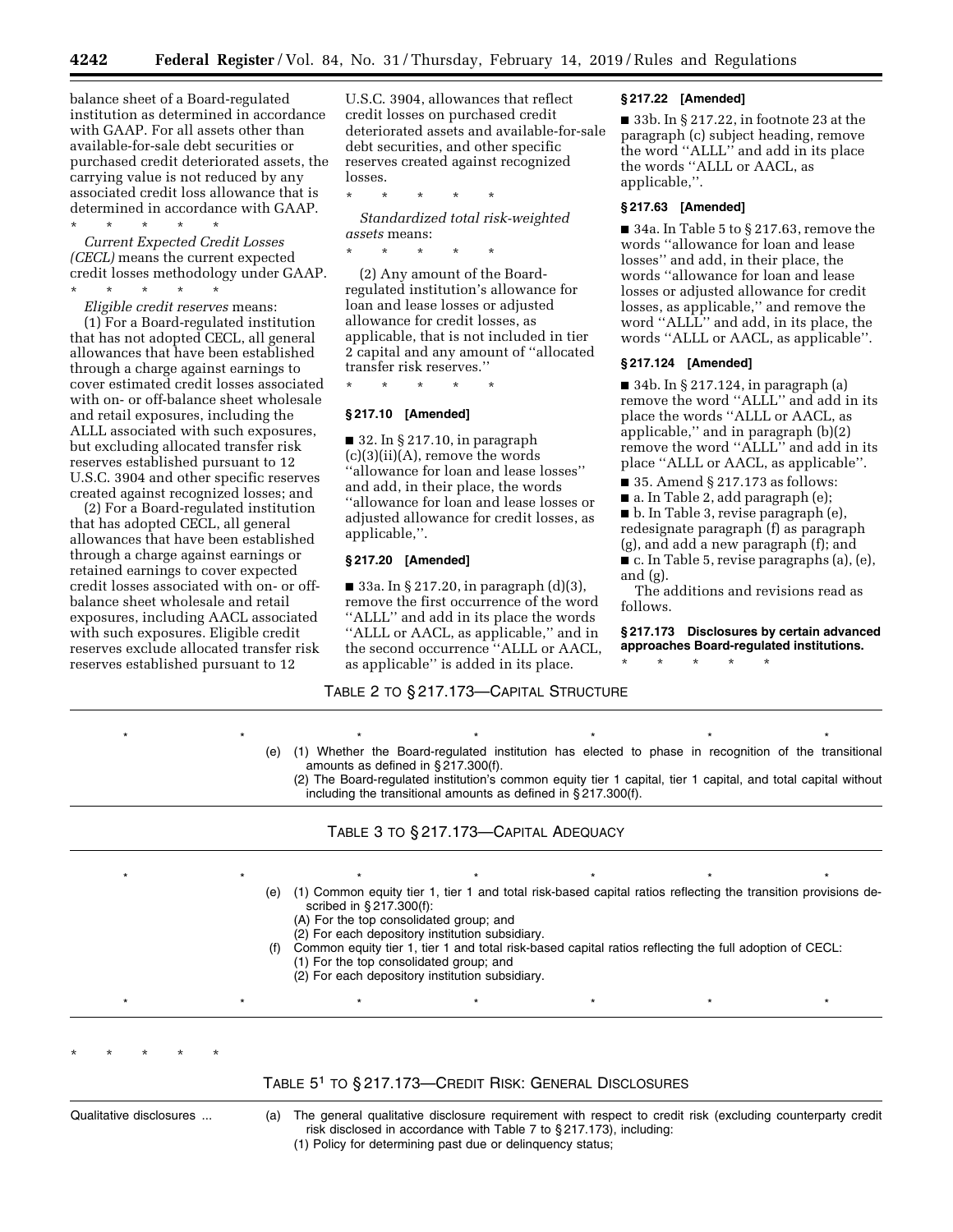balance sheet of a Board-regulated institution as determined in accordance with GAAP. For all assets other than available-for-sale debt securities or purchased credit deteriorated assets, the carrying value is not reduced by any associated credit loss allowance that is determined in accordance with GAAP. \* \* \* \* \*

*Current Expected Credit Losses* 

*(CECL)* means the current expected credit losses methodology under GAAP.

\* \* \* \* \* *Eligible credit reserves* means:

(1) For a Board-regulated institution that has not adopted CECL, all general allowances that have been established through a charge against earnings to cover estimated credit losses associated with on- or off-balance sheet wholesale and retail exposures, including the ALLL associated with such exposures, but excluding allocated transfer risk reserves established pursuant to 12 U.S.C. 3904 and other specific reserves created against recognized losses; and

(2) For a Board-regulated institution that has adopted CECL, all general allowances that have been established through a charge against earnings or retained earnings to cover expected credit losses associated with on- or offbalance sheet wholesale and retail exposures, including AACL associated with such exposures. Eligible credit reserves exclude allocated transfer risk reserves established pursuant to 12

U.S.C. 3904, allowances that reflect credit losses on purchased credit deteriorated assets and available-for-sale debt securities, and other specific reserves created against recognized losses.

\* \* \* \* \*

*Standardized total risk-weighted assets* means:

\* \* \* \* \*

(2) Any amount of the Boardregulated institution's allowance for loan and lease losses or adjusted allowance for credit losses, as applicable, that is not included in tier 2 capital and any amount of ''allocated transfer risk reserves.''

\* \* \* \* \*

#### **§ 217.10 [Amended]**

 $\blacksquare$  32. In § 217.10, in paragraph  $(c)(3)(ii)(A)$ , remove the words ''allowance for loan and lease losses'' and add, in their place, the words ''allowance for loan and lease losses or adjusted allowance for credit losses, as applicable,''.

### **§ 217.20 [Amended]**

■ 33a. In § 217.20, in paragraph  $(d)(3)$ , remove the first occurrence of the word ''ALLL'' and add in its place the words ''ALLL or AACL, as applicable,'' and in the second occurrence ''ALLL or AACL, as applicable'' is added in its place.

TABLE 2 TO § 217.173—CAPITAL STRUCTURE

#### **§ 217.22 [Amended]**

■ 33b. In § 217.22, in footnote 23 at the paragraph (c) subject heading, remove the word ''ALLL'' and add in its place the words ''ALLL or AACL, as applicable,''.

### **§ 217.63 [Amended]**

■ 34a. In Table 5 to § 217.63, remove the words ''allowance for loan and lease losses'' and add, in their place, the words ''allowance for loan and lease losses or adjusted allowance for credit losses, as applicable,'' and remove the word ''ALLL'' and add, in its place, the words ''ALLL or AACL, as applicable''.

# **§ 217.124 [Amended]**

■ 34b. In § 217.124, in paragraph (a) remove the word ''ALLL'' and add in its place the words ''ALLL or AACL, as applicable,'' and in paragraph (b)(2) remove the word ''ALLL'' and add in its place ''ALLL or AACL, as applicable''.

■ 35. Amend § 217.173 as follows:

■ a. In Table 2, add paragraph (e);

■ b. In Table 3, revise paragraph (e),

redesignate paragraph (f) as paragraph (g), and add a new paragraph (f); and

■ c. In Table 5, revise paragraphs (a), (e), and (g).

The additions and revisions read as follows.

**§ 217.173 Disclosures by certain advanced approaches Board-regulated institutions.** 

- \* \* \* \* \*
- \*\*\*\*\*\*\* (e) (1) Whether the Board-regulated institution has elected to phase in recognition of the transitional amounts as defined in § 217.300(f).

(2) The Board-regulated institution's common equity tier 1 capital, tier 1 capital, and total capital without including the transitional amounts as defined in § 217.300(f).

\*\*\*\*\*\*\*

(e) (1) Common equity tier 1, tier 1 and total risk-based capital ratios reflecting the transition provisions described in § 217.300(f):

(A) For the top consolidated group; and

- (2) For each depository institution subsidiary.
- Common equity tier 1, tier 1 and total risk-based capital ratios reflecting the full adoption of CECL:
- (1) For the top consolidated group; and
- (2) For each depository institution subsidiary.

TABLE 51 TO § 217.173—CREDIT RISK: GENERAL DISCLOSURES

\*\*\*\*\*\*\*

\* \* \* \* \*

Qualitative disclosures ... (a) The general qualitative disclosure requirement with respect to credit risk (excluding counterparty credit risk disclosed in accordance with Table 7 to § 217.173), including: (1) Policy for determining past due or delinquency status;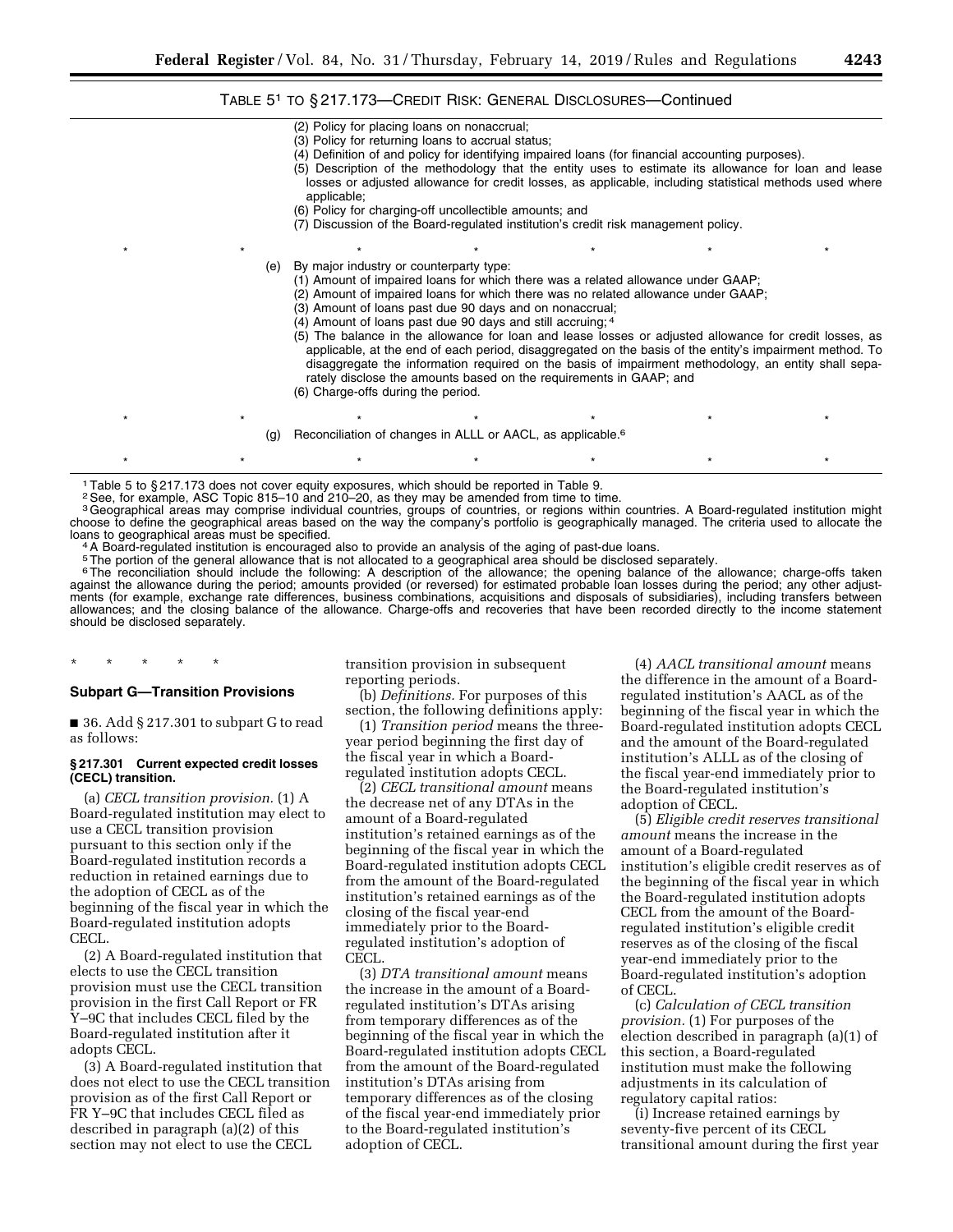# TABLE 51 TO § 217.173—CREDIT RISK: GENERAL DISCLOSURES—Continued

- (2) Policy for placing loans on nonaccrual; (3) Policy for returning loans to accrual status; (4) Definition of and policy for identifying impaired loans (for financial accounting purposes). (5) Description of the methodology that the entity uses to estimate its allowance for loan and lease losses or adjusted allowance for credit losses, as applicable, including statistical methods used where applicable; (6) Policy for charging-off uncollectible amounts; and (7) Discussion of the Board-regulated institution's credit risk management policy. \* \* \* \* \* \* \* \* \* \* \* \* \* \* \* (e) By major industry or counterparty type: (1) Amount of impaired loans for which there was a related allowance under GAAP; (2) Amount of impaired loans for which there was no related allowance under GAAP; (3) Amount of loans past due 90 days and on nonaccrual; (4) Amount of loans past due 90 days and still accruing; 4 (5) The balance in the allowance for loan and lease losses or adjusted allowance for credit losses, as applicable, at the end of each period, disaggregated on the basis of the entity's impairment method. To disaggregate the information required on the basis of impairment methodology, an entity shall separately disclose the amounts based on the requirements in GAAP; and (6) Charge-offs during the period. \* \* \* \* \* \* \* \* \* \* \* \* \* \* \*
	- (g) Reconciliation of changes in ALLL or AACL, as applicable.<sup>6</sup>

1Table 5 to § 217.173 does not cover equity exposures, which should be reported in Table 9.

2See, for example, ASC Topic 815–10 and 210–20, as they may be amended from time to time.

<sup>3</sup>Geographical areas may comprise individual countries, groups of countries, or regions within countries. A Board-regulated institution might choose to define the geographical areas based on the way the company's portfolio is geographically managed. The criteria used to allocate the<br>Ioans to geographical areas must be specified.

\* \* \* \* \* \* \* \* \* \* \* \* \* \* \*

<sup>4</sup> A Board-regulated institution is encouraged also to provide an analysis of the aging of past-due loans.

5The portion of the general allowance that is not allocated to a geographical area should be disclosed separately.

<sup>6</sup>The reconciliation should include the following: A description of the allowance; the opening balance of the allowance; charge-offs taken against the allowance during the period; amounts provided (or reversed) for estimated probable loan losses during the period; any other adjustments (for example, exchange rate differences, business combinations, acquisitions and disposals of subsidiaries), including transfers between allowances; and the closing balance of the allowance. Charge-offs and recoveries that have been recorded directly to the income statement should be disclosed separately.

### \* \* \* \* \*

# **Subpart G—Transition Provisions**

■ 36. Add § 217.301 to subpart G to read as follows:

### **§ 217.301 Current expected credit losses (CECL) transition.**

(a) *CECL transition provision.* (1) A Board-regulated institution may elect to use a CECL transition provision pursuant to this section only if the Board-regulated institution records a reduction in retained earnings due to the adoption of CECL as of the beginning of the fiscal year in which the Board-regulated institution adopts CECL.

(2) A Board-regulated institution that elects to use the CECL transition provision must use the CECL transition provision in the first Call Report or FR Y–9C that includes CECL filed by the Board-regulated institution after it adopts CECL.

(3) A Board-regulated institution that does not elect to use the CECL transition provision as of the first Call Report or FR Y–9C that includes CECL filed as described in paragraph (a)(2) of this section may not elect to use the CECL

transition provision in subsequent reporting periods.

(b) *Definitions.* For purposes of this section, the following definitions apply:

(1) *Transition period* means the threeyear period beginning the first day of the fiscal year in which a Boardregulated institution adopts CECL.

(2) *CECL transitional amount* means the decrease net of any DTAs in the amount of a Board-regulated institution's retained earnings as of the beginning of the fiscal year in which the Board-regulated institution adopts CECL from the amount of the Board-regulated institution's retained earnings as of the closing of the fiscal year-end immediately prior to the Boardregulated institution's adoption of CECL.

(3) *DTA transitional amount* means the increase in the amount of a Boardregulated institution's DTAs arising from temporary differences as of the beginning of the fiscal year in which the Board-regulated institution adopts CECL from the amount of the Board-regulated institution's DTAs arising from temporary differences as of the closing of the fiscal year-end immediately prior to the Board-regulated institution's adoption of CECL.

(4) *AACL transitional amount* means the difference in the amount of a Boardregulated institution's AACL as of the beginning of the fiscal year in which the Board-regulated institution adopts CECL and the amount of the Board-regulated institution's ALLL as of the closing of the fiscal year-end immediately prior to the Board-regulated institution's adoption of CECL.

(5) *Eligible credit reserves transitional amount* means the increase in the amount of a Board-regulated institution's eligible credit reserves as of the beginning of the fiscal year in which the Board-regulated institution adopts CECL from the amount of the Boardregulated institution's eligible credit reserves as of the closing of the fiscal year-end immediately prior to the Board-regulated institution's adoption of CECL.

(c) *Calculation of CECL transition provision.* (1) For purposes of the election described in paragraph (a)(1) of this section, a Board-regulated institution must make the following adjustments in its calculation of regulatory capital ratios:

(i) Increase retained earnings by seventy-five percent of its CECL transitional amount during the first year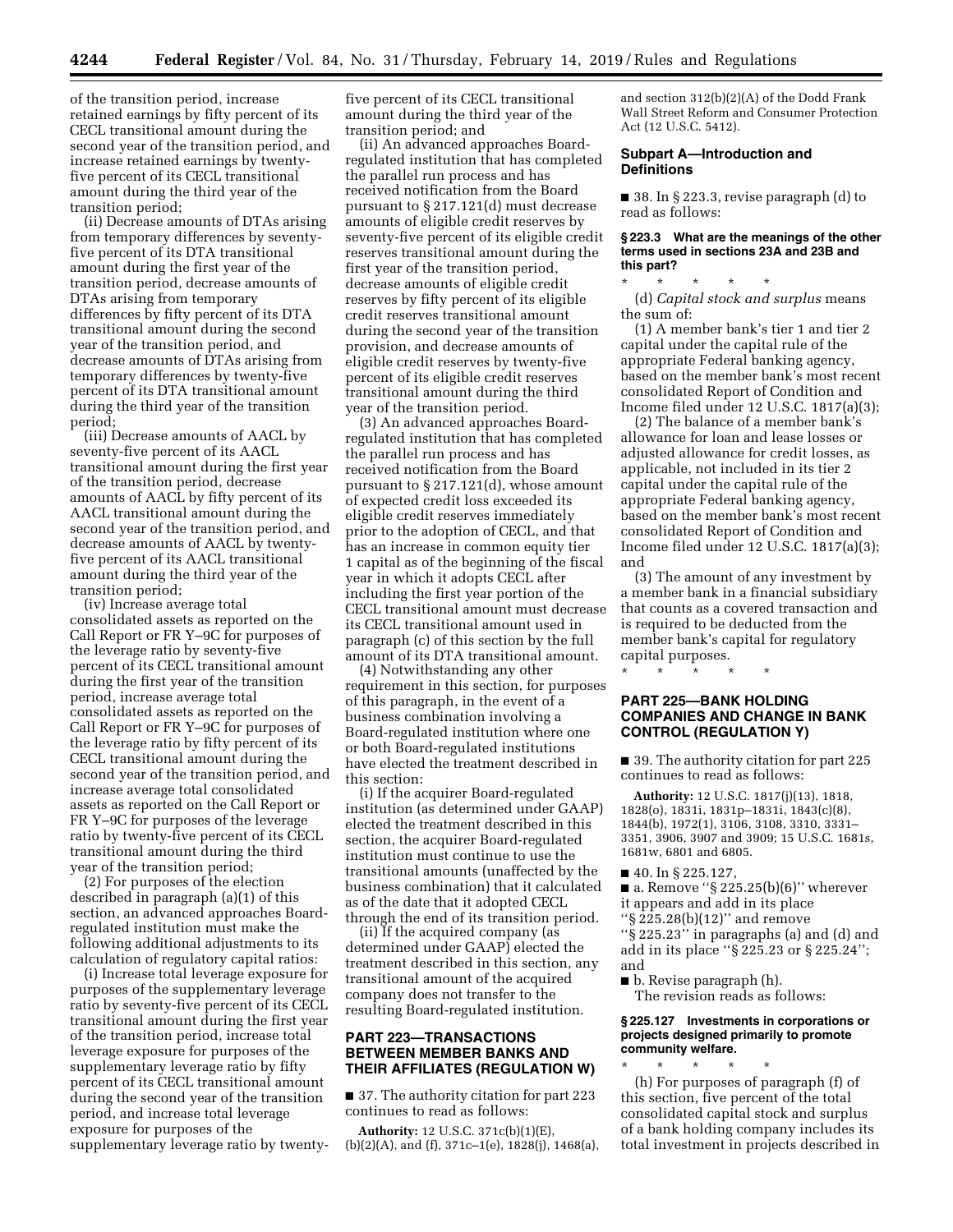of the transition period, increase retained earnings by fifty percent of its CECL transitional amount during the second year of the transition period, and increase retained earnings by twentyfive percent of its CECL transitional amount during the third year of the transition period;

(ii) Decrease amounts of DTAs arising from temporary differences by seventyfive percent of its DTA transitional amount during the first year of the transition period, decrease amounts of DTAs arising from temporary differences by fifty percent of its DTA transitional amount during the second year of the transition period, and decrease amounts of DTAs arising from temporary differences by twenty-five percent of its DTA transitional amount during the third year of the transition period;

(iii) Decrease amounts of AACL by seventy-five percent of its AACL transitional amount during the first year of the transition period, decrease amounts of AACL by fifty percent of its AACL transitional amount during the second year of the transition period, and decrease amounts of AACL by twentyfive percent of its AACL transitional amount during the third year of the transition period;

(iv) Increase average total consolidated assets as reported on the Call Report or FR Y–9C for purposes of the leverage ratio by seventy-five percent of its CECL transitional amount during the first year of the transition period, increase average total consolidated assets as reported on the Call Report or FR Y–9C for purposes of the leverage ratio by fifty percent of its CECL transitional amount during the second year of the transition period, and increase average total consolidated assets as reported on the Call Report or FR Y–9C for purposes of the leverage ratio by twenty-five percent of its CECL transitional amount during the third year of the transition period;

(2) For purposes of the election described in paragraph (a)(1) of this section, an advanced approaches Boardregulated institution must make the following additional adjustments to its calculation of regulatory capital ratios:

(i) Increase total leverage exposure for purposes of the supplementary leverage ratio by seventy-five percent of its CECL transitional amount during the first year of the transition period, increase total leverage exposure for purposes of the supplementary leverage ratio by fifty percent of its CECL transitional amount during the second year of the transition period, and increase total leverage exposure for purposes of the supplementary leverage ratio by twentyfive percent of its CECL transitional amount during the third year of the transition period; and

(ii) An advanced approaches Boardregulated institution that has completed the parallel run process and has received notification from the Board pursuant to § 217.121(d) must decrease amounts of eligible credit reserves by seventy-five percent of its eligible credit reserves transitional amount during the first year of the transition period, decrease amounts of eligible credit reserves by fifty percent of its eligible credit reserves transitional amount during the second year of the transition provision, and decrease amounts of eligible credit reserves by twenty-five percent of its eligible credit reserves transitional amount during the third year of the transition period.

(3) An advanced approaches Boardregulated institution that has completed the parallel run process and has received notification from the Board pursuant to § 217.121(d), whose amount of expected credit loss exceeded its eligible credit reserves immediately prior to the adoption of CECL, and that has an increase in common equity tier 1 capital as of the beginning of the fiscal year in which it adopts CECL after including the first year portion of the CECL transitional amount must decrease its CECL transitional amount used in paragraph (c) of this section by the full amount of its DTA transitional amount.

(4) Notwithstanding any other requirement in this section, for purposes of this paragraph, in the event of a business combination involving a Board-regulated institution where one or both Board-regulated institutions have elected the treatment described in this section:

(i) If the acquirer Board-regulated institution (as determined under GAAP) elected the treatment described in this section, the acquirer Board-regulated institution must continue to use the transitional amounts (unaffected by the business combination) that it calculated as of the date that it adopted CECL through the end of its transition period.

(ii) If the acquired company (as determined under GAAP) elected the treatment described in this section, any transitional amount of the acquired company does not transfer to the resulting Board-regulated institution.

# **PART 223—TRANSACTIONS BETWEEN MEMBER BANKS AND THEIR AFFILIATES (REGULATION W)**

■ 37. The authority citation for part 223 continues to read as follows:

**Authority:** 12 U.S.C. 371c(b)(1)(E), (b)(2)(A), and (f), 371c–1(e), 1828(j), 1468(a), and section 312(b)(2)(A) of the Dodd Frank Wall Street Reform and Consumer Protection Act (12 U.S.C. 5412).

### **Subpart A—Introduction and Definitions**

■ 38. In § 223.3, revise paragraph (d) to read as follows:

### **§ 223.3 What are the meanings of the other terms used in sections 23A and 23B and this part?**

\* \* \* \* \*

(d) *Capital stock and surplus* means the sum of:

(1) A member bank's tier 1 and tier 2 capital under the capital rule of the appropriate Federal banking agency, based on the member bank's most recent consolidated Report of Condition and Income filed under 12 U.S.C. 1817(a)(3);

(2) The balance of a member bank's allowance for loan and lease losses or adjusted allowance for credit losses, as applicable, not included in its tier 2 capital under the capital rule of the appropriate Federal banking agency, based on the member bank's most recent consolidated Report of Condition and Income filed under 12 U.S.C. 1817(a)(3); and

(3) The amount of any investment by a member bank in a financial subsidiary that counts as a covered transaction and is required to be deducted from the member bank's capital for regulatory capital purposes.

# \* \* \* \* \*

# **PART 225—BANK HOLDING COMPANIES AND CHANGE IN BANK CONTROL (REGULATION Y)**

■ 39. The authority citation for part 225 continues to read as follows:

**Authority:** 12 U.S.C. 1817(j)(13), 1818, 1828(o), 1831i, 1831p–1831i, 1843(c)(8), 1844(b), 1972(1), 3106, 3108, 3310, 3331– 3351, 3906, 3907 and 3909; 15 U.S.C. 1681s, 1681w, 6801 and 6805.

- 40. In § 225.127,
- $\blacksquare$  a. Remove "§ 225.25(b)(6)" wherever it appears and add in its place
- ''§ 225.28(b)(12)'' and remove

''§ 225.23'' in paragraphs (a) and (d) and add in its place ''§ 225.23 or § 225.24''; and

■ b. Revise paragraph (h). The revision reads as follows:

**§ 225.127 Investments in corporations or projects designed primarily to promote community welfare.** 

\* \* \* \* \* (h) For purposes of paragraph (f) of this section, five percent of the total consolidated capital stock and surplus of a bank holding company includes its total investment in projects described in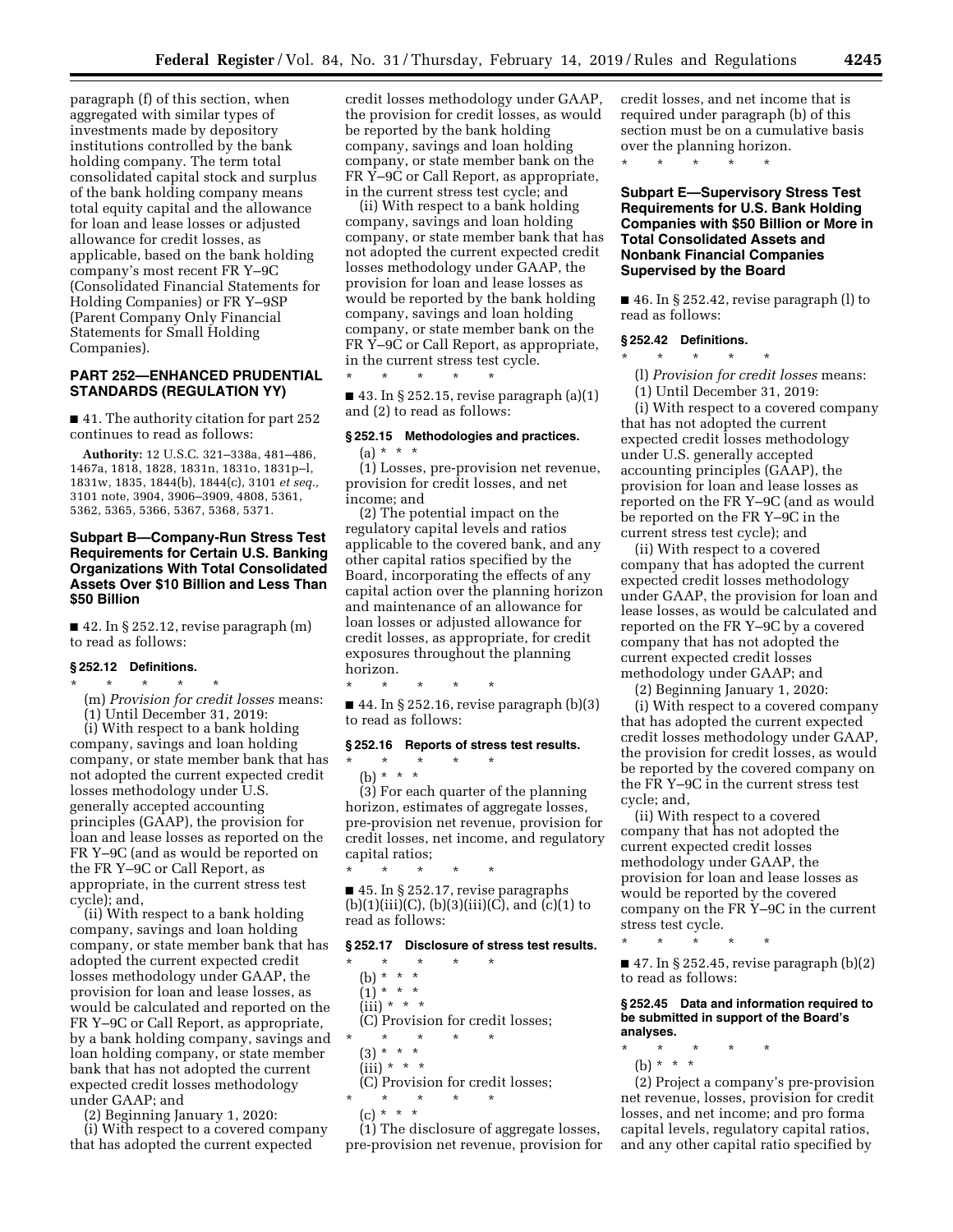paragraph (f) of this section, when aggregated with similar types of investments made by depository institutions controlled by the bank holding company. The term total consolidated capital stock and surplus of the bank holding company means total equity capital and the allowance for loan and lease losses or adjusted allowance for credit losses, as applicable, based on the bank holding company's most recent FR Y–9C (Consolidated Financial Statements for Holding Companies) or FR Y–9SP (Parent Company Only Financial Statements for Small Holding Companies).

# **PART 252—ENHANCED PRUDENTIAL STANDARDS (REGULATION YY)**

■ 41. The authority citation for part 252 continues to read as follows:

**Authority:** 12 U.S.C. 321–338a, 481–486, 1467a, 1818, 1828, 1831n, 1831o, 1831p–l, 1831w, 1835, 1844(b), 1844(c), 3101 *et seq.,*  3101 note, 3904, 3906–3909, 4808, 5361, 5362, 5365, 5366, 5367, 5368, 5371.

# **Subpart B—Company-Run Stress Test Requirements for Certain U.S. Banking Organizations With Total Consolidated Assets Over \$10 Billion and Less Than \$50 Billion**

 $\blacksquare$  42. In § 252.12, revise paragraph  $(m)$ to read as follows:

### **§ 252.12 Definitions.**

\* \* \* \* \* (m) *Provision for credit losses* means: (1) Until December 31, 2019:

(i) With respect to a bank holding company, savings and loan holding company, or state member bank that has not adopted the current expected credit losses methodology under U.S. generally accepted accounting principles (GAAP), the provision for loan and lease losses as reported on the FR Y–9C (and as would be reported on the FR Y–9C or Call Report, as appropriate, in the current stress test cycle); and,

(ii) With respect to a bank holding company, savings and loan holding company, or state member bank that has adopted the current expected credit losses methodology under GAAP, the provision for loan and lease losses, as would be calculated and reported on the FR Y–9C or Call Report, as appropriate, by a bank holding company, savings and loan holding company, or state member bank that has not adopted the current expected credit losses methodology under GAAP; and

(2) Beginning January 1, 2020: (i) With respect to a covered company

that has adopted the current expected

credit losses methodology under GAAP, the provision for credit losses, as would be reported by the bank holding company, savings and loan holding company, or state member bank on the FR Y–9C or Call Report, as appropriate, in the current stress test cycle; and

(ii) With respect to a bank holding company, savings and loan holding company, or state member bank that has not adopted the current expected credit losses methodology under GAAP, the provision for loan and lease losses as would be reported by the bank holding company, savings and loan holding company, or state member bank on the FR Y-9C or Call Report, as appropriate, in the current stress test cycle. \* \* \* \* \*

 $\blacksquare$  43. In § 252.15, revise paragraph (a)(1) and (2) to read as follows:

# **§ 252.15 Methodologies and practices.**   $(a) * * * *$

(1) Losses, pre-provision net revenue, provision for credit losses, and net income; and

(2) The potential impact on the regulatory capital levels and ratios applicable to the covered bank, and any other capital ratios specified by the Board, incorporating the effects of any capital action over the planning horizon and maintenance of an allowance for loan losses or adjusted allowance for credit losses, as appropriate, for credit exposures throughout the planning horizon.

 $\blacksquare$  44. In § 252.16, revise paragraph (b)(3) to read as follows:

# **§ 252.16 Reports of stress test results.**

\* \* \* \* \* (b) \* \* \*

\* \* \* \* \*

(3) For each quarter of the planning horizon, estimates of aggregate losses, pre-provision net revenue, provision for credit losses, net income, and regulatory capital ratios;

\* \* \* \* \* ■ 45. In § 252.17, revise paragraphs  $(b)(1)(iii)(C), (b)(3)(iii)(C), and (c)(1)$  to read as follows:

### **§ 252.17 Disclosure of stress test results.**

\* \* \* \* \* (b) \* \* \*  $(1)^*$  \* \* \*  $(iii) * * * *$ (C) Provision for credit losses; \* \* \* \* \* (3) \* \* \*  $(iii) * * * *$ (C) Provision for credit losses; \* \* \* \* \*

(c) \* \* \*

(1) The disclosure of aggregate losses, pre-provision net revenue, provision for credit losses, and net income that is required under paragraph (b) of this section must be on a cumulative basis over the planning horizon.

\* \* \* \* \*

**Subpart E—Supervisory Stress Test Requirements for U.S. Bank Holding Companies with \$50 Billion or More in Total Consolidated Assets and Nonbank Financial Companies Supervised by the Board** 

■ 46. In § 252.42, revise paragraph (l) to read as follows:

### **§ 252.42 Definitions.**

\* \* \* \* \*

(l) *Provision for credit losses* means:

(1) Until December 31, 2019:

(i) With respect to a covered company that has not adopted the current expected credit losses methodology under U.S. generally accepted accounting principles (GAAP), the provision for loan and lease losses as reported on the FR Y–9C (and as would be reported on the FR Y–9C in the current stress test cycle); and

(ii) With respect to a covered company that has adopted the current expected credit losses methodology under GAAP, the provision for loan and lease losses, as would be calculated and reported on the FR Y–9C by a covered company that has not adopted the current expected credit losses methodology under GAAP; and

(2) Beginning January 1, 2020:

(i) With respect to a covered company that has adopted the current expected credit losses methodology under GAAP, the provision for credit losses, as would be reported by the covered company on the FR Y–9C in the current stress test cycle; and,

(ii) With respect to a covered company that has not adopted the current expected credit losses methodology under GAAP, the provision for loan and lease losses as would be reported by the covered company on the FR Y–9C in the current stress test cycle.

\* \* \* \* \*

 $\blacksquare$  47. In § 252.45, revise paragraph (b)(2) to read as follows:

**§ 252.45 Data and information required to be submitted in support of the Board's analyses.** 

\* \* \* \* \*

(b) \* \* \*

(2) Project a company's pre-provision net revenue, losses, provision for credit losses, and net income; and pro forma capital levels, regulatory capital ratios, and any other capital ratio specified by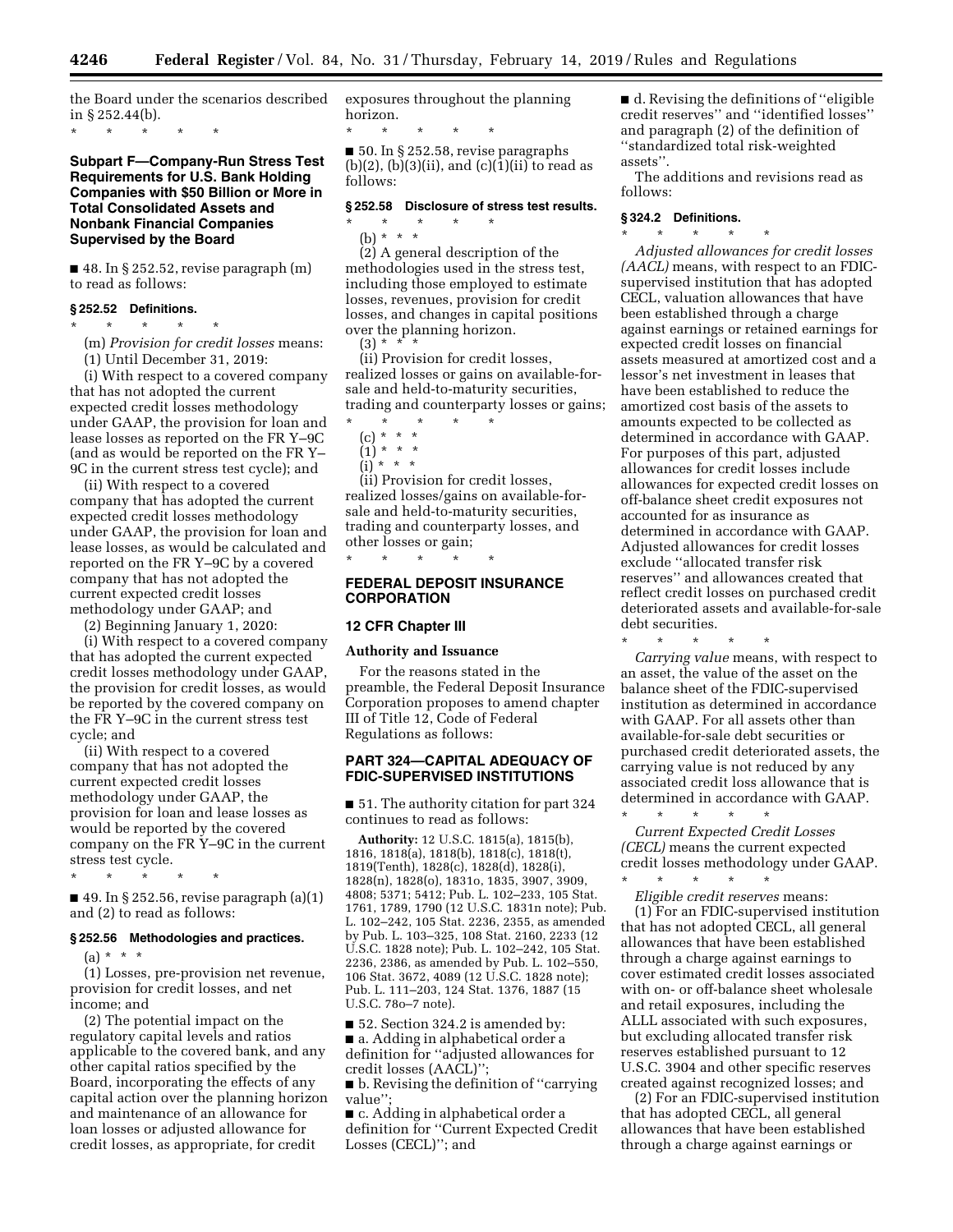the Board under the scenarios described in § 252.44(b).

\* \* \* \* \*

# **Subpart F—Company-Run Stress Test Requirements for U.S. Bank Holding Companies with \$50 Billion or More in Total Consolidated Assets and Nonbank Financial Companies Supervised by the Board**

■ 48. In § 252.52, revise paragraph (m) to read as follows:

# **§ 252.52 Definitions.**

\* \* \* \* \* (m) *Provision for credit losses* means: (1) Until December 31, 2019:

(i) With respect to a covered company that has not adopted the current expected credit losses methodology under GAAP, the provision for loan and lease losses as reported on the FR Y–9C (and as would be reported on the FR Y– 9C in the current stress test cycle); and

(ii) With respect to a covered company that has adopted the current expected credit losses methodology under GAAP, the provision for loan and lease losses, as would be calculated and reported on the FR Y–9C by a covered company that has not adopted the current expected credit losses methodology under GAAP; and

(2) Beginning January 1, 2020:

(i) With respect to a covered company that has adopted the current expected credit losses methodology under GAAP, the provision for credit losses, as would be reported by the covered company on the FR Y–9C in the current stress test cycle; and

(ii) With respect to a covered company that has not adopted the current expected credit losses methodology under GAAP, the provision for loan and lease losses as would be reported by the covered company on the FR Y–9C in the current stress test cycle.

\* \* \* \* \*

 $\blacksquare$  49. In § 252.56, revise paragraph (a)(1) and (2) to read as follows:

### **§ 252.56 Methodologies and practices.**

 $(a) * * * *$ 

(1) Losses, pre-provision net revenue, provision for credit losses, and net income; and

(2) The potential impact on the regulatory capital levels and ratios applicable to the covered bank, and any other capital ratios specified by the Board, incorporating the effects of any capital action over the planning horizon and maintenance of an allowance for loan losses or adjusted allowance for credit losses, as appropriate, for credit

exposures throughout the planning horizon.

\* \* \* \* \* ■ 50. In § 252.58, revise paragraphs  $(b)(2)$ ,  $(b)(3)(ii)$ , and  $(c)(1)(ii)$  to read as follows:

### **§ 252.58 Disclosure of stress test results.**  \* \* \* \* \*

(b) \* \* \*

(2) A general description of the methodologies used in the stress test, including those employed to estimate losses, revenues, provision for credit losses, and changes in capital positions over the planning horizon.  $(3) * *$ 

(ii) Provision for credit losses, realized losses or gains on available-forsale and held-to-maturity securities, trading and counterparty losses or gains;

- \* \* \* \* \* (c) \* \* \*
	- $(1) * * * *$
	- $(i)$  \* \* \*

(ii) Provision for credit losses, realized losses/gains on available-forsale and held-to-maturity securities, trading and counterparty losses, and other losses or gain;

# **FEDERAL DEPOSIT INSURANCE CORPORATION**

#### **12 CFR Chapter III**

#### **Authority and Issuance**

\* \* \* \* \*

For the reasons stated in the preamble, the Federal Deposit Insurance Corporation proposes to amend chapter III of Title 12, Code of Federal Regulations as follows:

# **PART 324—CAPITAL ADEQUACY OF FDIC-SUPERVISED INSTITUTIONS**

■ 51. The authority citation for part 324 continues to read as follows:

**Authority:** 12 U.S.C. 1815(a), 1815(b), 1816, 1818(a), 1818(b), 1818(c), 1818(t), 1819(Tenth), 1828(c), 1828(d), 1828(i), 1828(n), 1828(o), 1831o, 1835, 3907, 3909, 4808; 5371; 5412; Pub. L. 102–233, 105 Stat. 1761, 1789, 1790 (12 U.S.C. 1831n note); Pub. L. 102–242, 105 Stat. 2236, 2355, as amended by Pub. L. 103–325, 108 Stat. 2160, 2233 (12 U.S.C. 1828 note); Pub. L. 102–242, 105 Stat. 2236, 2386, as amended by Pub. L. 102–550, 106 Stat. 3672, 4089 (12 U.S.C. 1828 note); Pub. L. 111–203, 124 Stat. 1376, 1887 (15 U.S.C. 78o–7 note).

■ 52. Section 324.2 is amended by: ■ a. Adding in alphabetical order a definition for ''adjusted allowances for credit losses (AACL)'';

■ b. Revising the definition of "carrying" value'';

■ c. Adding in alphabetical order a definition for ''Current Expected Credit Losses (CECL)''; and

■ d. Revising the definitions of "eligible credit reserves'' and ''identified losses'' and paragraph (2) of the definition of ''standardized total risk-weighted assets''.

The additions and revisions read as follows:

### **§ 324.2 Definitions.**

\* \* \* \* \* *Adjusted allowances for credit losses (AACL)* means, with respect to an FDICsupervised institution that has adopted CECL, valuation allowances that have been established through a charge against earnings or retained earnings for expected credit losses on financial assets measured at amortized cost and a lessor's net investment in leases that have been established to reduce the amortized cost basis of the assets to amounts expected to be collected as determined in accordance with GAAP. For purposes of this part, adjusted allowances for credit losses include allowances for expected credit losses on off-balance sheet credit exposures not accounted for as insurance as determined in accordance with GAAP. Adjusted allowances for credit losses exclude ''allocated transfer risk reserves'' and allowances created that reflect credit losses on purchased credit deteriorated assets and available-for-sale debt securities.

\* \* \* \* \*

*Carrying value* means, with respect to an asset, the value of the asset on the balance sheet of the FDIC-supervised institution as determined in accordance with GAAP. For all assets other than available-for-sale debt securities or purchased credit deteriorated assets, the carrying value is not reduced by any associated credit loss allowance that is determined in accordance with GAAP.

\* \* \* \* \* *Current Expected Credit Losses (CECL)* means the current expected credit losses methodology under GAAP. \* \* \* \* \*

*Eligible credit reserves* means: (1) For an FDIC-supervised institution that has not adopted CECL, all general allowances that have been established through a charge against earnings to cover estimated credit losses associated with on- or off-balance sheet wholesale and retail exposures, including the ALLL associated with such exposures, but excluding allocated transfer risk reserves established pursuant to 12 U.S.C. 3904 and other specific reserves created against recognized losses; and

(2) For an FDIC-supervised institution that has adopted CECL, all general allowances that have been established through a charge against earnings or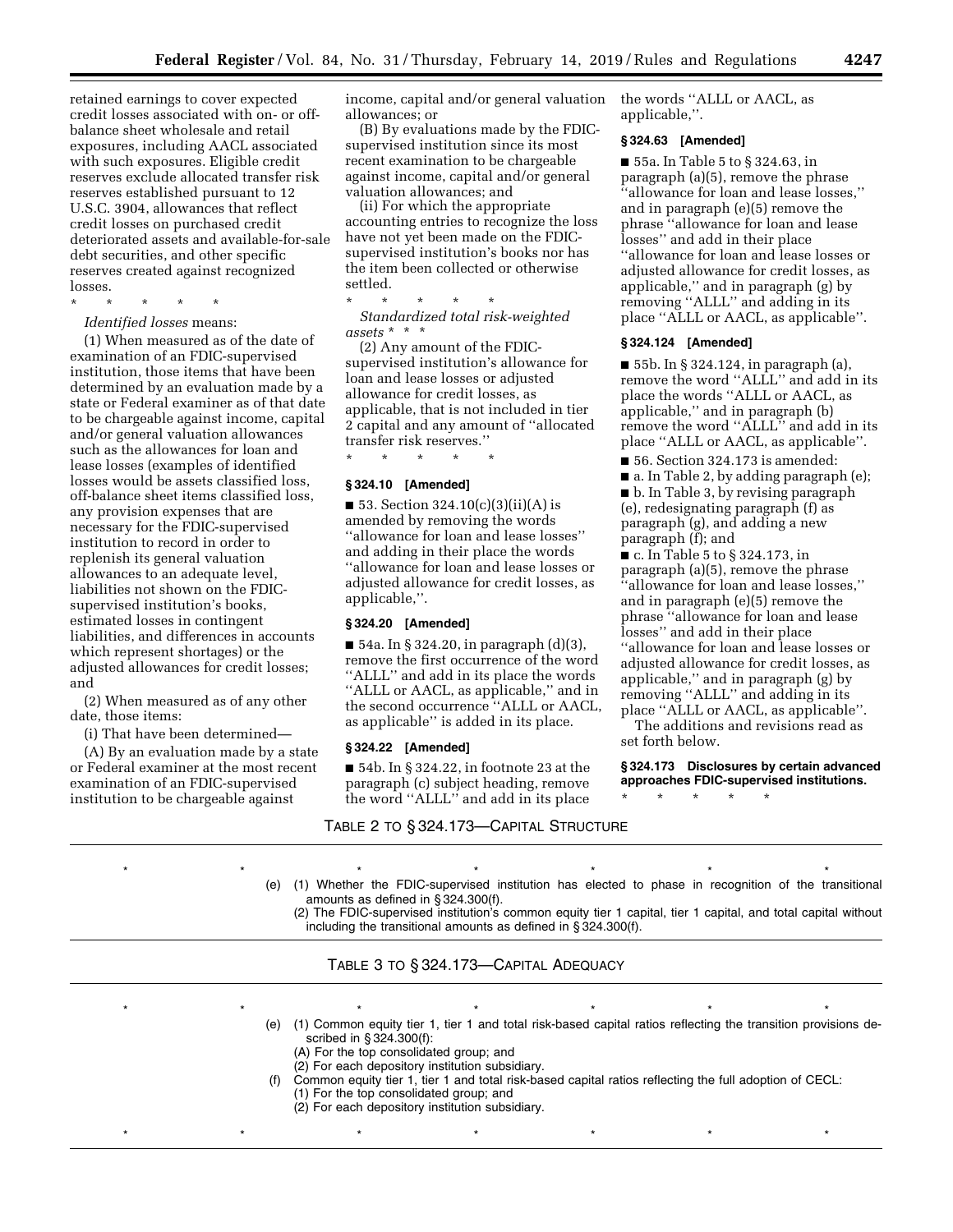retained earnings to cover expected credit losses associated with on- or offbalance sheet wholesale and retail exposures, including AACL associated with such exposures. Eligible credit reserves exclude allocated transfer risk reserves established pursuant to 12 U.S.C. 3904, allowances that reflect credit losses on purchased credit deteriorated assets and available-for-sale debt securities, and other specific reserves created against recognized losses.

\* \* \* \* \*

*Identified losses* means:

(1) When measured as of the date of examination of an FDIC-supervised institution, those items that have been determined by an evaluation made by a state or Federal examiner as of that date to be chargeable against income, capital and/or general valuation allowances such as the allowances for loan and lease losses (examples of identified losses would be assets classified loss, off-balance sheet items classified loss, any provision expenses that are necessary for the FDIC-supervised institution to record in order to replenish its general valuation allowances to an adequate level, liabilities not shown on the FDICsupervised institution's books, estimated losses in contingent liabilities, and differences in accounts which represent shortages) or the adjusted allowances for credit losses; and

(2) When measured as of any other date, those items:

(i) That have been determined—

(A) By an evaluation made by a state or Federal examiner at the most recent examination of an FDIC-supervised institution to be chargeable against

income, capital and/or general valuation allowances; or

(B) By evaluations made by the FDICsupervised institution since its most recent examination to be chargeable against income, capital and/or general valuation allowances; and

(ii) For which the appropriate accounting entries to recognize the loss have not yet been made on the FDICsupervised institution's books nor has the item been collected or otherwise settled.

\* \* \* \* \* *Standardized total risk-weighted assets* \* \* \*

(2) Any amount of the FDICsupervised institution's allowance for loan and lease losses or adjusted allowance for credit losses, as applicable, that is not included in tier 2 capital and any amount of ''allocated transfer risk reserves.''

\* \* \* \* \*

# **§ 324.10 [Amended]**

 $\blacksquare$  53. Section 324.10(c)(3)(ii)(A) is amended by removing the words ''allowance for loan and lease losses'' and adding in their place the words ''allowance for loan and lease losses or adjusted allowance for credit losses, as applicable,''.

# **§ 324.20 [Amended]**

 $\blacksquare$  54a. In § 324.20, in paragraph  $(d)(3)$ , remove the first occurrence of the word ''ALLL'' and add in its place the words ''ALLL or AACL, as applicable,'' and in the second occurrence ''ALLL or AACL, as applicable'' is added in its place.

# **§ 324.22 [Amended]**

■ 54b. In § 324.22, in footnote 23 at the paragraph (c) subject heading, remove the word ''ALLL'' and add in its place

TABLE 2 TO § 324.173—CAPITAL STRUCTURE

the words ''ALLL or AACL, as applicable,''.

# **§ 324.63 [Amended]**

■ 55a. In Table 5 to § 324.63, in paragraph (a)(5), remove the phrase ''allowance for loan and lease losses,'' and in paragraph (e)(5) remove the phrase ''allowance for loan and lease losses'' and add in their place ''allowance for loan and lease losses or adjusted allowance for credit losses, as applicable,'' and in paragraph (g) by removing ''ALLL'' and adding in its place ''ALLL or AACL, as applicable''.

### **§ 324.124 [Amended]**

■ 55b. In § 324.124, in paragraph (a), remove the word ''ALLL'' and add in its place the words ''ALLL or AACL, as applicable,'' and in paragraph (b) remove the word ''ALLL'' and add in its place ''ALLL or AACL, as applicable''.

■ 56. Section 324.173 is amended:

 $\blacksquare$  a. In Table 2, by adding paragraph (e); ■ b. In Table 3, by revising paragraph (e), redesignating paragraph (f) as paragraph (g), and adding a new paragraph (f); and

■ c. In Table 5 to § 324.173, in paragraph (a)(5), remove the phrase ''allowance for loan and lease losses,'' and in paragraph (e)(5) remove the phrase ''allowance for loan and lease losses'' and add in their place ''allowance for loan and lease losses or adjusted allowance for credit losses, as applicable,'' and in paragraph (g) by removing ''ALLL'' and adding in its place ''ALLL or AACL, as applicable''.

The additions and revisions read as set forth below.

**§ 324.173 Disclosures by certain advanced approaches FDIC-supervised institutions.** 

\* \* \* \* \*

\*\*\*\*\*\*\*

(e) (1) Whether the FDIC-supervised institution has elected to phase in recognition of the transitional amounts as defined in  $\S$  324.300(f). (2) The FDIC-supervised institution's common equity tier 1 capital, tier 1 capital, and total capital without

including the transitional amounts as defined in § 324.300(f).

# TABLE 3 TO § 324.173—CAPITAL ADEQUACY

\*\*\*\*\*\*\*

- \*\*\*\*\*\*\* (e) (1) Common equity tier 1, tier 1 and total risk-based capital ratios reflecting the transition provisions described in § 324.300(f):
	- (A) For the top consolidated group; and
	- (2) For each depository institution subsidiary.
	- Common equity tier 1, tier 1 and total risk-based capital ratios reflecting the full adoption of CECL: (1) For the top consolidated group; and
		- (2) For each depository institution subsidiary.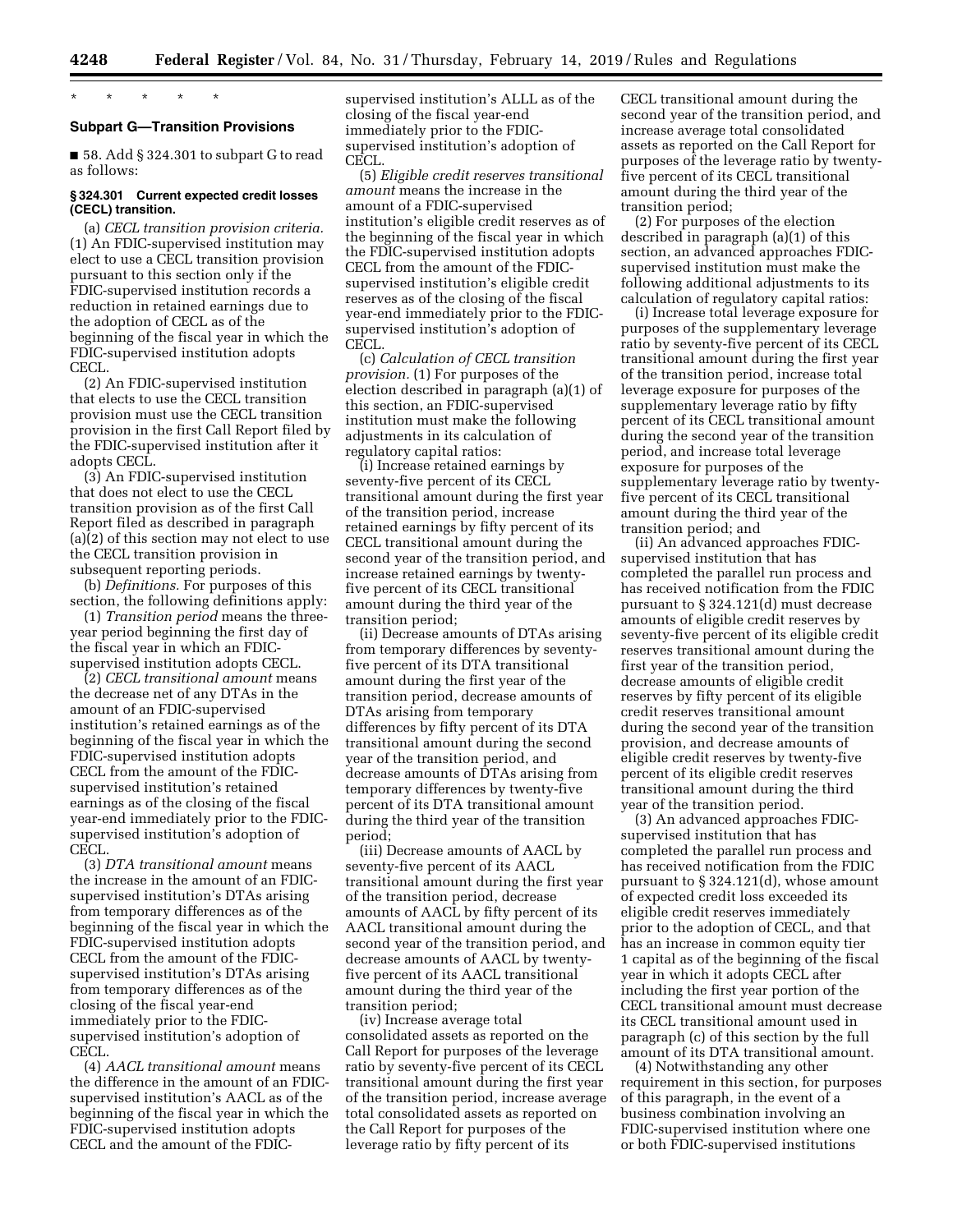\* \* \* \* \*

# **Subpart G—Transition Provisions**

■ 58. Add § 324.301 to subpart G to read as follows:

# **§ 324.301 Current expected credit losses (CECL) transition.**

(a) *CECL transition provision criteria.*  (1) An FDIC-supervised institution may elect to use a CECL transition provision pursuant to this section only if the FDIC-supervised institution records a reduction in retained earnings due to the adoption of CECL as of the beginning of the fiscal year in which the FDIC-supervised institution adopts CECL.

(2) An FDIC-supervised institution that elects to use the CECL transition provision must use the CECL transition provision in the first Call Report filed by the FDIC-supervised institution after it adopts CECL.

(3) An FDIC-supervised institution that does not elect to use the CECL transition provision as of the first Call Report filed as described in paragraph (a)(2) of this section may not elect to use the CECL transition provision in subsequent reporting periods.

(b) *Definitions.* For purposes of this section, the following definitions apply:

(1) *Transition period* means the threeyear period beginning the first day of the fiscal year in which an FDICsupervised institution adopts CECL.

(2) *CECL transitional amount* means the decrease net of any DTAs in the amount of an FDIC-supervised institution's retained earnings as of the beginning of the fiscal year in which the FDIC-supervised institution adopts CECL from the amount of the FDICsupervised institution's retained earnings as of the closing of the fiscal year-end immediately prior to the FDICsupervised institution's adoption of CECL.

(3) *DTA transitional amount* means the increase in the amount of an FDICsupervised institution's DTAs arising from temporary differences as of the beginning of the fiscal year in which the FDIC-supervised institution adopts CECL from the amount of the FDICsupervised institution's DTAs arising from temporary differences as of the closing of the fiscal year-end immediately prior to the FDICsupervised institution's adoption of CECL.

(4) *AACL transitional amount* means the difference in the amount of an FDICsupervised institution's AACL as of the beginning of the fiscal year in which the FDIC-supervised institution adopts CECL and the amount of the FDIC-

supervised institution's ALLL as of the closing of the fiscal year-end immediately prior to the FDICsupervised institution's adoption of CECL.

(5) *Eligible credit reserves transitional amount* means the increase in the amount of a FDIC-supervised institution's eligible credit reserves as of the beginning of the fiscal year in which the FDIC-supervised institution adopts CECL from the amount of the FDICsupervised institution's eligible credit reserves as of the closing of the fiscal year-end immediately prior to the FDICsupervised institution's adoption of CECL.

(c) *Calculation of CECL transition provision.* (1) For purposes of the election described in paragraph (a)(1) of this section, an FDIC-supervised institution must make the following adjustments in its calculation of regulatory capital ratios:

(i) Increase retained earnings by seventy-five percent of its CECL transitional amount during the first year of the transition period, increase retained earnings by fifty percent of its CECL transitional amount during the second year of the transition period, and increase retained earnings by twentyfive percent of its CECL transitional amount during the third year of the transition period;

(ii) Decrease amounts of DTAs arising from temporary differences by seventyfive percent of its DTA transitional amount during the first year of the transition period, decrease amounts of DTAs arising from temporary differences by fifty percent of its DTA transitional amount during the second year of the transition period, and decrease amounts of DTAs arising from temporary differences by twenty-five percent of its DTA transitional amount during the third year of the transition period;

(iii) Decrease amounts of AACL by seventy-five percent of its AACL transitional amount during the first year of the transition period, decrease amounts of AACL by fifty percent of its AACL transitional amount during the second year of the transition period, and decrease amounts of AACL by twentyfive percent of its AACL transitional amount during the third year of the transition period;

(iv) Increase average total consolidated assets as reported on the Call Report for purposes of the leverage ratio by seventy-five percent of its CECL transitional amount during the first year of the transition period, increase average total consolidated assets as reported on the Call Report for purposes of the leverage ratio by fifty percent of its

CECL transitional amount during the second year of the transition period, and increase average total consolidated assets as reported on the Call Report for purposes of the leverage ratio by twentyfive percent of its CECL transitional amount during the third year of the transition period;

(2) For purposes of the election described in paragraph (a)(1) of this section, an advanced approaches FDICsupervised institution must make the following additional adjustments to its calculation of regulatory capital ratios:

(i) Increase total leverage exposure for purposes of the supplementary leverage ratio by seventy-five percent of its CECL transitional amount during the first year of the transition period, increase total leverage exposure for purposes of the supplementary leverage ratio by fifty percent of its CECL transitional amount during the second year of the transition period, and increase total leverage exposure for purposes of the supplementary leverage ratio by twentyfive percent of its CECL transitional amount during the third year of the transition period; and

(ii) An advanced approaches FDICsupervised institution that has completed the parallel run process and has received notification from the FDIC pursuant to § 324.121(d) must decrease amounts of eligible credit reserves by seventy-five percent of its eligible credit reserves transitional amount during the first year of the transition period, decrease amounts of eligible credit reserves by fifty percent of its eligible credit reserves transitional amount during the second year of the transition provision, and decrease amounts of eligible credit reserves by twenty-five percent of its eligible credit reserves transitional amount during the third year of the transition period.

(3) An advanced approaches FDICsupervised institution that has completed the parallel run process and has received notification from the FDIC pursuant to § 324.121(d), whose amount of expected credit loss exceeded its eligible credit reserves immediately prior to the adoption of CECL, and that has an increase in common equity tier 1 capital as of the beginning of the fiscal year in which it adopts CECL after including the first year portion of the CECL transitional amount must decrease its CECL transitional amount used in paragraph (c) of this section by the full amount of its DTA transitional amount.

(4) Notwithstanding any other requirement in this section, for purposes of this paragraph, in the event of a business combination involving an FDIC-supervised institution where one or both FDIC-supervised institutions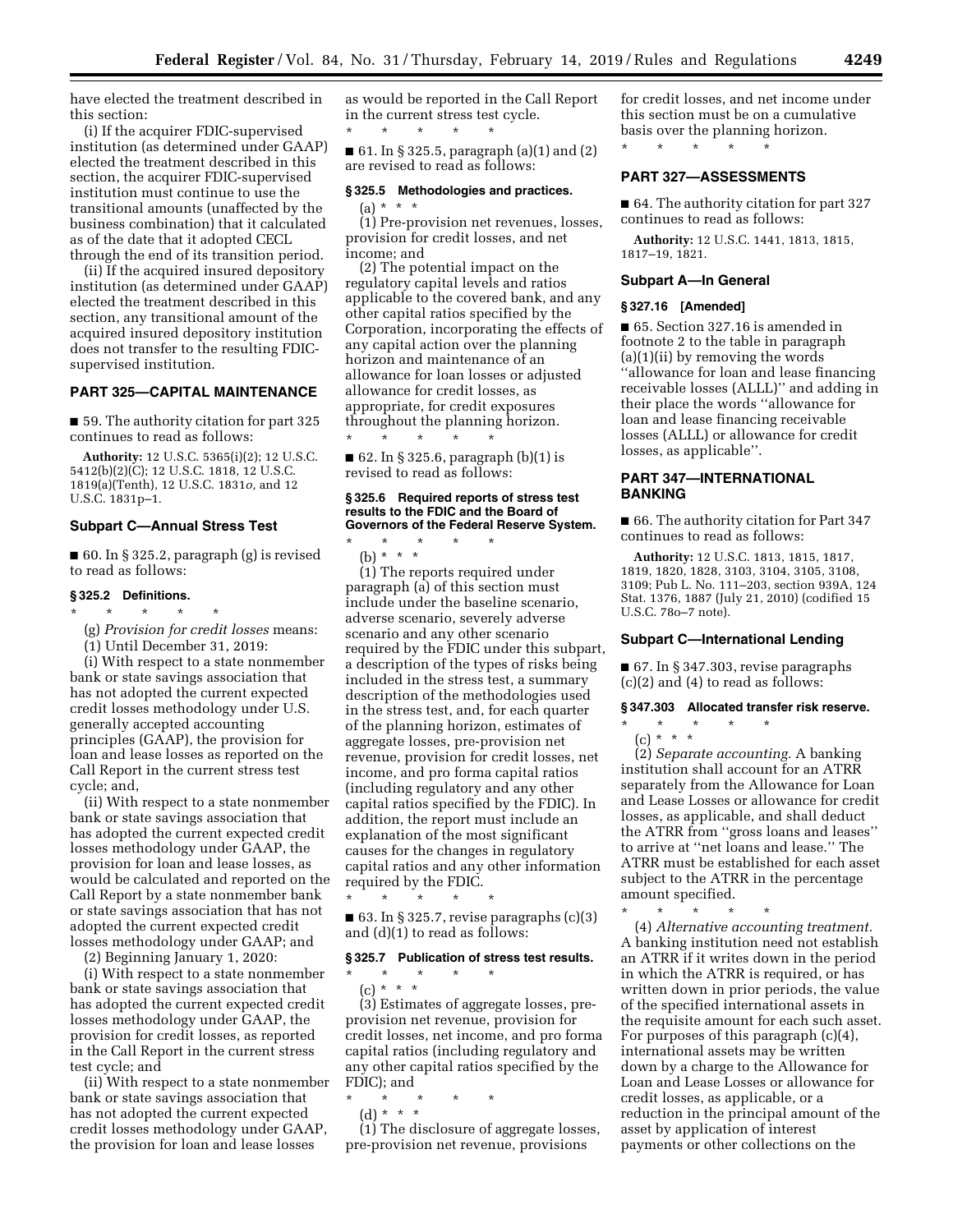have elected the treatment described in this section:

(i) If the acquirer FDIC-supervised institution (as determined under GAAP) elected the treatment described in this section, the acquirer FDIC-supervised institution must continue to use the transitional amounts (unaffected by the business combination) that it calculated as of the date that it adopted CECL through the end of its transition period.

(ii) If the acquired insured depository institution (as determined under GAAP) elected the treatment described in this section, any transitional amount of the acquired insured depository institution does not transfer to the resulting FDICsupervised institution.

### **PART 325—CAPITAL MAINTENANCE**

■ 59. The authority citation for part 325 continues to read as follows:

**Authority:** 12 U.S.C. 5365(i)(2); 12 U.S.C. 5412(b)(2)(C); 12 U.S.C. 1818, 12 U.S.C. 1819(a)(Tenth), 12 U.S.C. 1831*o,* and 12 U.S.C. 1831p–1.

### **Subpart C—Annual Stress Test**

■ 60. In § 325.2, paragraph (g) is revised to read as follows:

### **§ 325.2 Definitions.**

- \* \* \* \* \*
	- (g) *Provision for credit losses* means:

(1) Until December 31, 2019:

(i) With respect to a state nonmember bank or state savings association that has not adopted the current expected credit losses methodology under U.S. generally accepted accounting principles (GAAP), the provision for loan and lease losses as reported on the Call Report in the current stress test cycle; and,

(ii) With respect to a state nonmember bank or state savings association that has adopted the current expected credit losses methodology under GAAP, the provision for loan and lease losses, as would be calculated and reported on the Call Report by a state nonmember bank or state savings association that has not adopted the current expected credit losses methodology under GAAP; and

(2) Beginning January 1, 2020:

(i) With respect to a state nonmember bank or state savings association that has adopted the current expected credit losses methodology under GAAP, the provision for credit losses, as reported in the Call Report in the current stress test cycle; and

(ii) With respect to a state nonmember bank or state savings association that has not adopted the current expected credit losses methodology under GAAP, the provision for loan and lease losses

as would be reported in the Call Report in the current stress test cycle. \* \* \* \* \*

■ 61. In § 325.5, paragraph (a)(1) and (2) are revised to read as follows:

#### **§ 325.5 Methodologies and practices.**

 $(a) * * * *$ (1) Pre-provision net revenues, losses, provision for credit losses, and net income; and

(2) The potential impact on the regulatory capital levels and ratios applicable to the covered bank, and any other capital ratios specified by the Corporation, incorporating the effects of any capital action over the planning horizon and maintenance of an allowance for loan losses or adjusted allowance for credit losses, as appropriate, for credit exposures throughout the planning horizon. \* \* \* \* \*

■ 62. In § 325.6, paragraph  $(b)(1)$  is revised to read as follows:

### **§ 325.6 Required reports of stress test results to the FDIC and the Board of Governors of the Federal Reserve System.**

\* \* \* \* \* (b) \* \* \*

(1) The reports required under paragraph (a) of this section must include under the baseline scenario, adverse scenario, severely adverse scenario and any other scenario required by the FDIC under this subpart, a description of the types of risks being included in the stress test, a summary description of the methodologies used in the stress test, and, for each quarter of the planning horizon, estimates of aggregate losses, pre-provision net revenue, provision for credit losses, net income, and pro forma capital ratios (including regulatory and any other capital ratios specified by the FDIC). In addition, the report must include an explanation of the most significant causes for the changes in regulatory capital ratios and any other information required by the FDIC. \* \* \* \* \*

 $\blacksquare$  63. In § 325.7, revise paragraphs (c)(3) and (d)(1) to read as follows:

### **§ 325.7 Publication of stress test results.**

\* \* \* \* \* (c) \* \* \*

(3) Estimates of aggregate losses, preprovision net revenue, provision for credit losses, net income, and pro forma capital ratios (including regulatory and any other capital ratios specified by the FDIC); and

- \* \* \* \* \*
- (d) \* \* \*

(1) The disclosure of aggregate losses, pre-provision net revenue, provisions

for credit losses, and net income under this section must be on a cumulative basis over the planning horizon. \* \* \* \* \*

**PART 327—ASSESSMENTS** 

■ 64. The authority citation for part 327 continues to read as follows:

**Authority:** 12 U.S.C. 1441, 1813, 1815, 1817–19, 1821.

### **Subpart A—In General**

#### **§ 327.16 [Amended]**

■ 65. Section 327.16 is amended in footnote 2 to the table in paragraph (a)(1)(ii) by removing the words ''allowance for loan and lease financing receivable losses (ALLL)'' and adding in their place the words ''allowance for loan and lease financing receivable losses (ALLL) or allowance for credit losses, as applicable''.

# **PART 347—INTERNATIONAL BANKING**

■ 66. The authority citation for Part 347 continues to read as follows:

**Authority:** 12 U.S.C. 1813, 1815, 1817, 1819, 1820, 1828, 3103, 3104, 3105, 3108, 3109; Pub L. No. 111–203, section 939A, 124 Stat. 1376, 1887 (July 21, 2010) (codified 15 U.S.C. 78o–7 note).

### **Subpart C—International Lending**

■ 67. In § 347.303, revise paragraphs (c)(2) and (4) to read as follows:

# **§ 347.303 Allocated transfer risk reserve.**

- \* \* \* \* \*
	- (c) \* \* \*

\* \* \* \* \*

(2) *Separate accounting.* A banking institution shall account for an ATRR separately from the Allowance for Loan and Lease Losses or allowance for credit losses, as applicable, and shall deduct the ATRR from ''gross loans and leases'' to arrive at ''net loans and lease.'' The ATRR must be established for each asset subject to the ATRR in the percentage amount specified.

(4) *Alternative accounting treatment.*  A banking institution need not establish an ATRR if it writes down in the period in which the ATRR is required, or has written down in prior periods, the value of the specified international assets in the requisite amount for each such asset. For purposes of this paragraph (c)(4), international assets may be written down by a charge to the Allowance for Loan and Lease Losses or allowance for credit losses, as applicable, or a reduction in the principal amount of the asset by application of interest payments or other collections on the